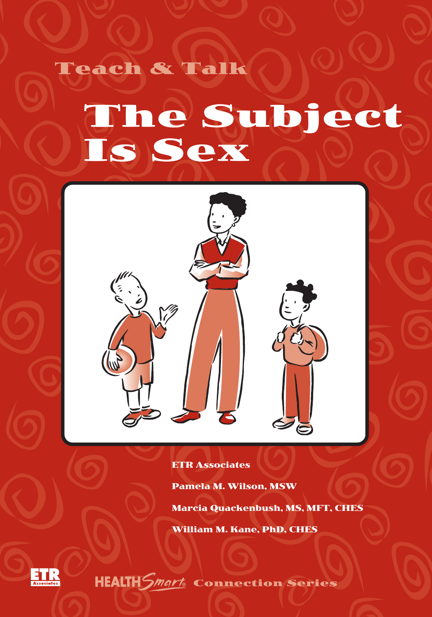

Teach & Talk



ETR Associates

Pamela M. Wilson, MSW

Marcia Quackenbush, MS, MFT, CHES

William M. Kane, PhD, CHES



HEALTH Smart Connection Series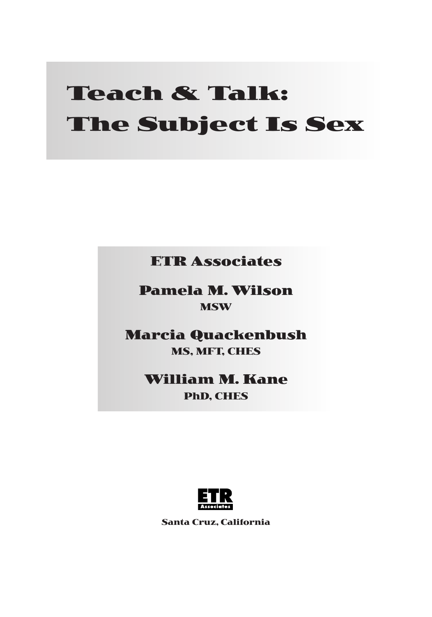# **Teach & Talk: The Subject Is Sex**

**ETR Associates**

**Pamela M. Wilson MSW**

**Marcia Quackenbush MS, MFT, CHES**

> **William M. Kane PhD, CHES**



**Santa Cruz, California**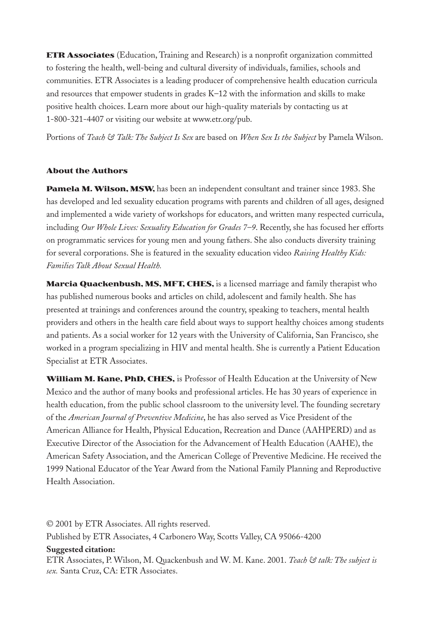**ETR Associates** (Education, Training and Research) is a nonprofit organization committed to fostering the health, well-being and cultural diversity of individuals, families, schools and communities. ETR Associates is a leading producer of comprehensive health education curricula and resources that empower students in grades K–12 with the information and skills to make positive health choices. Learn more about our high-quality materials by contacting us at 1-800-321-4407 or visiting our website at www.etr.org/pub.

Portions of *Teach & Talk: The Subject Is Sex* are based on *When Sex Is the Subject* by Pamela Wilson.

#### **About the Authors**

**Pamela M. Wilson, MSW,** has been an independent consultant and trainer since 1983. She has developed and led sexuality education programs with parents and children of all ages, designed and implemented a wide variety of workshops for educators, and written many respected curricula, including *Our Whole Lives: Sexuality Education for Grades 7–9*. Recently, she has focused her efforts on programmatic services for young men and young fathers. She also conducts diversity training for several corporations. She is featured in the sexuality education video *Raising Healthy Kids: Families Talk About Sexual Health.*

**Marcia Quackenbush, MS, MFT, CHES,** is a licensed marriage and family therapist who has published numerous books and articles on child, adolescent and family health. She has presented at trainings and conferences around the country, speaking to teachers, mental health providers and others in the health care field about ways to support healthy choices among students and patients. As a social worker for 12 years with the University of California, San Francisco, she worked in a program specializing in HIV and mental health. She is currently a Patient Education Specialist at ETR Associates.

**William M. Kane, PhD, CHES,** is Professor of Health Education at the University of New Mexico and the author of many books and professional articles. He has 30 years of experience in health education, from the public school classroom to the university level. The founding secretary of the *American Journal of Preventive Medicine*, he has also served as Vice President of the American Alliance for Health, Physical Education, Recreation and Dance (AAHPERD) and as Executive Director of the Association for the Advancement of Health Education (AAHE), the American Safety Association, and the American College of Preventive Medicine. He received the 1999 National Educator of the Year Award from the National Family Planning and Reproductive Health Association.

© 2001 by ETR Associates. All rights reserved. Published by ETR Associates, 4 Carbonero Way, Scotts Valley, CA 95066-4200

#### **Suggested citation:**

ETR Associates, P. Wilson, M. Quackenbush and W. M. Kane. 2001. *Teach & talk: The subject is sex.* Santa Cruz, CA: ETR Associates.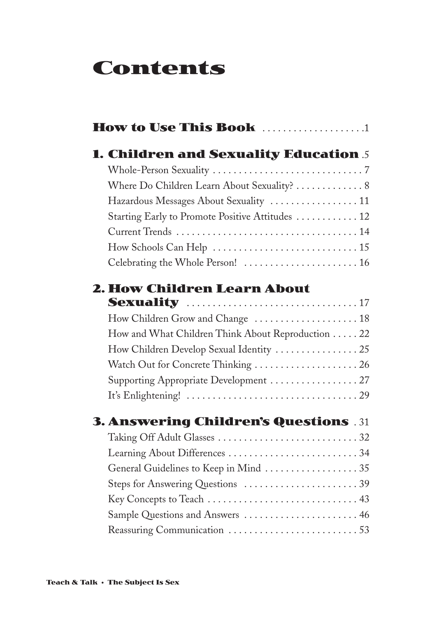# **Contents**

| <b>How to Use This Book</b> 1                     |  |
|---------------------------------------------------|--|
| <b>1. Children and Sexuality Education 5</b>      |  |
|                                                   |  |
| Where Do Children Learn About Sexuality?  8       |  |
| Hazardous Messages About Sexuality  11            |  |
| Starting Early to Promote Positive Attitudes  12  |  |
|                                                   |  |
|                                                   |  |
| Celebrating the Whole Person!  16                 |  |
| 2. How Children Learn About                       |  |
|                                                   |  |
|                                                   |  |
| How and What Children Think About Reproduction 22 |  |
| How Children Develop Sexual Identity  25          |  |
| Watch Out for Concrete Thinking  26               |  |
| Supporting Appropriate Development  27            |  |
|                                                   |  |
| <b>3. Answering Children's Questions 31</b>       |  |
|                                                   |  |
|                                                   |  |
| General Guidelines to Keep in Mind  35            |  |
| Steps for Answering Questions 39                  |  |
|                                                   |  |
| Sample Questions and Answers  46                  |  |
| Reassuring Communication 53                       |  |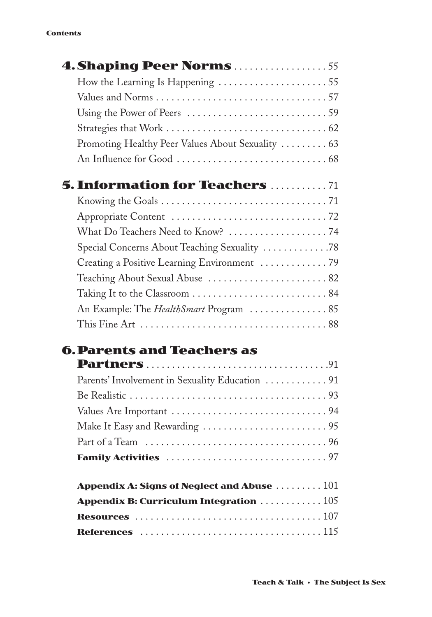#### **Contents**

| <b>4. Shaping Peer Norms</b> 55                                               |
|-------------------------------------------------------------------------------|
| How the Learning Is Happening 55                                              |
|                                                                               |
| Using the Power of Peers $\dots\dots\dots\dots\dots\dots\dots\dots\dots\dots$ |
|                                                                               |
| Promoting Healthy Peer Values About Sexuality  63                             |
|                                                                               |
| <b>5. Information for Teachers  71</b>                                        |
|                                                                               |
|                                                                               |
|                                                                               |
| Special Concerns About Teaching Sexuality 78                                  |
| Creating a Positive Learning Environment  79                                  |
| Teaching About Sexual Abuse  82                                               |
|                                                                               |
| An Example: The <i>HealthSmart</i> Program  85                                |
|                                                                               |
|                                                                               |

### **6.Parents and Teachers as**

| Appendix A: Signs of Neglect and Abuse $\,\ldots\ldots\ldots\,101$   |  |
|----------------------------------------------------------------------|--|
| Appendix B: Curriculum Integration $\,\ldots\ldots\ldots\ldots\,105$ |  |
|                                                                      |  |
|                                                                      |  |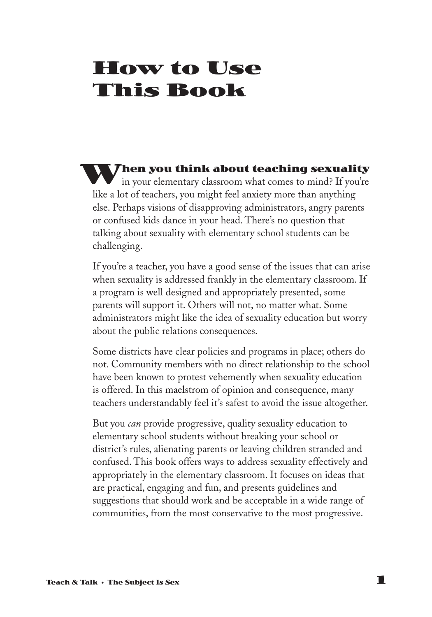# **How to Use This Book**

**hen you think about teaching sexuality** in your elementary classroom what comes to mind? If you're in your elementary classroom what comes to mind? If you're like a lot of teachers, you might feel anxiety more than anything else. Perhaps visions of disapproving administrators, angry parents or confused kids dance in your head. There's no question that talking about sexuality with elementary school students can be challenging.

If you're a teacher, you have a good sense of the issues that can arise when sexuality is addressed frankly in the elementary classroom. If a program is well designed and appropriately presented, some parents will support it. Others will not, no matter what. Some administrators might like the idea of sexuality education but worry about the public relations consequences.

Some districts have clear policies and programs in place; others do not. Community members with no direct relationship to the school have been known to protest vehemently when sexuality education is offered. In this maelstrom of opinion and consequence, many teachers understandably feel it's safest to avoid the issue altogether.

But you *can* provide progressive, quality sexuality education to elementary school students without breaking your school or district's rules, alienating parents or leaving children stranded and confused. This book offers ways to address sexuality effectively and appropriately in the elementary classroom. It focuses on ideas that are practical, engaging and fun, and presents guidelines and suggestions that should work and be acceptable in a wide range of communities, from the most conservative to the most progressive.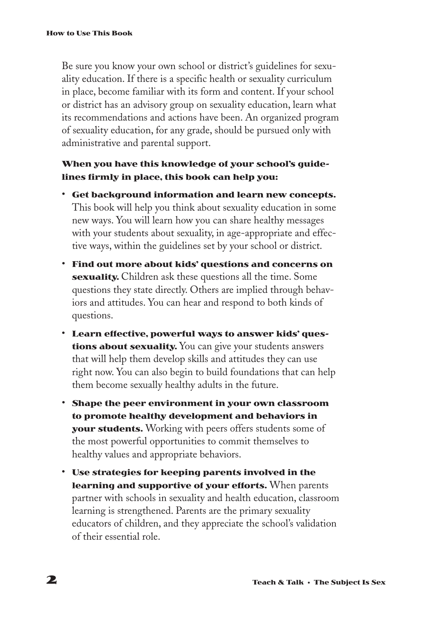Be sure you know your own school or district's guidelines for sexuality education. If there is a specific health or sexuality curriculum in place, become familiar with its form and content. If your school or district has an advisory group on sexuality education, learn what its recommendations and actions have been. An organized program of sexuality education, for any grade, should be pursued only with administrative and parental support.

#### **When you have this knowledge of your school's guidelines firmly in place, this book can help you:**

- **Get background information and learn new concepts.** This book will help you think about sexuality education in some new ways. You will learn how you can share healthy messages with your students about sexuality, in age-appropriate and effective ways, within the guidelines set by your school or district.
- **Find out more about kids' questions and concerns on sexuality.** Children ask these questions all the time. Some questions they state directly. Others are implied through behaviors and attitudes. You can hear and respond to both kinds of questions.
- **Learn effective, powerful ways to answer kids' questions about sexuality.** You can give your students answers that will help them develop skills and attitudes they can use right now. You can also begin to build foundations that can help them become sexually healthy adults in the future.
- **Shape the peer environment in your own classroom to promote healthy development and behaviors in your students.** Working with peers offers students some of the most powerful opportunities to commit themselves to healthy values and appropriate behaviors.
- **Use strategies for keeping parents involved in the learning and supportive of your efforts.** When parents partner with schools in sexuality and health education, classroom learning is strengthened. Parents are the primary sexuality educators of children, and they appreciate the school's validation of their essential role.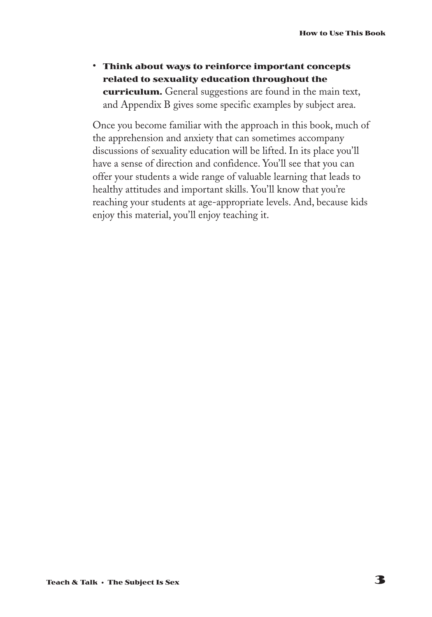• **Think about ways to reinforce important concepts related to sexuality education throughout the curriculum.** General suggestions are found in the main text, and Appendix B gives some specific examples by subject area.

Once you become familiar with the approach in this book, much of the apprehension and anxiety that can sometimes accompany discussions of sexuality education will be lifted. In its place you'll have a sense of direction and confidence. You'll see that you can offer your students a wide range of valuable learning that leads to healthy attitudes and important skills. You'll know that you're reaching your students at age-appropriate levels. And, because kids enjoy this material, you'll enjoy teaching it.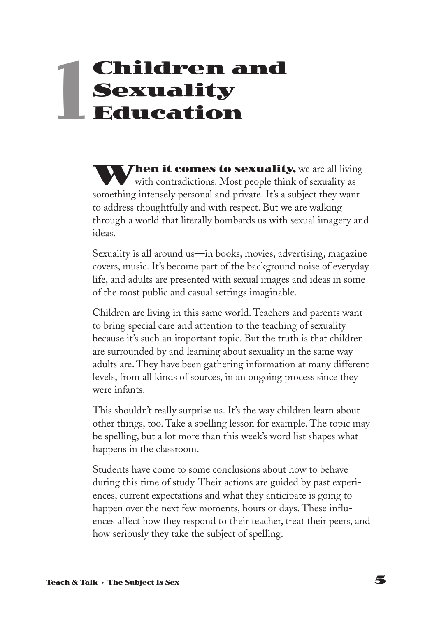# **Children and Sexuality Education 1**

**When it comes to sexuality,** we are all living with contradictions. Most people think of sexuality as something intensely personal and private. It's a subject they want to address thoughtfully and with respect. But we are walking through a world that literally bombards us with sexual imagery and ideas.

Sexuality is all around us—in books, movies, advertising, magazine covers, music. It's become part of the background noise of everyday life, and adults are presented with sexual images and ideas in some of the most public and casual settings imaginable.

Children are living in this same world. Teachers and parents want to bring special care and attention to the teaching of sexuality because it's such an important topic. But the truth is that children are surrounded by and learning about sexuality in the same way adults are. They have been gathering information at many different levels, from all kinds of sources, in an ongoing process since they were infants.

This shouldn't really surprise us. It's the way children learn about other things, too. Take a spelling lesson for example. The topic may be spelling, but a lot more than this week's word list shapes what happens in the classroom.

Students have come to some conclusions about how to behave during this time of study. Their actions are guided by past experiences, current expectations and what they anticipate is going to happen over the next few moments, hours or days. These influences affect how they respond to their teacher, treat their peers, and how seriously they take the subject of spelling.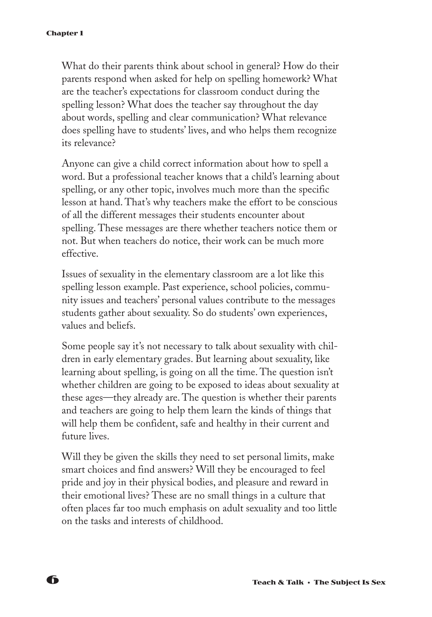What do their parents think about school in general? How do their parents respond when asked for help on spelling homework? What are the teacher's expectations for classroom conduct during the spelling lesson? What does the teacher say throughout the day about words, spelling and clear communication? What relevance does spelling have to students' lives, and who helps them recognize its relevance?

Anyone can give a child correct information about how to spell a word. But a professional teacher knows that a child's learning about spelling, or any other topic, involves much more than the specific lesson at hand. That's why teachers make the effort to be conscious of all the different messages their students encounter about spelling. These messages are there whether teachers notice them or not. But when teachers do notice, their work can be much more effective.

Issues of sexuality in the elementary classroom are a lot like this spelling lesson example. Past experience, school policies, community issues and teachers' personal values contribute to the messages students gather about sexuality. So do students' own experiences, values and beliefs.

Some people say it's not necessary to talk about sexuality with children in early elementary grades. But learning about sexuality, like learning about spelling, is going on all the time. The question isn't whether children are going to be exposed to ideas about sexuality at these ages—they already are. The question is whether their parents and teachers are going to help them learn the kinds of things that will help them be confident, safe and healthy in their current and future lives.

Will they be given the skills they need to set personal limits, make smart choices and find answers? Will they be encouraged to feel pride and joy in their physical bodies, and pleasure and reward in their emotional lives? These are no small things in a culture that often places far too much emphasis on adult sexuality and too little on the tasks and interests of childhood.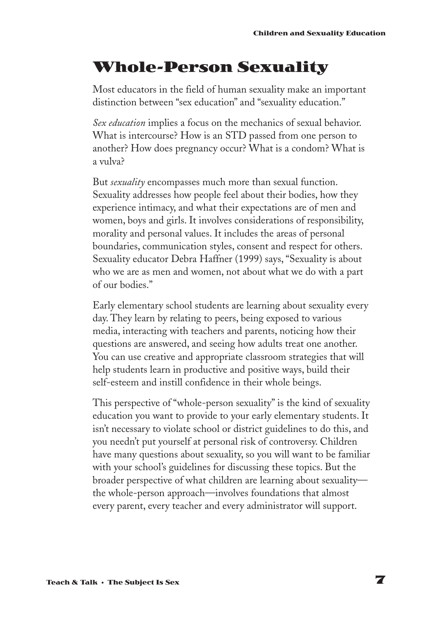# **Whole-Person Sexuality**

Most educators in the field of human sexuality make an important distinction between "sex education" and "sexuality education."

*Sex education* implies a focus on the mechanics of sexual behavior. What is intercourse? How is an STD passed from one person to another? How does pregnancy occur? What is a condom? What is a vulva?

But *sexuality* encompasses much more than sexual function. Sexuality addresses how people feel about their bodies, how they experience intimacy, and what their expectations are of men and women, boys and girls. It involves considerations of responsibility, morality and personal values. It includes the areas of personal boundaries, communication styles, consent and respect for others. Sexuality educator Debra Haffner (1999) says, "Sexuality is about who we are as men and women, not about what we do with a part of our bodies."

Early elementary school students are learning about sexuality every day. They learn by relating to peers, being exposed to various media, interacting with teachers and parents, noticing how their questions are answered, and seeing how adults treat one another. You can use creative and appropriate classroom strategies that will help students learn in productive and positive ways, build their self-esteem and instill confidence in their whole beings.

This perspective of "whole-person sexuality" is the kind of sexuality education you want to provide to your early elementary students. It isn't necessary to violate school or district guidelines to do this, and you needn't put yourself at personal risk of controversy. Children have many questions about sexuality, so you will want to be familiar with your school's guidelines for discussing these topics. But the broader perspective of what children are learning about sexuality the whole-person approach—involves foundations that almost every parent, every teacher and every administrator will support.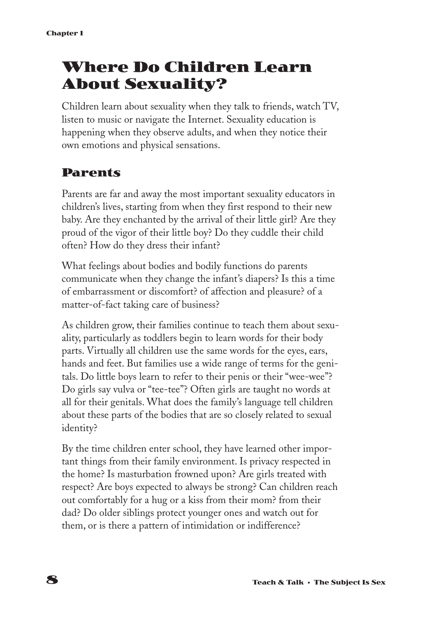# **Where Do Children Learn About Sexuality?**

Children learn about sexuality when they talk to friends, watch TV, listen to music or navigate the Internet. Sexuality education is happening when they observe adults, and when they notice their own emotions and physical sensations.

### **Parents**

Parents are far and away the most important sexuality educators in children's lives, starting from when they first respond to their new baby. Are they enchanted by the arrival of their little girl? Are they proud of the vigor of their little boy? Do they cuddle their child often? How do they dress their infant?

What feelings about bodies and bodily functions do parents communicate when they change the infant's diapers? Is this a time of embarrassment or discomfort? of affection and pleasure? of a matter-of-fact taking care of business?

As children grow, their families continue to teach them about sexuality, particularly as toddlers begin to learn words for their body parts. Virtually all children use the same words for the eyes, ears, hands and feet. But families use a wide range of terms for the genitals. Do little boys learn to refer to their penis or their "wee-wee"? Do girls say vulva or "tee-tee"? Often girls are taught no words at all for their genitals. What does the family's language tell children about these parts of the bodies that are so closely related to sexual identity?

By the time children enter school, they have learned other important things from their family environment. Is privacy respected in the home? Is masturbation frowned upon? Are girls treated with respect? Are boys expected to always be strong? Can children reach out comfortably for a hug or a kiss from their mom? from their dad? Do older siblings protect younger ones and watch out for them, or is there a pattern of intimidation or indifference?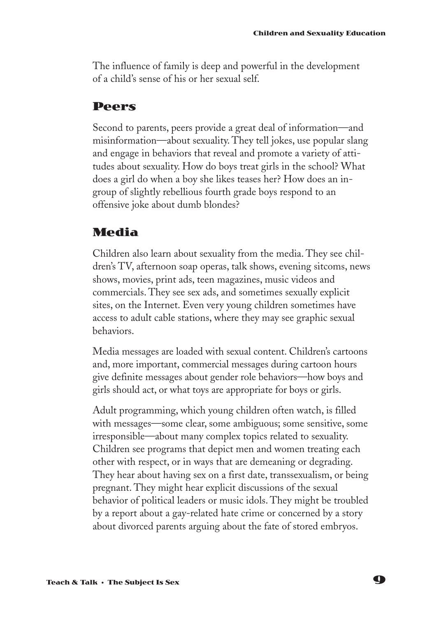The influence of family is deep and powerful in the development of a child's sense of his or her sexual self.

#### **Peers**

Second to parents, peers provide a great deal of information—and misinformation—about sexuality. They tell jokes, use popular slang and engage in behaviors that reveal and promote a variety of attitudes about sexuality. How do boys treat girls in the school? What does a girl do when a boy she likes teases her? How does an ingroup of slightly rebellious fourth grade boys respond to an offensive joke about dumb blondes?

### **Media**

Children also learn about sexuality from the media. They see children's TV, afternoon soap operas, talk shows, evening sitcoms, news shows, movies, print ads, teen magazines, music videos and commercials. They see sex ads, and sometimes sexually explicit sites, on the Internet. Even very young children sometimes have access to adult cable stations, where they may see graphic sexual behaviors.

Media messages are loaded with sexual content. Children's cartoons and, more important, commercial messages during cartoon hours give definite messages about gender role behaviors—how boys and girls should act, or what toys are appropriate for boys or girls.

Adult programming, which young children often watch, is filled with messages—some clear, some ambiguous; some sensitive, some irresponsible—about many complex topics related to sexuality. Children see programs that depict men and women treating each other with respect, or in ways that are demeaning or degrading. They hear about having sex on a first date, transsexualism, or being pregnant. They might hear explicit discussions of the sexual behavior of political leaders or music idols. They might be troubled by a report about a gay-related hate crime or concerned by a story about divorced parents arguing about the fate of stored embryos.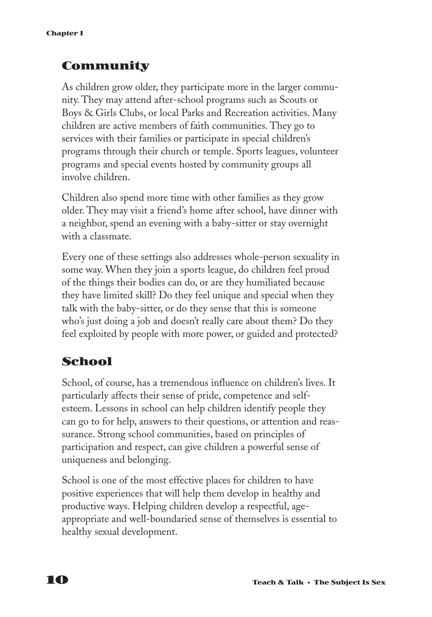### **Community**

As children grow older, they participate more in the larger community. They may attend after-school programs such as Scouts or Boys & Girls Clubs, or local Parks and Recreation activities. Many children are active members of faith communities. They go to services with their families or participate in special children's programs through their church or temple. Sports leagues, volunteer programs and special events hosted by community groups all involve children.

Children also spend more time with other families as they grow older. They may visit a friend's home after school, have dinner with a neighbor, spend an evening with a baby-sitter or stay overnight with a classmate.

Every one of these settings also addresses whole-person sexuality in some way. When they join a sports league, do children feel proud of the things their bodies can do, or are they humiliated because they have limited skill? Do they feel unique and special when they talk with the baby-sitter, or do they sense that this is someone who's just doing a job and doesn't really care about them? Do they feel exploited by people with more power, or guided and protected?

### **School**

School, of course, has a tremendous influence on children's lives. It particularly affects their sense of pride, competence and selfesteem. Lessons in school can help children identify people they can go to for help, answers to their questions, or attention and reassurance. Strong school communities, based on principles of participation and respect, can give children a powerful sense of uniqueness and belonging.

School is one of the most effective places for children to have positive experiences that will help them develop in healthy and productive ways. Helping children develop a respectful, ageappropriate and well-boundaried sense of themselves is essential to healthy sexual development.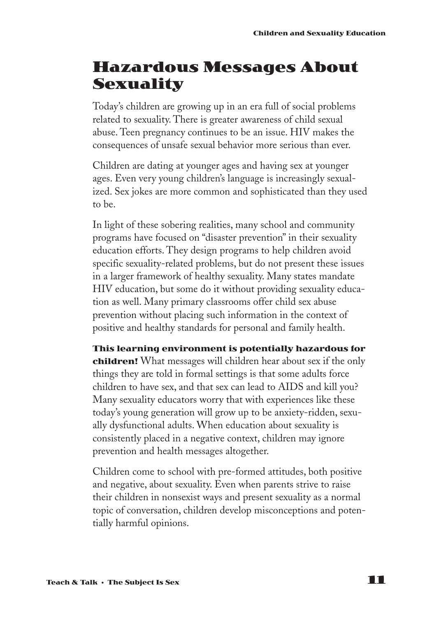### **Hazardous Messages About Sexuality**

Today's children are growing up in an era full of social problems related to sexuality. There is greater awareness of child sexual abuse. Teen pregnancy continues to be an issue. HIV makes the consequences of unsafe sexual behavior more serious than ever.

Children are dating at younger ages and having sex at younger ages. Even very young children's language is increasingly sexualized. Sex jokes are more common and sophisticated than they used to be.

In light of these sobering realities, many school and community programs have focused on "disaster prevention" in their sexuality education efforts. They design programs to help children avoid specific sexuality-related problems, but do not present these issues in a larger framework of healthy sexuality. Many states mandate HIV education, but some do it without providing sexuality education as well. Many primary classrooms offer child sex abuse prevention without placing such information in the context of positive and healthy standards for personal and family health.

**This learning environment is potentially hazardous for children!** What messages will children hear about sex if the only things they are told in formal settings is that some adults force children to have sex, and that sex can lead to AIDS and kill you? Many sexuality educators worry that with experiences like these today's young generation will grow up to be anxiety-ridden, sexually dysfunctional adults. When education about sexuality is consistently placed in a negative context, children may ignore prevention and health messages altogether.

Children come to school with pre-formed attitudes, both positive and negative, about sexuality. Even when parents strive to raise their children in nonsexist ways and present sexuality as a normal topic of conversation, children develop misconceptions and potentially harmful opinions.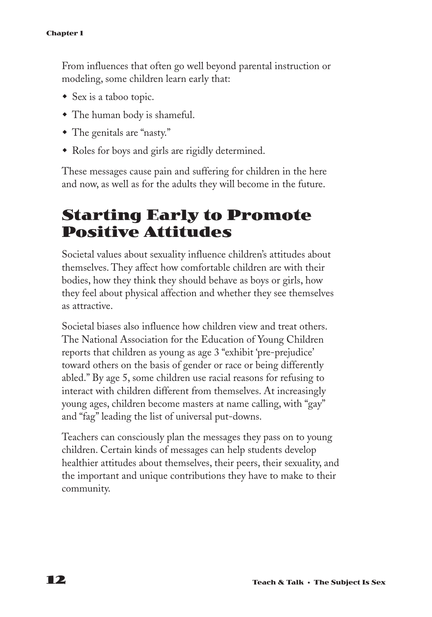From influences that often go well beyond parental instruction or modeling, some children learn early that:

- $\bullet$  Sex is a taboo topic.
- $\bullet$  The human body is shameful.
- The genitals are "nasty."
- Roles for boys and girls are rigidly determined.

These messages cause pain and suffering for children in the here and now, as well as for the adults they will become in the future.

# **Starting Early to Promote Positive Attitudes**

Societal values about sexuality influence children's attitudes about themselves. They affect how comfortable children are with their bodies, how they think they should behave as boys or girls, how they feel about physical affection and whether they see themselves as attractive.

Societal biases also influence how children view and treat others. The National Association for the Education of Young Children reports that children as young as age 3 "exhibit 'pre-prejudice' toward others on the basis of gender or race or being differently abled." By age 5, some children use racial reasons for refusing to interact with children different from themselves. At increasingly young ages, children become masters at name calling, with "gay" and "fag" leading the list of universal put-downs.

Teachers can consciously plan the messages they pass on to young children. Certain kinds of messages can help students develop healthier attitudes about themselves, their peers, their sexuality, and the important and unique contributions they have to make to their community.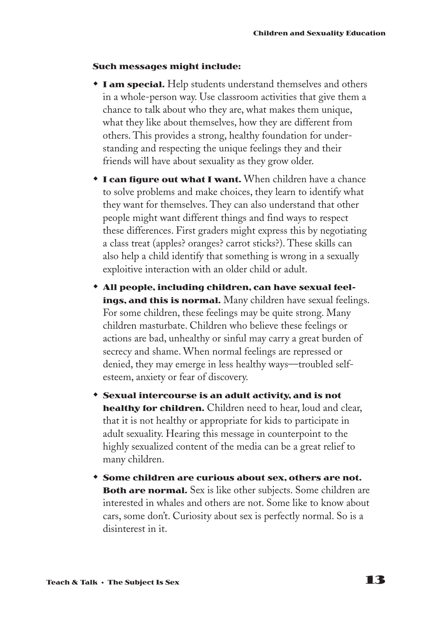#### **Such messages might include:**

- **I am special.** Help students understand themselves and others in a whole-person way. Use classroom activities that give them a chance to talk about who they are, what makes them unique, what they like about themselves, how they are different from others. This provides a strong, healthy foundation for understanding and respecting the unique feelings they and their friends will have about sexuality as they grow older.
- **I can figure out what I want.** When children have a chance to solve problems and make choices, they learn to identify what they want for themselves. They can also understand that other people might want different things and find ways to respect these differences. First graders might express this by negotiating a class treat (apples? oranges? carrot sticks?). These skills can also help a child identify that something is wrong in a sexually exploitive interaction with an older child or adult.
- \* All people, including children, can have sexual feel**ings, and this is normal.** Many children have sexual feelings. For some children, these feelings may be quite strong. Many children masturbate. Children who believe these feelings or actions are bad, unhealthy or sinful may carry a great burden of secrecy and shame. When normal feelings are repressed or denied, they may emerge in less healthy ways—troubled selfesteem, anxiety or fear of discovery.
- w **Sexual intercourse is an adult activity, and is not healthy for children.** Children need to hear, loud and clear, that it is not healthy or appropriate for kids to participate in adult sexuality. Hearing this message in counterpoint to the highly sexualized content of the media can be a great relief to many children.
- w **Some children are curious about sex, others are not. Both are normal.** Sex is like other subjects. Some children are interested in whales and others are not. Some like to know about cars, some don't. Curiosity about sex is perfectly normal. So is a disinterest in it.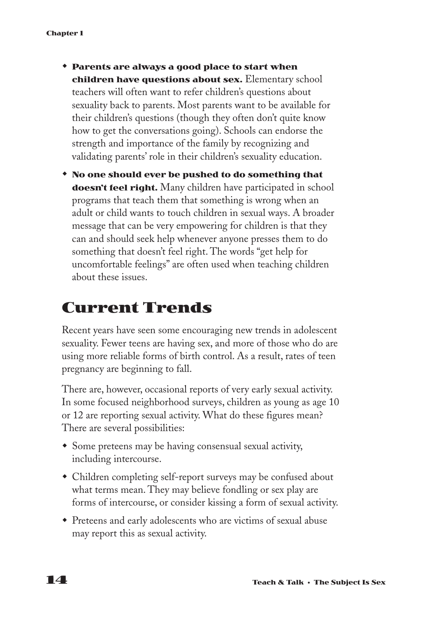- w **Parents are always a good place to start when children have questions about sex.** Elementary school teachers will often want to refer children's questions about sexuality back to parents. Most parents want to be available for their children's questions (though they often don't quite know how to get the conversations going). Schools can endorse the strength and importance of the family by recognizing and validating parents' role in their children's sexuality education.
- w **No one should ever be pushed to do something that doesn't feel right.** Many children have participated in school programs that teach them that something is wrong when an adult or child wants to touch children in sexual ways. A broader message that can be very empowering for children is that they can and should seek help whenever anyone presses them to do something that doesn't feel right. The words "get help for uncomfortable feelings" are often used when teaching children about these issues.

# **Current Trends**

Recent years have seen some encouraging new trends in adolescent sexuality. Fewer teens are having sex, and more of those who do are using more reliable forms of birth control. As a result, rates of teen pregnancy are beginning to fall.

There are, however, occasional reports of very early sexual activity. In some focused neighborhood surveys, children as young as age 10 or 12 are reporting sexual activity. What do these figures mean? There are several possibilities:

- Some preteens may be having consensual sexual activity, including intercourse.
- Children completing self-report surveys may be confused about what terms mean. They may believe fondling or sex play are forms of intercourse, or consider kissing a form of sexual activity.
- Preteens and early adolescents who are victims of sexual abuse may report this as sexual activity.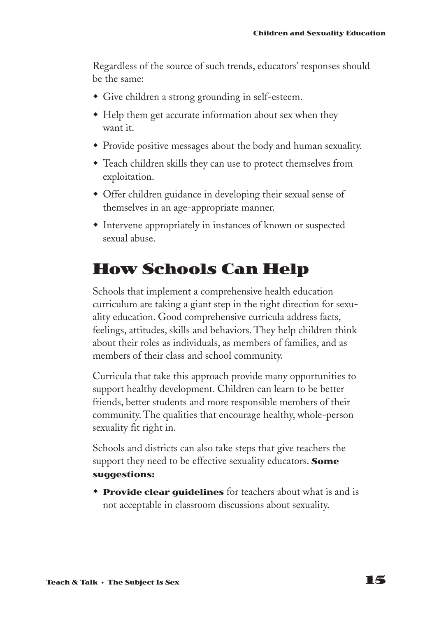Regardless of the source of such trends, educators' responses should be the same:

- Give children a strong grounding in self-esteem.
- Help them get accurate information about sex when they want it.
- Provide positive messages about the body and human sexuality.
- w Teach children skills they can use to protect themselves from exploitation.
- Offer children guidance in developing their sexual sense of themselves in an age-appropriate manner.
- $\bullet$  Intervene appropriately in instances of known or suspected sexual abuse.

### **How Schools Can Help**

Schools that implement a comprehensive health education curriculum are taking a giant step in the right direction for sexuality education. Good comprehensive curricula address facts, feelings, attitudes, skills and behaviors. They help children think about their roles as individuals, as members of families, and as members of their class and school community.

Curricula that take this approach provide many opportunities to support healthy development. Children can learn to be better friends, better students and more responsible members of their community. The qualities that encourage healthy, whole-person sexuality fit right in.

Schools and districts can also take steps that give teachers the support they need to be effective sexuality educators. **Some suggestions:**

**Provide clear quidelines** for teachers about what is and is not acceptable in classroom discussions about sexuality.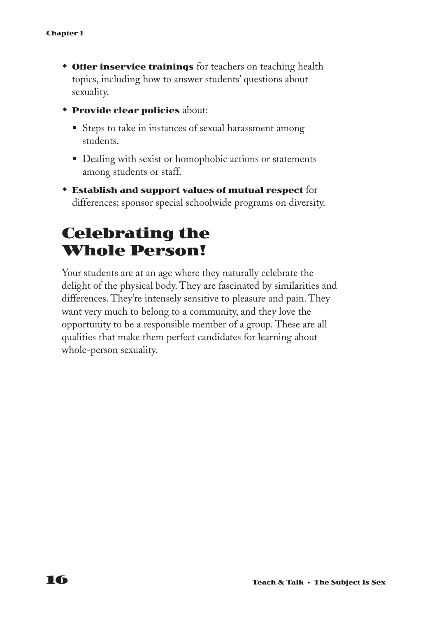- **\* Offer inservice trainings** for teachers on teaching health topics, including how to answer students' questions about sexuality.
- **\*** Provide clear policies about:
	- Steps to take in instances of sexual harassment among students.
	- Dealing with sexist or homophobic actions or statements among students or staff.
- w **Establish and support values of mutual respect** for differences; sponsor special schoolwide programs on diversity.

### **Celebrating the Whole Person!**

Your students are at an age where they naturally celebrate the delight of the physical body. They are fascinated by similarities and differences. They're intensely sensitive to pleasure and pain. They want very much to belong to a community, and they love the opportunity to be a responsible member of a group. These are all qualities that make them perfect candidates for learning about whole-person sexuality.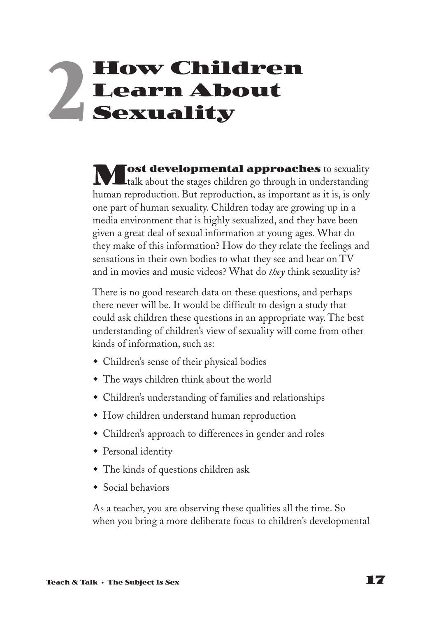# **How Children Learn About Sexuality 2**

**Most developmental approaches** to sexuality talk about the stages children go through in understanding human reproduction. But reproduction, as important as it is, is only one part of human sexuality. Children today are growing up in a media environment that is highly sexualized, and they have been given a great deal of sexual information at young ages. What do they make of this information? How do they relate the feelings and sensations in their own bodies to what they see and hear on TV and in movies and music videos? What do *they* think sexuality is?

There is no good research data on these questions, and perhaps there never will be. It would be difficult to design a study that could ask children these questions in an appropriate way. The best understanding of children's view of sexuality will come from other kinds of information, such as:

- Children's sense of their physical bodies
- The ways children think about the world
- Children's understanding of families and relationships
- How children understand human reproduction
- Children's approach to differences in gender and roles
- $\triangleleft$  Personal identity
- The kinds of questions children ask
- $\bullet$  Social behaviors

As a teacher, you are observing these qualities all the time. So when you bring a more deliberate focus to children's developmental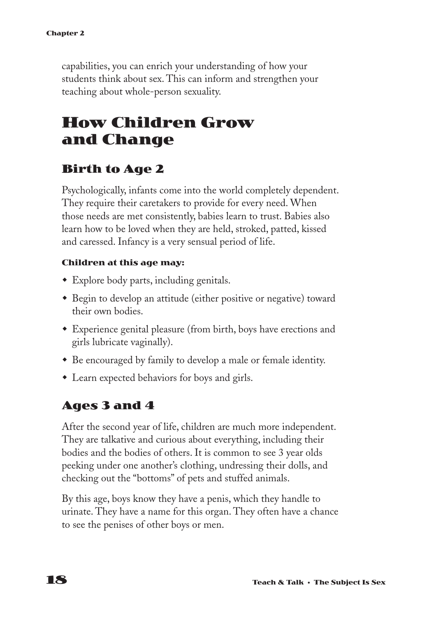capabilities, you can enrich your understanding of how your students think about sex. This can inform and strengthen your teaching about whole-person sexuality.

# **How Children Grow and Change**

### **Birth to Age 2**

Psychologically, infants come into the world completely dependent. They require their caretakers to provide for every need. When those needs are met consistently, babies learn to trust. Babies also learn how to be loved when they are held, stroked, patted, kissed and caressed. Infancy is a very sensual period of life.

#### **Children at this age may:**

- $\bullet$  Explore body parts, including genitals.
- \* Begin to develop an attitude (either positive or negative) toward their own bodies.
- Experience genital pleasure (from birth, boys have erections and girls lubricate vaginally).
- Be encouraged by family to develop a male or female identity.
- $\bullet$  Learn expected behaviors for boys and girls.

### **Ages 3 and 4**

After the second year of life, children are much more independent. They are talkative and curious about everything, including their bodies and the bodies of others. It is common to see 3 year olds peeking under one another's clothing, undressing their dolls, and checking out the "bottoms" of pets and stuffed animals.

By this age, boys know they have a penis, which they handle to urinate. They have a name for this organ. They often have a chance to see the penises of other boys or men.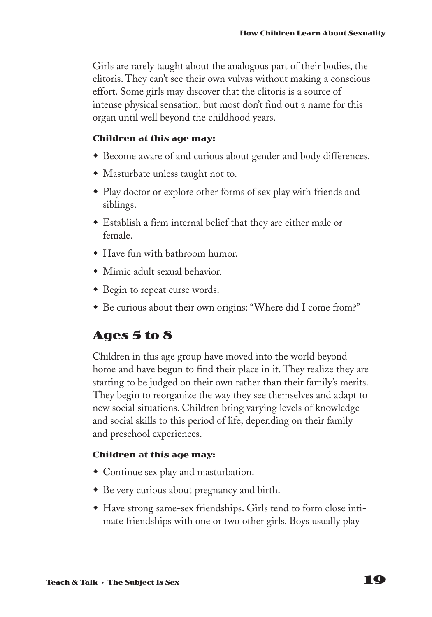Girls are rarely taught about the analogous part of their bodies, the clitoris. They can't see their own vulvas without making a conscious effort. Some girls may discover that the clitoris is a source of intense physical sensation, but most don't find out a name for this organ until well beyond the childhood years.

#### **Children at this age may:**

- Become aware of and curious about gender and body differences.
- Masturbate unless taught not to.
- Play doctor or explore other forms of sex play with friends and siblings.
- w Establish a firm internal belief that they are either male or female.
- Have fun with bathroom humor.
- $\bullet$  Mimic adult sexual behavior.
- Begin to repeat curse words.
- \* Be curious about their own origins: "Where did I come from?"

### **Ages 5 to 8**

Children in this age group have moved into the world beyond home and have begun to find their place in it. They realize they are starting to be judged on their own rather than their family's merits. They begin to reorganize the way they see themselves and adapt to new social situations. Children bring varying levels of knowledge and social skills to this period of life, depending on their family and preschool experiences.

#### **Children at this age may:**

- Continue sex play and masturbation.
- Be very curious about pregnancy and birth.
- w Have strong same-sex friendships. Girls tend to form close intimate friendships with one or two other girls. Boys usually play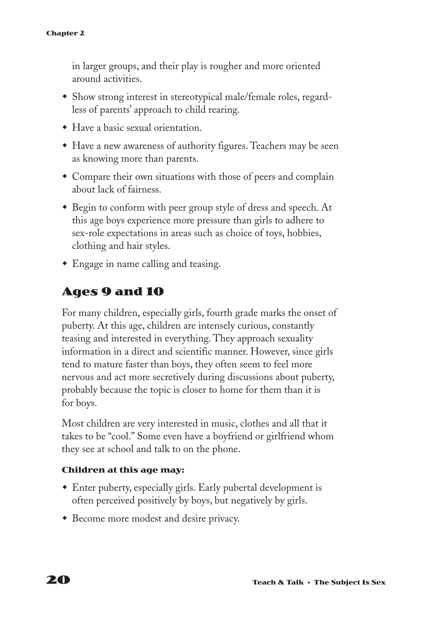in larger groups, and their play is rougher and more oriented around activities.

- Show strong interest in stereotypical male/female roles, regardless of parents' approach to child rearing.
- $\bullet$  Have a basic sexual orientation.
- Have a new awareness of authority figures. Teachers may be seen as knowing more than parents.
- Compare their own situations with those of peers and complain about lack of fairness.
- \* Begin to conform with peer group style of dress and speech. At this age boys experience more pressure than girls to adhere to sex-role expectations in areas such as choice of toys, hobbies, clothing and hair styles.
- Engage in name calling and teasing.

### **Ages 9 and 10**

For many children, especially girls, fourth grade marks the onset of puberty. At this age, children are intensely curious, constantly teasing and interested in everything. They approach sexuality information in a direct and scientific manner. However, since girls tend to mature faster than boys, they often seem to feel more nervous and act more secretively during discussions about puberty, probably because the topic is closer to home for them than it is for boys.

Most children are very interested in music, clothes and all that it takes to be "cool." Some even have a boyfriend or girlfriend whom they see at school and talk to on the phone.

#### **Children at this age may:**

- $\bullet$  Enter puberty, especially girls. Early pubertal development is often perceived positively by boys, but negatively by girls.
- Become more modest and desire privacy.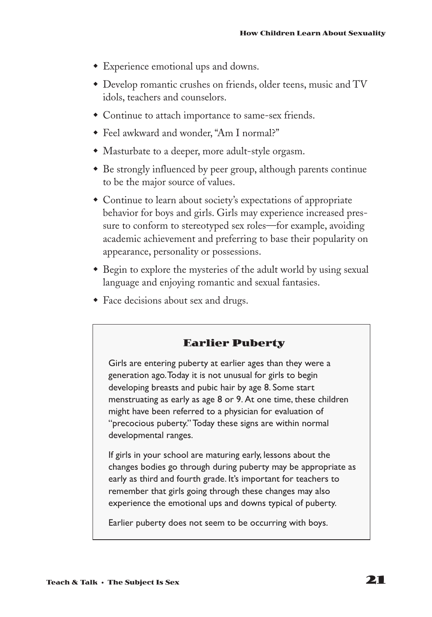- Experience emotional ups and downs.
- Develop romantic crushes on friends, older teens, music and TV idols, teachers and counselors.
- Continue to attach importance to same-sex friends.
- Feel awkward and wonder, "Am I normal?"
- Masturbate to a deeper, more adult-style orgasm.
- Be strongly influenced by peer group, although parents continue to be the major source of values.
- Continue to learn about society's expectations of appropriate behavior for boys and girls. Girls may experience increased pressure to conform to stereotyped sex roles—for example, avoiding academic achievement and preferring to base their popularity on appearance, personality or possessions.
- Begin to explore the mysteries of the adult world by using sexual language and enjoying romantic and sexual fantasies.
- Face decisions about sex and drugs.

#### **Earlier Puberty**

Girls are entering puberty at earlier ages than they were a generation ago.Today it is not unusual for girls to begin developing breasts and pubic hair by age 8. Some start menstruating as early as age 8 or 9. At one time, these children might have been referred to a physician for evaluation of "precocious puberty." Today these signs are within normal developmental ranges.

If girls in your school are maturing early, lessons about the changes bodies go through during puberty may be appropriate as early as third and fourth grade. It's important for teachers to remember that girls going through these changes may also experience the emotional ups and downs typical of puberty.

Earlier puberty does not seem to be occurring with boys.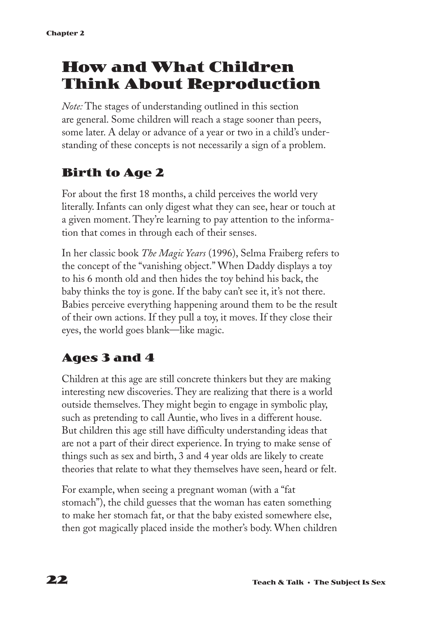# **How and What Children Think About Reproduction**

*Note:* The stages of understanding outlined in this section are general. Some children will reach a stage sooner than peers, some later. A delay or advance of a year or two in a child's understanding of these concepts is not necessarily a sign of a problem.

### **Birth to Age 2**

For about the first 18 months, a child perceives the world very literally. Infants can only digest what they can see, hear or touch at a given moment. They're learning to pay attention to the information that comes in through each of their senses.

In her classic book *The Magic Years* (1996), Selma Fraiberg refers to the concept of the "vanishing object." When Daddy displays a toy to his 6 month old and then hides the toy behind his back, the baby thinks the toy is gone. If the baby can't see it, it's not there. Babies perceive everything happening around them to be the result of their own actions. If they pull a toy, it moves. If they close their eyes, the world goes blank—like magic.

### **Ages 3 and 4**

Children at this age are still concrete thinkers but they are making interesting new discoveries. They are realizing that there is a world outside themselves. They might begin to engage in symbolic play, such as pretending to call Auntie, who lives in a different house. But children this age still have difficulty understanding ideas that are not a part of their direct experience. In trying to make sense of things such as sex and birth, 3 and 4 year olds are likely to create theories that relate to what they themselves have seen, heard or felt.

For example, when seeing a pregnant woman (with a "fat stomach"), the child guesses that the woman has eaten something to make her stomach fat, or that the baby existed somewhere else, then got magically placed inside the mother's body. When children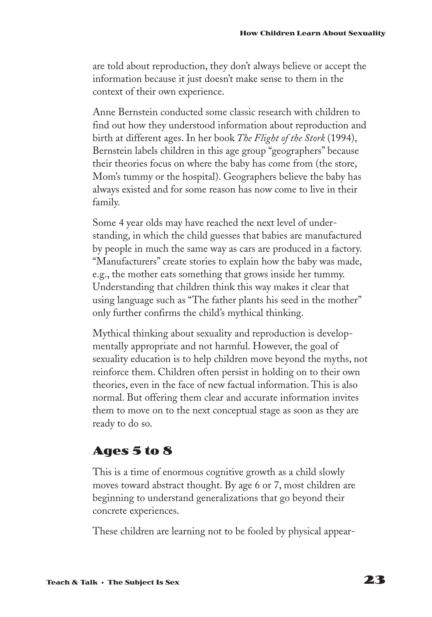are told about reproduction, they don't always believe or accept the information because it just doesn't make sense to them in the context of their own experience.

Anne Bernstein conducted some classic research with children to find out how they understood information about reproduction and birth at different ages. In her book *The Flight of the Stork* (1994), Bernstein labels children in this age group "geographers" because their theories focus on where the baby has come from (the store, Mom's tummy or the hospital). Geographers believe the baby has always existed and for some reason has now come to live in their family.

Some 4 year olds may have reached the next level of understanding, in which the child guesses that babies are manufactured by people in much the same way as cars are produced in a factory. "Manufacturers" create stories to explain how the baby was made, e.g., the mother eats something that grows inside her tummy. Understanding that children think this way makes it clear that using language such as "The father plants his seed in the mother" only further confirms the child's mythical thinking.

Mythical thinking about sexuality and reproduction is developmentally appropriate and not harmful. However, the goal of sexuality education is to help children move beyond the myths, not reinforce them. Children often persist in holding on to their own theories, even in the face of new factual information. This is also normal. But offering them clear and accurate information invites them to move on to the next conceptual stage as soon as they are ready to do so.

### **Ages 5 to 8**

This is a time of enormous cognitive growth as a child slowly moves toward abstract thought. By age 6 or 7, most children are beginning to understand generalizations that go beyond their concrete experiences.

These children are learning not to be fooled by physical appear-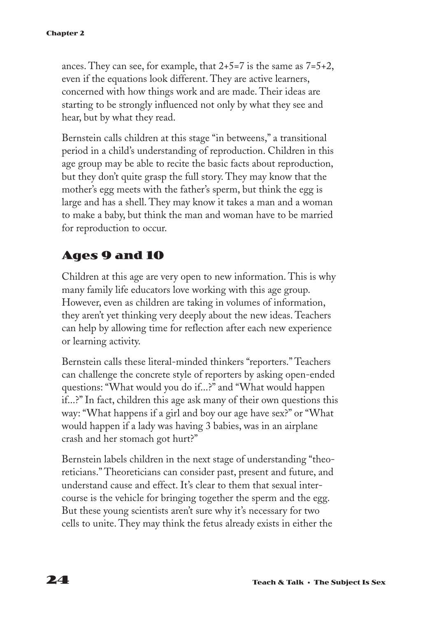ances. They can see, for example, that  $2+5=7$  is the same as  $7=5+2$ , even if the equations look different. They are active learners, concerned with how things work and are made. Their ideas are starting to be strongly influenced not only by what they see and hear, but by what they read.

Bernstein calls children at this stage "in betweens," a transitional period in a child's understanding of reproduction. Children in this age group may be able to recite the basic facts about reproduction, but they don't quite grasp the full story. They may know that the mother's egg meets with the father's sperm, but think the egg is large and has a shell. They may know it takes a man and a woman to make a baby, but think the man and woman have to be married for reproduction to occur.

### **Ages 9 and 10**

Children at this age are very open to new information. This is why many family life educators love working with this age group. However, even as children are taking in volumes of information, they aren't yet thinking very deeply about the new ideas. Teachers can help by allowing time for reflection after each new experience or learning activity.

Bernstein calls these literal-minded thinkers "reporters." Teachers can challenge the concrete style of reporters by asking open-ended questions: "What would you do if...?" and "What would happen if...?" In fact, children this age ask many of their own questions this way: "What happens if a girl and boy our age have sex?" or "What would happen if a lady was having 3 babies, was in an airplane crash and her stomach got hurt?"

Bernstein labels children in the next stage of understanding "theoreticians." Theoreticians can consider past, present and future, and understand cause and effect. It's clear to them that sexual intercourse is the vehicle for bringing together the sperm and the egg. But these young scientists aren't sure why it's necessary for two cells to unite. They may think the fetus already exists in either the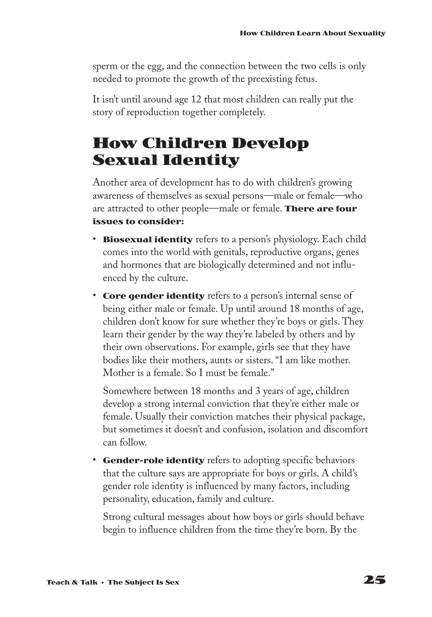sperm or the egg, and the connection between the two cells is only needed to promote the growth of the preexisting fetus.

It isn't until around age 12 that most children can really put the story of reproduction together completely.

# **How Children Develop Sexual Identity**

Another area of development has to do with children's growing awareness of themselves as sexual persons—male or female—who are attracted to other people—male or female. **There are four issues to consider:**

- **Biosexual identity** refers to a person's physiology. Each child comes into the world with genitals, reproductive organs, genes and hormones that are biologically determined and not influenced by the culture.
- **Core gender identity** refers to a person's internal sense of being either male or female. Up until around 18 months of age, children don't know for sure whether they're boys or girls. They learn their gender by the way they're labeled by others and by their own observations. For example, girls see that they have bodies like their mothers, aunts or sisters. "I am like mother. Mother is a female. So I must be female."

Somewhere between 18 months and 3 years of age, children develop a strong internal conviction that they're either male or female. Usually their conviction matches their physical package, but sometimes it doesn't and confusion, isolation and discomfort can follow.

• **Gender-role identity** refers to adopting specific behaviors that the culture says are appropriate for boys or girls. A child's gender role identity is influenced by many factors, including personality, education, family and culture.

Strong cultural messages about how boys or girls should behave begin to influence children from the time they're born. By the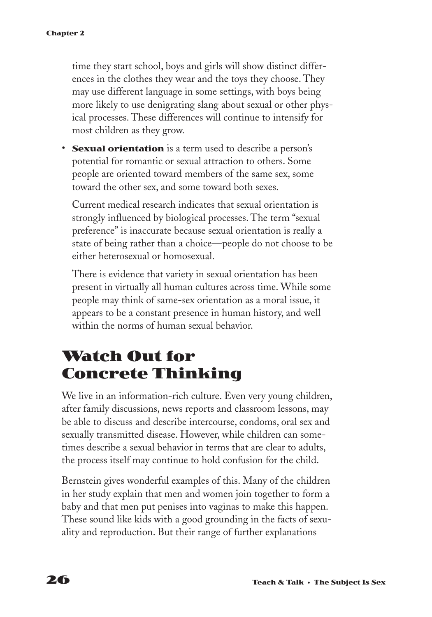time they start school, boys and girls will show distinct differences in the clothes they wear and the toys they choose. They may use different language in some settings, with boys being more likely to use denigrating slang about sexual or other physical processes. These differences will continue to intensify for most children as they grow.

• **Sexual orientation** is a term used to describe a person's potential for romantic or sexual attraction to others. Some people are oriented toward members of the same sex, some toward the other sex, and some toward both sexes.

Current medical research indicates that sexual orientation is strongly influenced by biological processes. The term "sexual preference" is inaccurate because sexual orientation is really a state of being rather than a choice—people do not choose to be either heterosexual or homosexual.

There is evidence that variety in sexual orientation has been present in virtually all human cultures across time. While some people may think of same-sex orientation as a moral issue, it appears to be a constant presence in human history, and well within the norms of human sexual behavior.

# **Watch Out for Concrete Thinking**

We live in an information-rich culture. Even very young children, after family discussions, news reports and classroom lessons, may be able to discuss and describe intercourse, condoms, oral sex and sexually transmitted disease. However, while children can sometimes describe a sexual behavior in terms that are clear to adults, the process itself may continue to hold confusion for the child.

Bernstein gives wonderful examples of this. Many of the children in her study explain that men and women join together to form a baby and that men put penises into vaginas to make this happen. These sound like kids with a good grounding in the facts of sexuality and reproduction. But their range of further explanations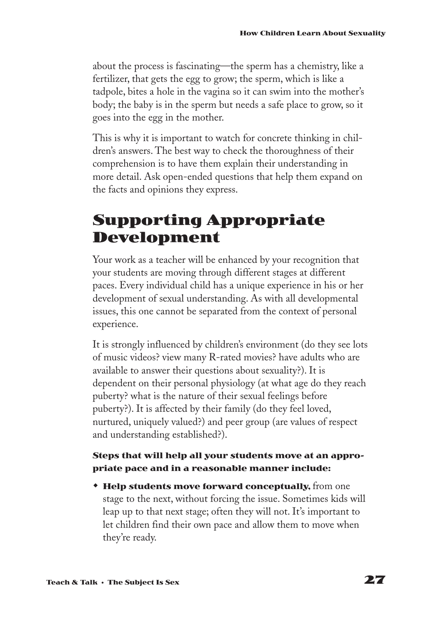about the process is fascinating—the sperm has a chemistry, like a fertilizer, that gets the egg to grow; the sperm, which is like a tadpole, bites a hole in the vagina so it can swim into the mother's body; the baby is in the sperm but needs a safe place to grow, so it goes into the egg in the mother.

This is why it is important to watch for concrete thinking in children's answers. The best way to check the thoroughness of their comprehension is to have them explain their understanding in more detail. Ask open-ended questions that help them expand on the facts and opinions they express.

# **Supporting Appropriate Development**

Your work as a teacher will be enhanced by your recognition that your students are moving through different stages at different paces. Every individual child has a unique experience in his or her development of sexual understanding. As with all developmental issues, this one cannot be separated from the context of personal experience.

It is strongly influenced by children's environment (do they see lots of music videos? view many R-rated movies? have adults who are available to answer their questions about sexuality?). It is dependent on their personal physiology (at what age do they reach puberty? what is the nature of their sexual feelings before puberty?). It is affected by their family (do they feel loved, nurtured, uniquely valued?) and peer group (are values of respect and understanding established?).

#### **Steps that will help all your students move at an appropriate pace and in a reasonable manner include:**

**\* Help students move forward conceptually, from one** stage to the next, without forcing the issue. Sometimes kids will leap up to that next stage; often they will not. It's important to let children find their own pace and allow them to move when they're ready.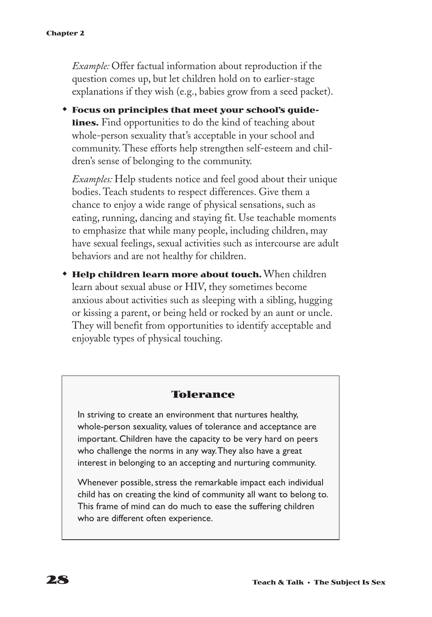*Example:* Offer factual information about reproduction if the question comes up, but let children hold on to earlier-stage explanations if they wish (e.g., babies grow from a seed packet).

**\*** Focus on principles that meet your school's guide**lines.** Find opportunities to do the kind of teaching about whole-person sexuality that's acceptable in your school and community. These efforts help strengthen self-esteem and children's sense of belonging to the community.

*Examples:* Help students notice and feel good about their unique bodies. Teach students to respect differences. Give them a chance to enjoy a wide range of physical sensations, such as eating, running, dancing and staying fit. Use teachable moments to emphasize that while many people, including children, may have sexual feelings, sexual activities such as intercourse are adult behaviors and are not healthy for children.

**\* Help children learn more about touch.** When children learn about sexual abuse or HIV, they sometimes become anxious about activities such as sleeping with a sibling, hugging or kissing a parent, or being held or rocked by an aunt or uncle. They will benefit from opportunities to identify acceptable and enjoyable types of physical touching.

#### **Tolerance**

In striving to create an environment that nurtures healthy, whole-person sexuality, values of tolerance and acceptance are important. Children have the capacity to be very hard on peers who challenge the norms in any way.They also have a great interest in belonging to an accepting and nurturing community.

Whenever possible, stress the remarkable impact each individual child has on creating the kind of community all want to belong to. This frame of mind can do much to ease the suffering children who are different often experience.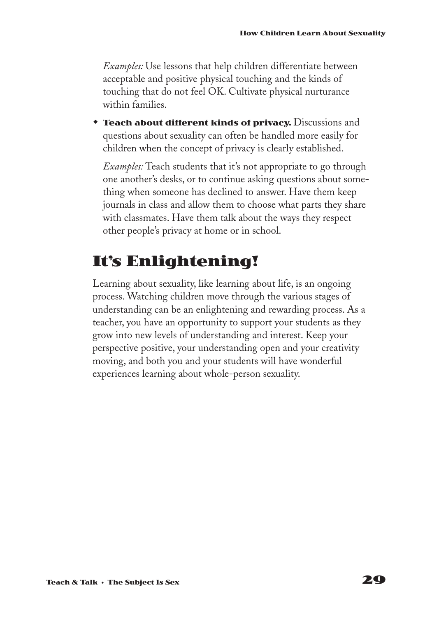*Examples:* Use lessons that help children differentiate between acceptable and positive physical touching and the kinds of touching that do not feel OK. Cultivate physical nurturance within families.

**Teach about different kinds of privacy.** Discussions and questions about sexuality can often be handled more easily for children when the concept of privacy is clearly established.

*Examples:* Teach students that it's not appropriate to go through one another's desks, or to continue asking questions about something when someone has declined to answer. Have them keep journals in class and allow them to choose what parts they share with classmates. Have them talk about the ways they respect other people's privacy at home or in school.

# **It's Enlightening!**

Learning about sexuality, like learning about life, is an ongoing process. Watching children move through the various stages of understanding can be an enlightening and rewarding process. As a teacher, you have an opportunity to support your students as they grow into new levels of understanding and interest. Keep your perspective positive, your understanding open and your creativity moving, and both you and your students will have wonderful experiences learning about whole-person sexuality.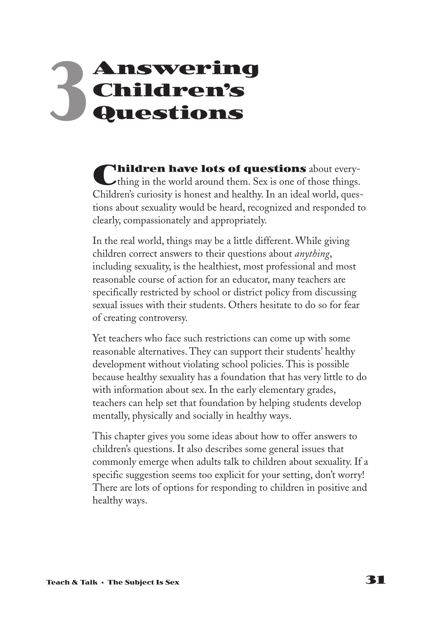# **Answering Children's Questions 3**

**Children have lots of questions** about every-<br>thing in the world around them. Sex is one of those things. Children's curiosity is honest and healthy. In an ideal world, questions about sexuality would be heard, recognized and responded to clearly, compassionately and appropriately.

In the real world, things may be a little different. While giving children correct answers to their questions about *anything*, including sexuality, is the healthiest, most professional and most reasonable course of action for an educator, many teachers are specifically restricted by school or district policy from discussing sexual issues with their students. Others hesitate to do so for fear of creating controversy.

Yet teachers who face such restrictions can come up with some reasonable alternatives. They can support their students' healthy development without violating school policies. This is possible because healthy sexuality has a foundation that has very little to do with information about sex. In the early elementary grades, teachers can help set that foundation by helping students develop mentally, physically and socially in healthy ways.

This chapter gives you some ideas about how to offer answers to children's questions. It also describes some general issues that commonly emerge when adults talk to children about sexuality. If a specific suggestion seems too explicit for your setting, don't worry! There are lots of options for responding to children in positive and healthy ways.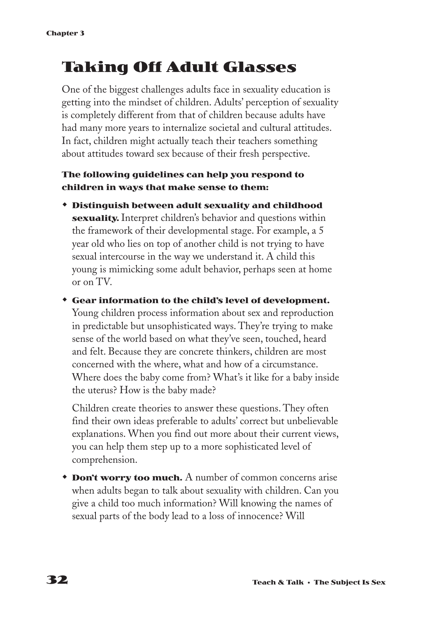# **Taking Off Adult Glasses**

One of the biggest challenges adults face in sexuality education is getting into the mindset of children. Adults' perception of sexuality is completely different from that of children because adults have had many more years to internalize societal and cultural attitudes. In fact, children might actually teach their teachers something about attitudes toward sex because of their fresh perspective.

#### **The following guidelines can help you respond to children in ways that make sense to them:**

w **Distinguish between adult sexuality and childhood sexuality.** Interpret children's behavior and questions within the framework of their developmental stage. For example, a 5 year old who lies on top of another child is not trying to have sexual intercourse in the way we understand it. A child this young is mimicking some adult behavior, perhaps seen at home or on TV.

w **Gear information to the child's level of development.** Young children process information about sex and reproduction in predictable but unsophisticated ways. They're trying to make sense of the world based on what they've seen, touched, heard and felt. Because they are concrete thinkers, children are most concerned with the where, what and how of a circumstance. Where does the baby come from? What's it like for a baby inside the uterus? How is the baby made?

Children create theories to answer these questions. They often find their own ideas preferable to adults' correct but unbelievable explanations. When you find out more about their current views, you can help them step up to a more sophisticated level of comprehension.

**\* Don't worry too much.** A number of common concerns arise when adults began to talk about sexuality with children. Can you give a child too much information? Will knowing the names of sexual parts of the body lead to a loss of innocence? Will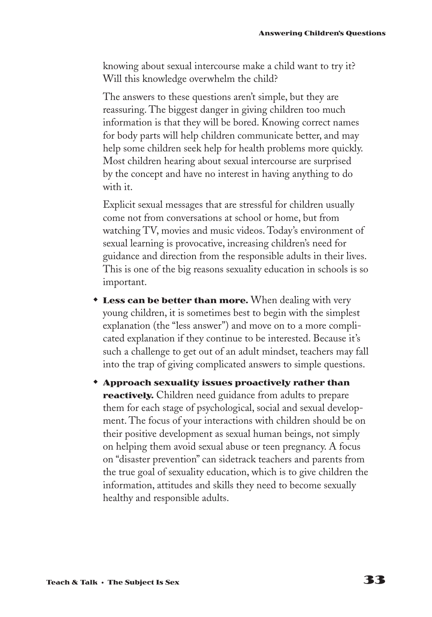knowing about sexual intercourse make a child want to try it? Will this knowledge overwhelm the child?

The answers to these questions aren't simple, but they are reassuring. The biggest danger in giving children too much information is that they will be bored. Knowing correct names for body parts will help children communicate better, and may help some children seek help for health problems more quickly. Most children hearing about sexual intercourse are surprised by the concept and have no interest in having anything to do with it.

Explicit sexual messages that are stressful for children usually come not from conversations at school or home, but from watching TV, movies and music videos. Today's environment of sexual learning is provocative, increasing children's need for guidance and direction from the responsible adults in their lives. This is one of the big reasons sexuality education in schools is so important.

- **Less can be better than more.** When dealing with very young children, it is sometimes best to begin with the simplest explanation (the "less answer") and move on to a more complicated explanation if they continue to be interested. Because it's such a challenge to get out of an adult mindset, teachers may fall into the trap of giving complicated answers to simple questions.
- w **Approach sexuality issues proactively rather than reactively.** Children need guidance from adults to prepare them for each stage of psychological, social and sexual development. The focus of your interactions with children should be on their positive development as sexual human beings, not simply on helping them avoid sexual abuse or teen pregnancy. A focus on "disaster prevention" can sidetrack teachers and parents from the true goal of sexuality education, which is to give children the information, attitudes and skills they need to become sexually healthy and responsible adults.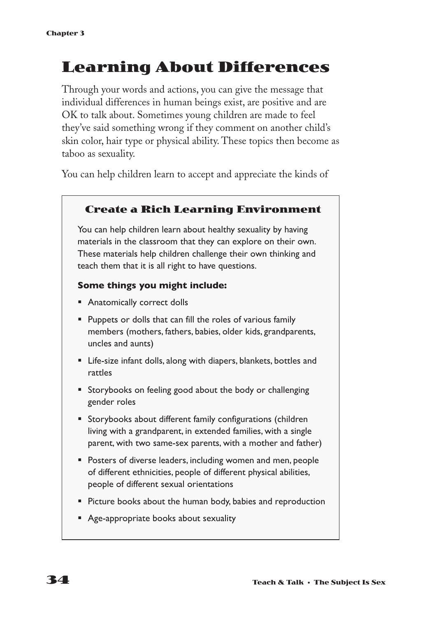# **Learning About Differences**

Through your words and actions, you can give the message that individual differences in human beings exist, are positive and are OK to talk about. Sometimes young children are made to feel they've said something wrong if they comment on another child's skin color, hair type or physical ability. These topics then become as taboo as sexuality.

You can help children learn to accept and appreciate the kinds of

#### **Create a Rich Learning Environment**

You can help children learn about healthy sexuality by having materials in the classroom that they can explore on their own. These materials help children challenge their own thinking and teach them that it is all right to have questions.

#### **Some things you might include:**

- Anatomically correct dolls
- § Puppets or dolls that can fill the roles of various family members (mothers, fathers, babies, older kids, grandparents, uncles and aunts)
- Life-size infant dolls, along with diapers, blankets, bottles and rattles
- Storybooks on feeling good about the body or challenging gender roles
- Storybooks about different family configurations (children living with a grandparent, in extended families, with a single parent, with two same-sex parents, with a mother and father)
- Posters of diverse leaders, including women and men, people of different ethnicities, people of different physical abilities, people of different sexual orientations
- Picture books about the human body, babies and reproduction
- Age-appropriate books about sexuality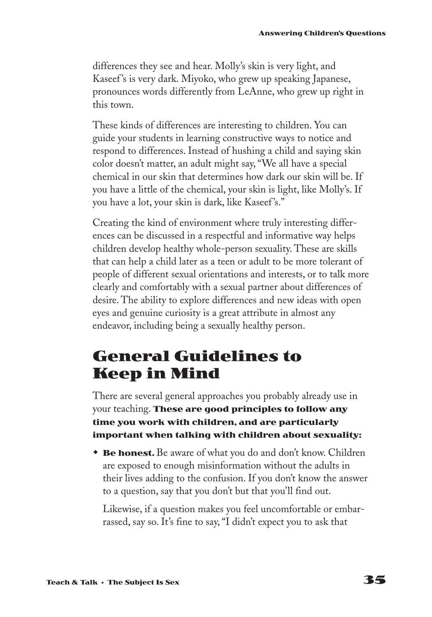differences they see and hear. Molly's skin is very light, and Kaseef 's is very dark. Miyoko, who grew up speaking Japanese, pronounces words differently from LeAnne, who grew up right in this town.

These kinds of differences are interesting to children. You can guide your students in learning constructive ways to notice and respond to differences. Instead of hushing a child and saying skin color doesn't matter, an adult might say, "We all have a special chemical in our skin that determines how dark our skin will be. If you have a little of the chemical, your skin is light, like Molly's. If you have a lot, your skin is dark, like Kaseef 's."

Creating the kind of environment where truly interesting differences can be discussed in a respectful and informative way helps children develop healthy whole-person sexuality. These are skills that can help a child later as a teen or adult to be more tolerant of people of different sexual orientations and interests, or to talk more clearly and comfortably with a sexual partner about differences of desire. The ability to explore differences and new ideas with open eyes and genuine curiosity is a great attribute in almost any endeavor, including being a sexually healthy person.

# **General Guidelines to Keep in Mind**

There are several general approaches you probably already use in your teaching. **These are good principles to follow any time you work with children, and are particularly important when talking with children about sexuality:**

**\* Be honest.** Be aware of what you do and don't know. Children are exposed to enough misinformation without the adults in their lives adding to the confusion. If you don't know the answer to a question, say that you don't but that you'll find out.

Likewise, if a question makes you feel uncomfortable or embarrassed, say so. It's fine to say, "I didn't expect you to ask that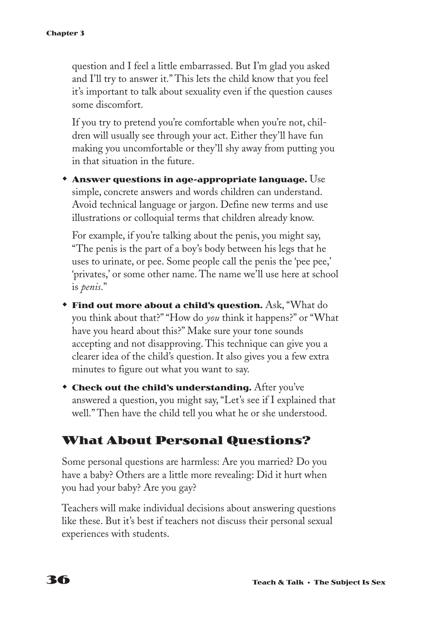question and I feel a little embarrassed. But I'm glad you asked and I'll try to answer it." This lets the child know that you feel it's important to talk about sexuality even if the question causes some discomfort.

If you try to pretend you're comfortable when you're not, children will usually see through your act. Either they'll have fun making you uncomfortable or they'll shy away from putting you in that situation in the future.

w **Answer questions in age-appropriate language.** Use simple, concrete answers and words children can understand. Avoid technical language or jargon. Define new terms and use illustrations or colloquial terms that children already know.

For example, if you're talking about the penis, you might say, "The penis is the part of a boy's body between his legs that he uses to urinate, or pee. Some people call the penis the 'pee pee,' 'privates,' or some other name. The name we'll use here at school is *penis*."

- **Find out more about a child's question.** Ask, "What do you think about that?" "How do *you* think it happens?" or "What have you heard about this?" Make sure your tone sounds accepting and not disapproving. This technique can give you a clearer idea of the child's question. It also gives you a few extra minutes to figure out what you want to say.
- **Check out the child's understanding.** After you've answered a question, you might say, "Let's see if I explained that well." Then have the child tell you what he or she understood.

## **What About Personal Questions?**

Some personal questions are harmless: Are you married? Do you have a baby? Others are a little more revealing: Did it hurt when you had your baby? Are you gay?

Teachers will make individual decisions about answering questions like these. But it's best if teachers not discuss their personal sexual experiences with students.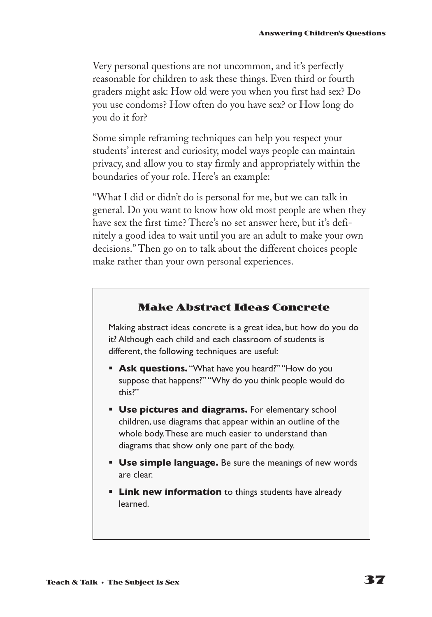Very personal questions are not uncommon, and it's perfectly reasonable for children to ask these things. Even third or fourth graders might ask: How old were you when you first had sex? Do you use condoms? How often do you have sex? or How long do you do it for?

Some simple reframing techniques can help you respect your students' interest and curiosity, model ways people can maintain privacy, and allow you to stay firmly and appropriately within the boundaries of your role. Here's an example:

"What I did or didn't do is personal for me, but we can talk in general. Do you want to know how old most people are when they have sex the first time? There's no set answer here, but it's definitely a good idea to wait until you are an adult to make your own decisions." Then go on to talk about the different choices people make rather than your own personal experiences.

#### **Make Abstract Ideas Concrete**

Making abstract ideas concrete is a great idea, but how do you do it? Although each child and each classroom of students is different, the following techniques are useful:

- **Ask questions.** "What have you heard?" "How do you suppose that happens?" "Why do you think people would do this?"
- **Use pictures and diagrams.** For elementary school children, use diagrams that appear within an outline of the whole body.These are much easier to understand than diagrams that show only one part of the body.
- **Use simple language.** Be sure the meanings of new words are clear.
- **Link new information** to things students have already learned.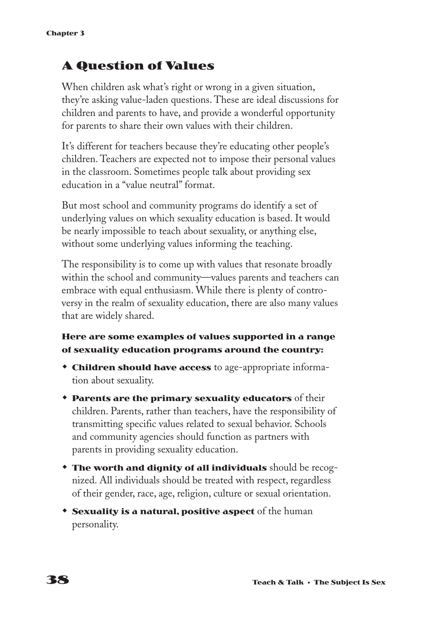## **A Question of Values**

When children ask what's right or wrong in a given situation, they're asking value-laden questions. These are ideal discussions for children and parents to have, and provide a wonderful opportunity for parents to share their own values with their children.

It's different for teachers because they're educating other people's children. Teachers are expected not to impose their personal values in the classroom. Sometimes people talk about providing sex education in a "value neutral" format.

But most school and community programs do identify a set of underlying values on which sexuality education is based. It would be nearly impossible to teach about sexuality, or anything else, without some underlying values informing the teaching.

The responsibility is to come up with values that resonate broadly within the school and community—values parents and teachers can embrace with equal enthusiasm. While there is plenty of controversy in the realm of sexuality education, there are also many values that are widely shared.

#### **Here are some examples of values supported in a range of sexuality education programs around the country:**

- **\* Children should have access** to age-appropriate information about sexuality.
- **\* Parents are the primary sexuality educators** of their children. Parents, rather than teachers, have the responsibility of transmitting specific values related to sexual behavior. Schools and community agencies should function as partners with parents in providing sexuality education.
- **The worth and dignity of all individuals** should be recognized. All individuals should be treated with respect, regardless of their gender, race, age, religion, culture or sexual orientation.
- **Sexuality is a natural, positive aspect** of the human personality.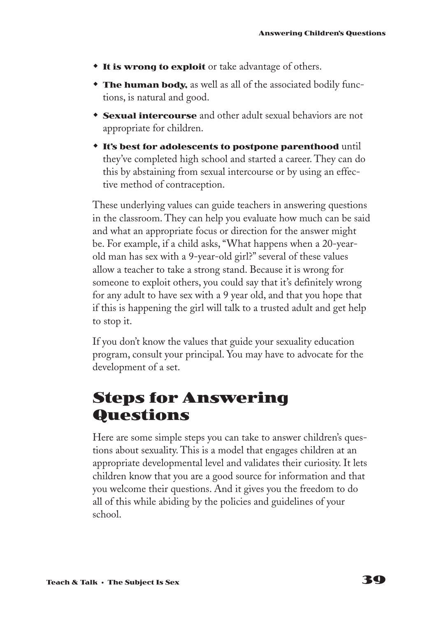- **the It is wrong to exploit** or take advantage of others.
- **The human body,** as well as all of the associated bodily functions, is natural and good.
- **Sexual intercourse** and other adult sexual behaviors are not appropriate for children.
- **\*** It's best for adolescents to postpone parenthood until they've completed high school and started a career. They can do this by abstaining from sexual intercourse or by using an effective method of contraception.

These underlying values can guide teachers in answering questions in the classroom. They can help you evaluate how much can be said and what an appropriate focus or direction for the answer might be. For example, if a child asks, "What happens when a 20-yearold man has sex with a 9-year-old girl?" several of these values allow a teacher to take a strong stand. Because it is wrong for someone to exploit others, you could say that it's definitely wrong for any adult to have sex with a 9 year old, and that you hope that if this is happening the girl will talk to a trusted adult and get help to stop it.

If you don't know the values that guide your sexuality education program, consult your principal. You may have to advocate for the development of a set.

# **Steps for Answering Questions**

Here are some simple steps you can take to answer children's questions about sexuality. This is a model that engages children at an appropriate developmental level and validates their curiosity. It lets children know that you are a good source for information and that you welcome their questions. And it gives you the freedom to do all of this while abiding by the policies and guidelines of your school.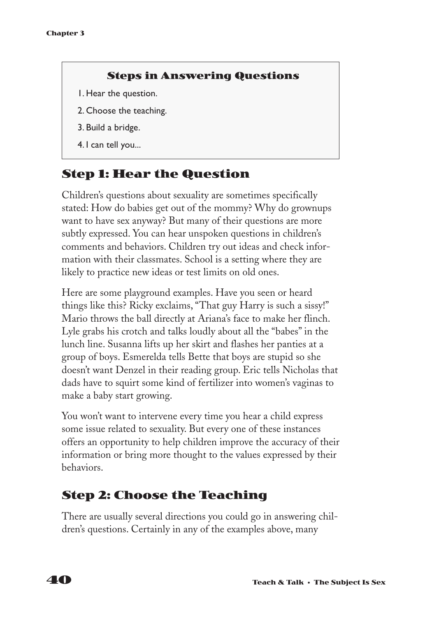#### **Steps in Answering Questions**

- 1. Hear the question.
- 2. Choose the teaching.
- 3. Build a bridge.
- 4. I can tell you...

## **Step 1: Hear the Question**

Children's questions about sexuality are sometimes specifically stated: How do babies get out of the mommy? Why do grownups want to have sex anyway? But many of their questions are more subtly expressed. You can hear unspoken questions in children's comments and behaviors. Children try out ideas and check information with their classmates. School is a setting where they are likely to practice new ideas or test limits on old ones.

Here are some playground examples. Have you seen or heard things like this? Ricky exclaims, "That guy Harry is such a sissy!" Mario throws the ball directly at Ariana's face to make her flinch. Lyle grabs his crotch and talks loudly about all the "babes" in the lunch line. Susanna lifts up her skirt and flashes her panties at a group of boys. Esmerelda tells Bette that boys are stupid so she doesn't want Denzel in their reading group. Eric tells Nicholas that dads have to squirt some kind of fertilizer into women's vaginas to make a baby start growing.

You won't want to intervene every time you hear a child express some issue related to sexuality. But every one of these instances offers an opportunity to help children improve the accuracy of their information or bring more thought to the values expressed by their behaviors.

## **Step 2: Choose the Teaching**

There are usually several directions you could go in answering children's questions. Certainly in any of the examples above, many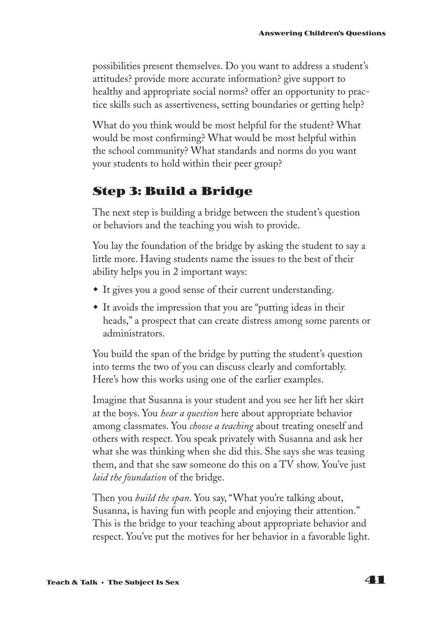possibilities present themselves. Do you want to address a student's attitudes? provide more accurate information? give support to healthy and appropriate social norms? offer an opportunity to practice skills such as assertiveness, setting boundaries or getting help?

What do you think would be most helpful for the student? What would be most confirming? What would be most helpful within the school community? What standards and norms do you want your students to hold within their peer group?

## **Step 3: Build a Bridge**

The next step is building a bridge between the student's question or behaviors and the teaching you wish to provide.

You lay the foundation of the bridge by asking the student to say a little more. Having students name the issues to the best of their ability helps you in 2 important ways:

- $\bullet$  It gives you a good sense of their current understanding.
- It avoids the impression that you are "putting ideas in their heads," a prospect that can create distress among some parents or administrators.

You build the span of the bridge by putting the student's question into terms the two of you can discuss clearly and comfortably. Here's how this works using one of the earlier examples.

Imagine that Susanna is your student and you see her lift her skirt at the boys. You *hear a question* here about appropriate behavior among classmates. You *choose a teaching* about treating oneself and others with respect. You speak privately with Susanna and ask her what she was thinking when she did this. She says she was teasing them, and that she saw someone do this on a TV show. You've just *laid the foundation* of the bridge.

Then you *build the span*. You say, "What you're talking about, Susanna, is having fun with people and enjoying their attention." This is the bridge to your teaching about appropriate behavior and respect. You've put the motives for her behavior in a favorable light.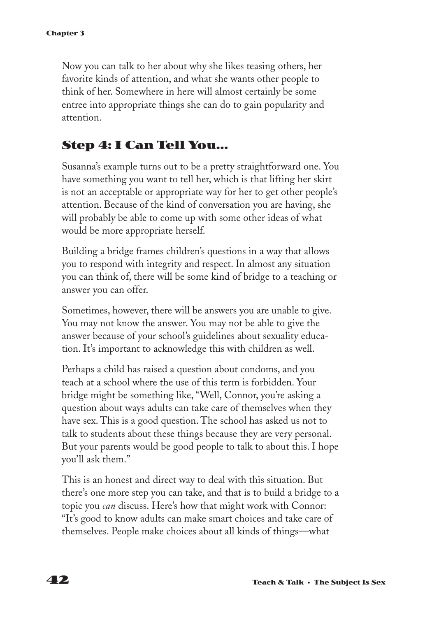Now you can talk to her about why she likes teasing others, her favorite kinds of attention, and what she wants other people to think of her. Somewhere in here will almost certainly be some entree into appropriate things she can do to gain popularity and attention.

## **Step 4: I Can Tell You...**

Susanna's example turns out to be a pretty straightforward one. You have something you want to tell her, which is that lifting her skirt is not an acceptable or appropriate way for her to get other people's attention. Because of the kind of conversation you are having, she will probably be able to come up with some other ideas of what would be more appropriate herself.

Building a bridge frames children's questions in a way that allows you to respond with integrity and respect. In almost any situation you can think of, there will be some kind of bridge to a teaching or answer you can offer.

Sometimes, however, there will be answers you are unable to give. You may not know the answer. You may not be able to give the answer because of your school's guidelines about sexuality education. It's important to acknowledge this with children as well.

Perhaps a child has raised a question about condoms, and you teach at a school where the use of this term is forbidden. Your bridge might be something like, "Well, Connor, you're asking a question about ways adults can take care of themselves when they have sex. This is a good question. The school has asked us not to talk to students about these things because they are very personal. But your parents would be good people to talk to about this. I hope you'll ask them."

This is an honest and direct way to deal with this situation. But there's one more step you can take, and that is to build a bridge to a topic you *can* discuss. Here's how that might work with Connor: "It's good to know adults can make smart choices and take care of themselves. People make choices about all kinds of things—what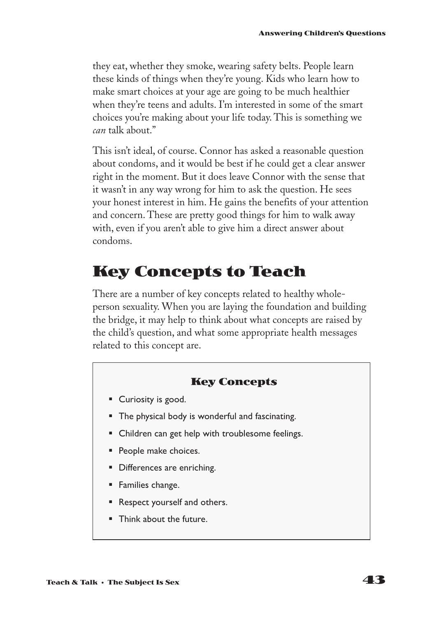they eat, whether they smoke, wearing safety belts. People learn these kinds of things when they're young. Kids who learn how to make smart choices at your age are going to be much healthier when they're teens and adults. I'm interested in some of the smart choices you're making about your life today. This is something we *can* talk about."

This isn't ideal, of course. Connor has asked a reasonable question about condoms, and it would be best if he could get a clear answer right in the moment. But it does leave Connor with the sense that it wasn't in any way wrong for him to ask the question. He sees your honest interest in him. He gains the benefits of your attention and concern. These are pretty good things for him to walk away with, even if you aren't able to give him a direct answer about condoms.

# **Key Concepts to Teach**

There are a number of key concepts related to healthy wholeperson sexuality. When you are laying the foundation and building the bridge, it may help to think about what concepts are raised by the child's question, and what some appropriate health messages related to this concept are.

#### **Key Concepts**

- Curiosity is good.
- **•** The physical body is wonderful and fascinating.
- Children can get help with troublesome feelings.
- **•** People make choices.
- Differences are enriching.
- § Families change.
- Respect yourself and others.
- § Think about the future.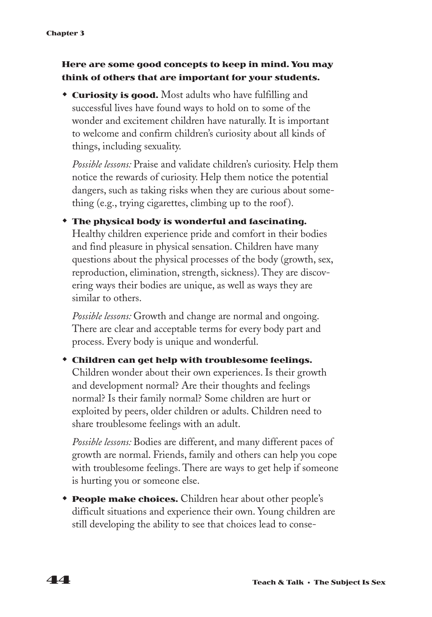#### **Here are some good concepts to keep in mind. You may think of others that are important for your students.**

**Curiosity is good.** Most adults who have fulfilling and successful lives have found ways to hold on to some of the wonder and excitement children have naturally. It is important to welcome and confirm children's curiosity about all kinds of things, including sexuality.

*Possible lessons:* Praise and validate children's curiosity. Help them notice the rewards of curiosity. Help them notice the potential dangers, such as taking risks when they are curious about something (e.g., trying cigarettes, climbing up to the roof ).

**\*** The physical body is wonderful and fascinating. Healthy children experience pride and comfort in their bodies and find pleasure in physical sensation. Children have many questions about the physical processes of the body (growth, sex, reproduction, elimination, strength, sickness). They are discovering ways their bodies are unique, as well as ways they are similar to others.

*Possible lessons:* Growth and change are normal and ongoing. There are clear and acceptable terms for every body part and process. Every body is unique and wonderful.

#### **\*** Children can get help with troublesome feelings.

Children wonder about their own experiences. Is their growth and development normal? Are their thoughts and feelings normal? Is their family normal? Some children are hurt or exploited by peers, older children or adults. Children need to share troublesome feelings with an adult.

*Possible lessons:* Bodies are different, and many different paces of growth are normal. Friends, family and others can help you cope with troublesome feelings. There are ways to get help if someone is hurting you or someone else.

**People make choices.** Children hear about other people's difficult situations and experience their own. Young children are still developing the ability to see that choices lead to conse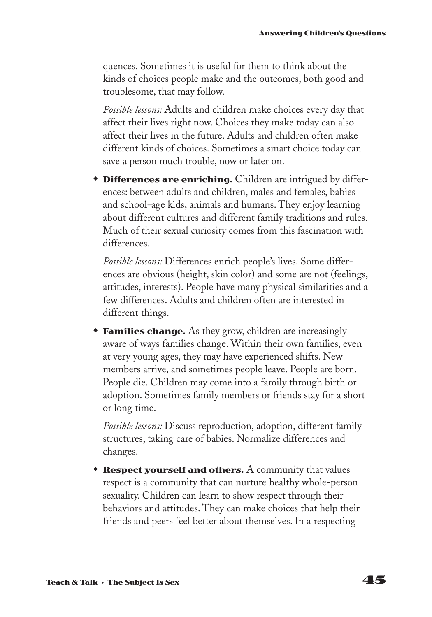quences. Sometimes it is useful for them to think about the kinds of choices people make and the outcomes, both good and troublesome, that may follow.

*Possible lessons:* Adults and children make choices every day that affect their lives right now. Choices they make today can also affect their lives in the future. Adults and children often make different kinds of choices. Sometimes a smart choice today can save a person much trouble, now or later on.

**\* Differences are enriching.** Children are intrigued by differences: between adults and children, males and females, babies and school-age kids, animals and humans. They enjoy learning about different cultures and different family traditions and rules. Much of their sexual curiosity comes from this fascination with differences.

*Possible lessons:* Differences enrich people's lives. Some differences are obvious (height, skin color) and some are not (feelings, attitudes, interests). People have many physical similarities and a few differences. Adults and children often are interested in different things.

**Families change.** As they grow, children are increasingly aware of ways families change. Within their own families, even at very young ages, they may have experienced shifts. New members arrive, and sometimes people leave. People are born. People die. Children may come into a family through birth or adoption. Sometimes family members or friends stay for a short or long time.

*Possible lessons:* Discuss reproduction, adoption, different family structures, taking care of babies. Normalize differences and changes.

**\* Respect yourself and others.** A community that values respect is a community that can nurture healthy whole-person sexuality. Children can learn to show respect through their behaviors and attitudes. They can make choices that help their friends and peers feel better about themselves. In a respecting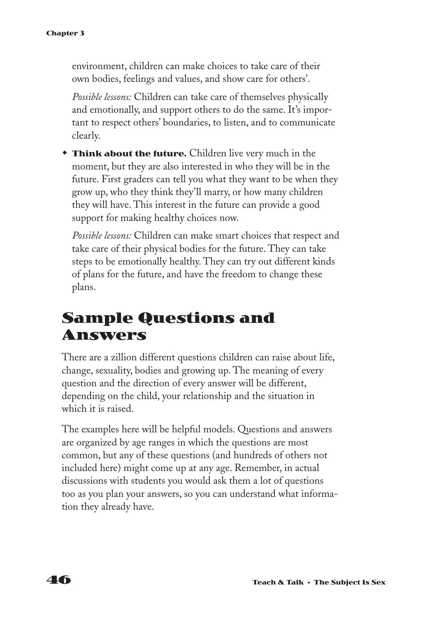environment, children can make choices to take care of their own bodies, feelings and values, and show care for others'.

*Possible lessons:* Children can take care of themselves physically and emotionally, and support others to do the same. It's important to respect others' boundaries, to listen, and to communicate clearly.

**Think about the future.** Children live very much in the moment, but they are also interested in who they will be in the future. First graders can tell you what they want to be when they grow up, who they think they'll marry, or how many children they will have. This interest in the future can provide a good support for making healthy choices now.

*Possible lessons:* Children can make smart choices that respect and take care of their physical bodies for the future. They can take steps to be emotionally healthy. They can try out different kinds of plans for the future, and have the freedom to change these plans.

# **Sample Questions and Answers**

There are a zillion different questions children can raise about life, change, sexuality, bodies and growing up. The meaning of every question and the direction of every answer will be different, depending on the child, your relationship and the situation in which it is raised.

The examples here will be helpful models. Questions and answers are organized by age ranges in which the questions are most common, but any of these questions (and hundreds of others not included here) might come up at any age. Remember, in actual discussions with students you would ask them a lot of questions too as you plan your answers, so you can understand what information they already have.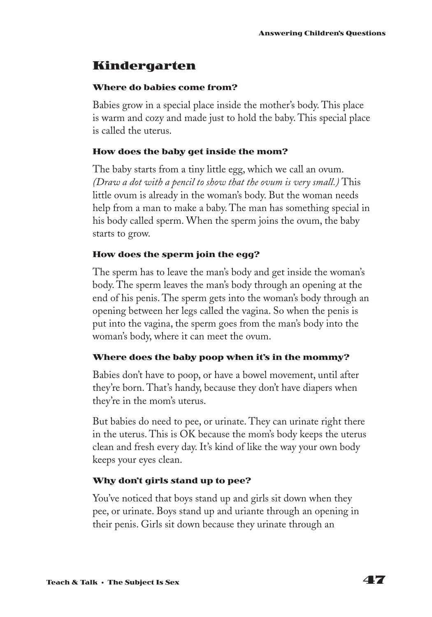### **Kindergarten**

#### **Where do babies come from?**

Babies grow in a special place inside the mother's body. This place is warm and cozy and made just to hold the baby. This special place is called the uterus.

#### **How does the baby get inside the mom?**

The baby starts from a tiny little egg, which we call an ovum. *(Draw a dot with a pencil to show that the ovum is very small.)* This little ovum is already in the woman's body. But the woman needs help from a man to make a baby. The man has something special in his body called sperm. When the sperm joins the ovum, the baby starts to grow.

#### **How does the sperm join the egg?**

The sperm has to leave the man's body and get inside the woman's body. The sperm leaves the man's body through an opening at the end of his penis. The sperm gets into the woman's body through an opening between her legs called the vagina. So when the penis is put into the vagina, the sperm goes from the man's body into the woman's body, where it can meet the ovum.

#### **Where does the baby poop when it's in the mommy?**

Babies don't have to poop, or have a bowel movement, until after they're born. That's handy, because they don't have diapers when they're in the mom's uterus.

But babies do need to pee, or urinate. They can urinate right there in the uterus. This is OK because the mom's body keeps the uterus clean and fresh every day. It's kind of like the way your own body keeps your eyes clean.

#### **Why don't girls stand up to pee?**

You've noticed that boys stand up and girls sit down when they pee, or urinate. Boys stand up and uriante through an opening in their penis. Girls sit down because they urinate through an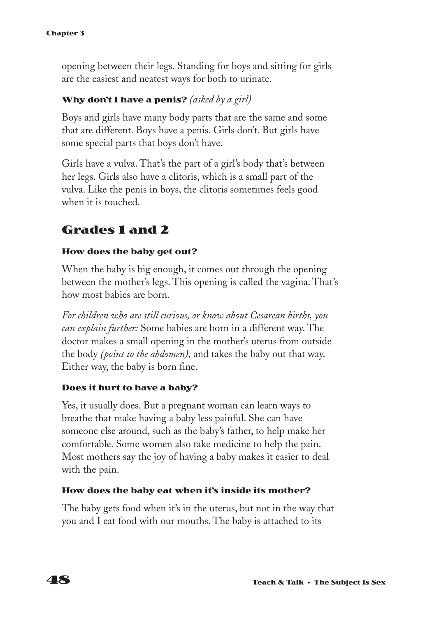opening between their legs. Standing for boys and sitting for girls are the easiest and neatest ways for both to urinate.

#### **Why don't I have a penis?** *(asked by a girl)*

Boys and girls have many body parts that are the same and some that are different. Boys have a penis. Girls don't. But girls have some special parts that boys don't have.

Girls have a vulva. That's the part of a girl's body that's between her legs. Girls also have a clitoris, which is a small part of the vulva. Like the penis in boys, the clitoris sometimes feels good when it is touched.

## **Grades 1 and 2**

#### **How does the baby get out?**

When the baby is big enough, it comes out through the opening between the mother's legs. This opening is called the vagina. That's how most babies are born.

*For children who are still curious, or know about Cesarean births, you can explain further:* Some babies are born in a different way. The doctor makes a small opening in the mother's uterus from outside the body *(point to the abdomen),* and takes the baby out that way. Either way, the baby is born fine.

#### **Does it hurt to have a baby?**

Yes, it usually does. But a pregnant woman can learn ways to breathe that make having a baby less painful. She can have someone else around, such as the baby's father, to help make her comfortable. Some women also take medicine to help the pain. Most mothers say the joy of having a baby makes it easier to deal with the pain.

#### **How does the baby eat when it's inside its mother?**

The baby gets food when it's in the uterus, but not in the way that you and I eat food with our mouths. The baby is attached to its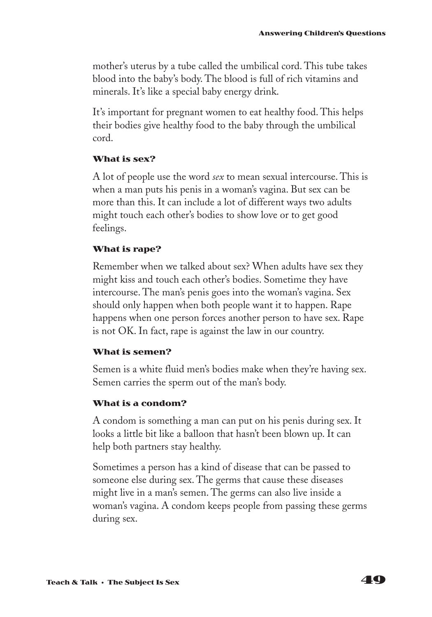mother's uterus by a tube called the umbilical cord. This tube takes blood into the baby's body. The blood is full of rich vitamins and minerals. It's like a special baby energy drink.

It's important for pregnant women to eat healthy food. This helps their bodies give healthy food to the baby through the umbilical cord.

#### **What is sex?**

A lot of people use the word *sex* to mean sexual intercourse. This is when a man puts his penis in a woman's vagina. But sex can be more than this. It can include a lot of different ways two adults might touch each other's bodies to show love or to get good feelings.

#### **What is rape?**

Remember when we talked about sex? When adults have sex they might kiss and touch each other's bodies. Sometime they have intercourse. The man's penis goes into the woman's vagina. Sex should only happen when both people want it to happen. Rape happens when one person forces another person to have sex. Rape is not OK. In fact, rape is against the law in our country.

#### **What is semen?**

Semen is a white fluid men's bodies make when they're having sex. Semen carries the sperm out of the man's body.

#### **What is a condom?**

A condom is something a man can put on his penis during sex. It looks a little bit like a balloon that hasn't been blown up. It can help both partners stay healthy.

Sometimes a person has a kind of disease that can be passed to someone else during sex. The germs that cause these diseases might live in a man's semen. The germs can also live inside a woman's vagina. A condom keeps people from passing these germs during sex.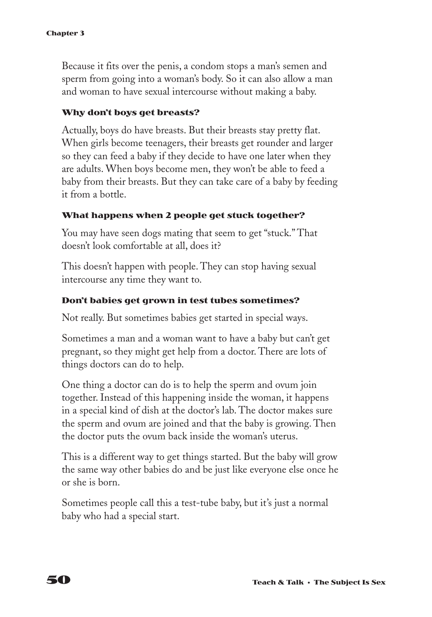Because it fits over the penis, a condom stops a man's semen and sperm from going into a woman's body. So it can also allow a man and woman to have sexual intercourse without making a baby.

#### **Why don't boys get breasts?**

Actually, boys do have breasts. But their breasts stay pretty flat. When girls become teenagers, their breasts get rounder and larger so they can feed a baby if they decide to have one later when they are adults. When boys become men, they won't be able to feed a baby from their breasts. But they can take care of a baby by feeding it from a bottle.

#### **What happens when 2 people get stuck together?**

You may have seen dogs mating that seem to get "stuck." That doesn't look comfortable at all, does it?

This doesn't happen with people. They can stop having sexual intercourse any time they want to.

#### **Don't babies get grown in test tubes sometimes?**

Not really. But sometimes babies get started in special ways.

Sometimes a man and a woman want to have a baby but can't get pregnant, so they might get help from a doctor. There are lots of things doctors can do to help.

One thing a doctor can do is to help the sperm and ovum join together. Instead of this happening inside the woman, it happens in a special kind of dish at the doctor's lab. The doctor makes sure the sperm and ovum are joined and that the baby is growing. Then the doctor puts the ovum back inside the woman's uterus.

This is a different way to get things started. But the baby will grow the same way other babies do and be just like everyone else once he or she is born.

Sometimes people call this a test-tube baby, but it's just a normal baby who had a special start.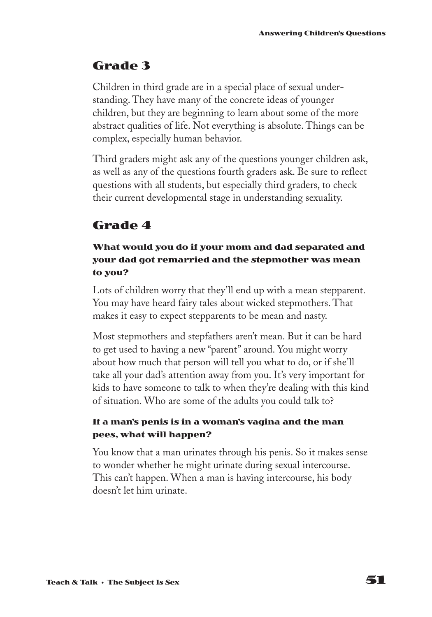## **Grade 3**

Children in third grade are in a special place of sexual understanding. They have many of the concrete ideas of younger children, but they are beginning to learn about some of the more abstract qualities of life. Not everything is absolute. Things can be complex, especially human behavior.

Third graders might ask any of the questions younger children ask, as well as any of the questions fourth graders ask. Be sure to reflect questions with all students, but especially third graders, to check their current developmental stage in understanding sexuality.

## **Grade 4**

#### **What would you do if your mom and dad separated and your dad got remarried and the stepmother was mean to you?**

Lots of children worry that they'll end up with a mean stepparent. You may have heard fairy tales about wicked stepmothers. That makes it easy to expect stepparents to be mean and nasty.

Most stepmothers and stepfathers aren't mean. But it can be hard to get used to having a new "parent" around. You might worry about how much that person will tell you what to do, or if she'll take all your dad's attention away from you. It's very important for kids to have someone to talk to when they're dealing with this kind of situation. Who are some of the adults you could talk to?

#### **If a man's penis is in a woman's vagina and the man pees, what will happen?**

You know that a man urinates through his penis. So it makes sense to wonder whether he might urinate during sexual intercourse. This can't happen. When a man is having intercourse, his body doesn't let him urinate.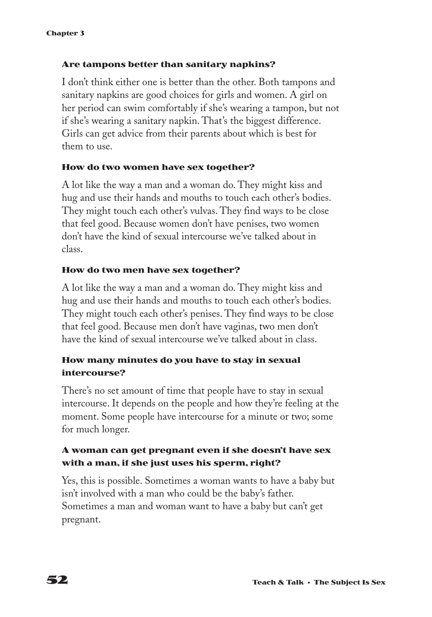#### **Are tampons better than sanitary napkins?**

I don't think either one is better than the other. Both tampons and sanitary napkins are good choices for girls and women. A girl on her period can swim comfortably if she's wearing a tampon, but not if she's wearing a sanitary napkin. That's the biggest difference. Girls can get advice from their parents about which is best for them to use.

#### **How do two women have sex together?**

A lot like the way a man and a woman do. They might kiss and hug and use their hands and mouths to touch each other's bodies. They might touch each other's vulvas. They find ways to be close that feel good. Because women don't have penises, two women don't have the kind of sexual intercourse we've talked about in class.

#### **How do two men have sex together?**

A lot like the way a man and a woman do. They might kiss and hug and use their hands and mouths to touch each other's bodies. They might touch each other's penises. They find ways to be close that feel good. Because men don't have vaginas, two men don't have the kind of sexual intercourse we've talked about in class.

#### **How many minutes do you have to stay in sexual intercourse?**

There's no set amount of time that people have to stay in sexual intercourse. It depends on the people and how they're feeling at the moment. Some people have intercourse for a minute or two; some for much longer.

#### **A woman can get pregnant even if she doesn't have sex with a man, if she just uses his sperm, right?**

Yes, this is possible. Sometimes a woman wants to have a baby but isn't involved with a man who could be the baby's father. Sometimes a man and woman want to have a baby but can't get pregnant.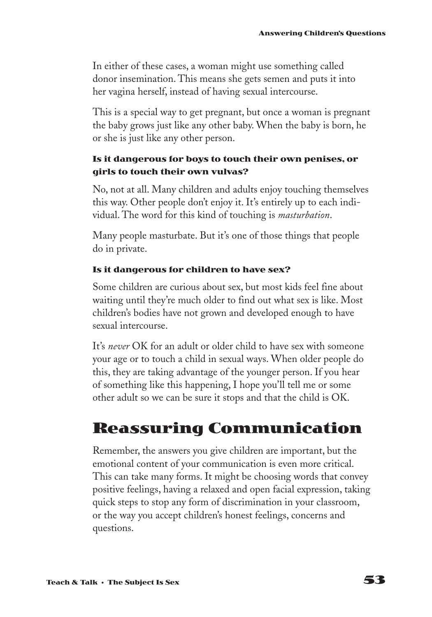In either of these cases, a woman might use something called donor insemination. This means she gets semen and puts it into her vagina herself, instead of having sexual intercourse.

This is a special way to get pregnant, but once a woman is pregnant the baby grows just like any other baby. When the baby is born, he or she is just like any other person.

#### **Is it dangerous for boys to touch their own penises, or girls to touch their own vulvas?**

No, not at all. Many children and adults enjoy touching themselves this way. Other people don't enjoy it. It's entirely up to each individual. The word for this kind of touching is *masturbation*.

Many people masturbate. But it's one of those things that people do in private.

#### **Is it dangerous for children to have sex?**

Some children are curious about sex, but most kids feel fine about waiting until they're much older to find out what sex is like. Most children's bodies have not grown and developed enough to have sexual intercourse.

It's *never* OK for an adult or older child to have sex with someone your age or to touch a child in sexual ways. When older people do this, they are taking advantage of the younger person. If you hear of something like this happening, I hope you'll tell me or some other adult so we can be sure it stops and that the child is OK.

# **Reassuring Communication**

Remember, the answers you give children are important, but the emotional content of your communication is even more critical. This can take many forms. It might be choosing words that convey positive feelings, having a relaxed and open facial expression, taking quick steps to stop any form of discrimination in your classroom, or the way you accept children's honest feelings, concerns and questions.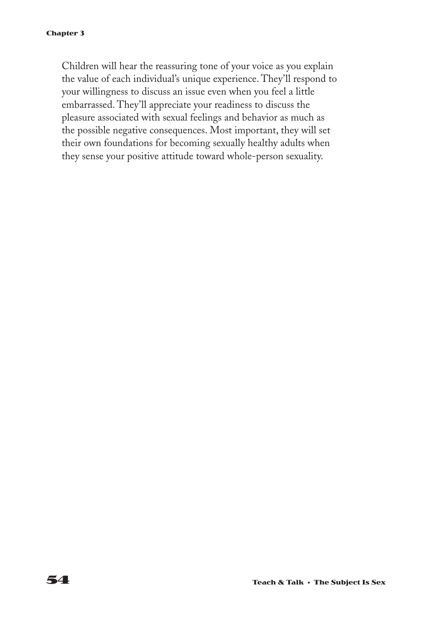Children will hear the reassuring tone of your voice as you explain the value of each individual's unique experience. They'll respond to your willingness to discuss an issue even when you feel a little embarrassed. They'll appreciate your readiness to discuss the pleasure associated with sexual feelings and behavior as much as the possible negative consequences. Most important, they will set their own foundations for becoming sexually healthy adults when they sense your positive attitude toward whole-person sexuality.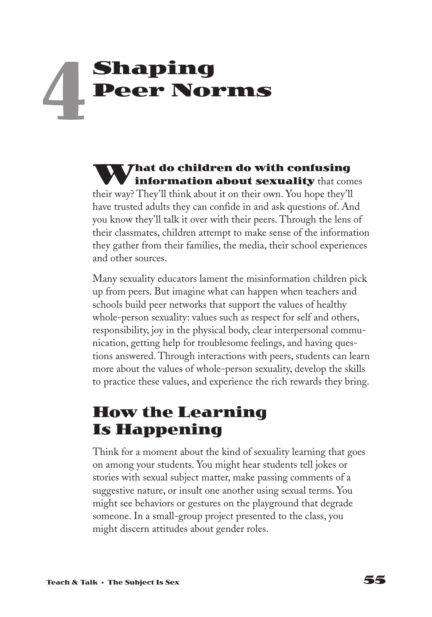# **Shaping Peer Norms 4**

**What do children do with confusing information about sexuality** that comes their way? They'll think about it on their own. You hope they'll have trusted adults they can confide in and ask questions of. And you know they'll talk it over with their peers. Through the lens of their classmates, children attempt to make sense of the information they gather from their families, the media, their school experiences and other sources.

Many sexuality educators lament the misinformation children pick up from peers. But imagine what can happen when teachers and schools build peer networks that support the values of healthy whole-person sexuality: values such as respect for self and others, responsibility, joy in the physical body, clear interpersonal communication, getting help for troublesome feelings, and having questions answered. Through interactions with peers, students can learn more about the values of whole-person sexuality, develop the skills to practice these values, and experience the rich rewards they bring.

# **How the Learning Is Happening**

Think for a moment about the kind of sexuality learning that goes on among your students. You might hear students tell jokes or stories with sexual subject matter, make passing comments of a suggestive nature, or insult one another using sexual terms. You might see behaviors or gestures on the playground that degrade someone. In a small-group project presented to the class, you might discern attitudes about gender roles.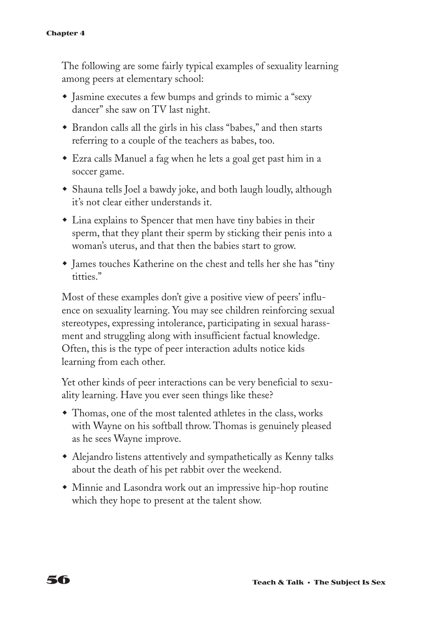The following are some fairly typical examples of sexuality learning among peers at elementary school:

- Jasmine executes a few bumps and grinds to mimic a "sexy" dancer" she saw on TV last night.
- w Brandon calls all the girls in his class "babes," and then starts referring to a couple of the teachers as babes, too.
- Ezra calls Manuel a fag when he lets a goal get past him in a soccer game.
- Shauna tells Joel a bawdy joke, and both laugh loudly, although it's not clear either understands it.
- $\bullet$  Lina explains to Spencer that men have tiny babies in their sperm, that they plant their sperm by sticking their penis into a woman's uterus, and that then the babies start to grow.
- James touches Katherine on the chest and tells her she has "tiny" titties."

Most of these examples don't give a positive view of peers' influence on sexuality learning. You may see children reinforcing sexual stereotypes, expressing intolerance, participating in sexual harassment and struggling along with insufficient factual knowledge. Often, this is the type of peer interaction adults notice kids learning from each other.

Yet other kinds of peer interactions can be very beneficial to sexuality learning. Have you ever seen things like these?

- Thomas, one of the most talented athletes in the class, works with Wayne on his softball throw. Thomas is genuinely pleased as he sees Wayne improve.
- Alejandro listens attentively and sympathetically as Kenny talks about the death of his pet rabbit over the weekend.
- Minnie and Lasondra work out an impressive hip-hop routine which they hope to present at the talent show.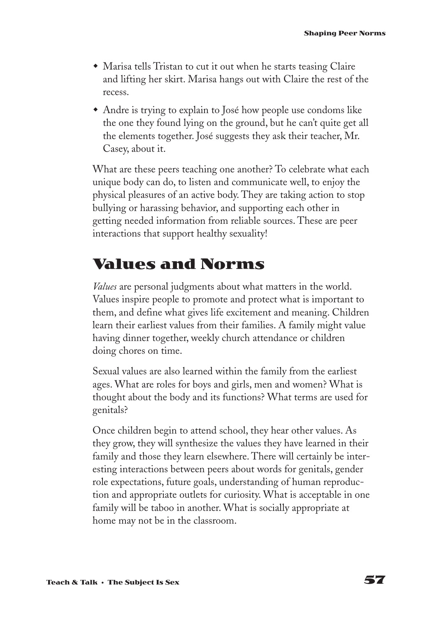- $\bullet$  Marisa tells Tristan to cut it out when he starts teasing Claire and lifting her skirt. Marisa hangs out with Claire the rest of the recess.
- Andre is trying to explain to José how people use condoms like the one they found lying on the ground, but he can't quite get all the elements together. José suggests they ask their teacher, Mr. Casey, about it.

What are these peers teaching one another? To celebrate what each unique body can do, to listen and communicate well, to enjoy the physical pleasures of an active body. They are taking action to stop bullying or harassing behavior, and supporting each other in getting needed information from reliable sources. These are peer interactions that support healthy sexuality!

## **Values and Norms**

*Values* are personal judgments about what matters in the world. Values inspire people to promote and protect what is important to them, and define what gives life excitement and meaning. Children learn their earliest values from their families. A family might value having dinner together, weekly church attendance or children doing chores on time.

Sexual values are also learned within the family from the earliest ages. What are roles for boys and girls, men and women? What is thought about the body and its functions? What terms are used for genitals?

Once children begin to attend school, they hear other values. As they grow, they will synthesize the values they have learned in their family and those they learn elsewhere. There will certainly be interesting interactions between peers about words for genitals, gender role expectations, future goals, understanding of human reproduction and appropriate outlets for curiosity. What is acceptable in one family will be taboo in another. What is socially appropriate at home may not be in the classroom.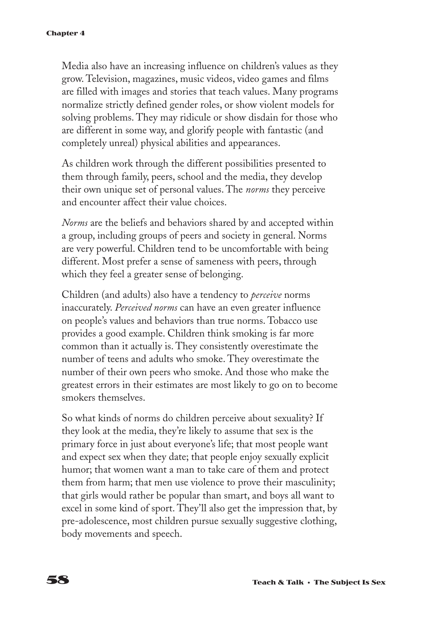Media also have an increasing influence on children's values as they grow. Television, magazines, music videos, video games and films are filled with images and stories that teach values. Many programs normalize strictly defined gender roles, or show violent models for solving problems. They may ridicule or show disdain for those who are different in some way, and glorify people with fantastic (and completely unreal) physical abilities and appearances.

As children work through the different possibilities presented to them through family, peers, school and the media, they develop their own unique set of personal values. The *norms* they perceive and encounter affect their value choices.

*Norms* are the beliefs and behaviors shared by and accepted within a group, including groups of peers and society in general. Norms are very powerful. Children tend to be uncomfortable with being different. Most prefer a sense of sameness with peers, through which they feel a greater sense of belonging.

Children (and adults) also have a tendency to *perceive* norms inaccurately. *Perceived norms* can have an even greater influence on people's values and behaviors than true norms. Tobacco use provides a good example. Children think smoking is far more common than it actually is. They consistently overestimate the number of teens and adults who smoke. They overestimate the number of their own peers who smoke. And those who make the greatest errors in their estimates are most likely to go on to become smokers themselves.

So what kinds of norms do children perceive about sexuality? If they look at the media, they're likely to assume that sex is the primary force in just about everyone's life; that most people want and expect sex when they date; that people enjoy sexually explicit humor; that women want a man to take care of them and protect them from harm; that men use violence to prove their masculinity; that girls would rather be popular than smart, and boys all want to excel in some kind of sport. They'll also get the impression that, by pre-adolescence, most children pursue sexually suggestive clothing, body movements and speech.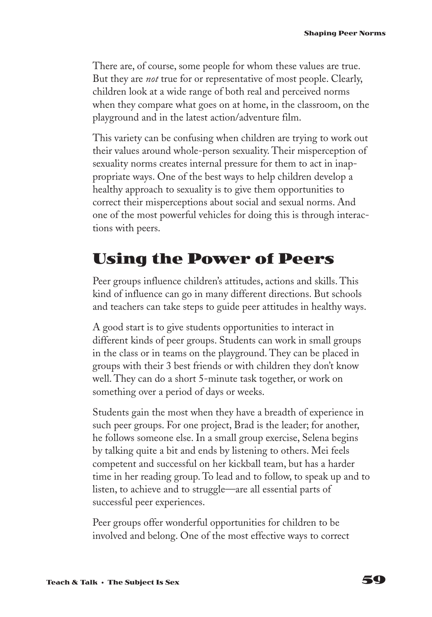There are, of course, some people for whom these values are true. But they are *not* true for or representative of most people. Clearly, children look at a wide range of both real and perceived norms when they compare what goes on at home, in the classroom, on the playground and in the latest action/adventure film.

This variety can be confusing when children are trying to work out their values around whole-person sexuality. Their misperception of sexuality norms creates internal pressure for them to act in inappropriate ways. One of the best ways to help children develop a healthy approach to sexuality is to give them opportunities to correct their misperceptions about social and sexual norms. And one of the most powerful vehicles for doing this is through interactions with peers.

# **Using the Power of Peers**

Peer groups influence children's attitudes, actions and skills. This kind of influence can go in many different directions. But schools and teachers can take steps to guide peer attitudes in healthy ways.

A good start is to give students opportunities to interact in different kinds of peer groups. Students can work in small groups in the class or in teams on the playground. They can be placed in groups with their 3 best friends or with children they don't know well. They can do a short 5-minute task together, or work on something over a period of days or weeks.

Students gain the most when they have a breadth of experience in such peer groups. For one project, Brad is the leader; for another, he follows someone else. In a small group exercise, Selena begins by talking quite a bit and ends by listening to others. Mei feels competent and successful on her kickball team, but has a harder time in her reading group. To lead and to follow, to speak up and to listen, to achieve and to struggle—are all essential parts of successful peer experiences.

Peer groups offer wonderful opportunities for children to be involved and belong. One of the most effective ways to correct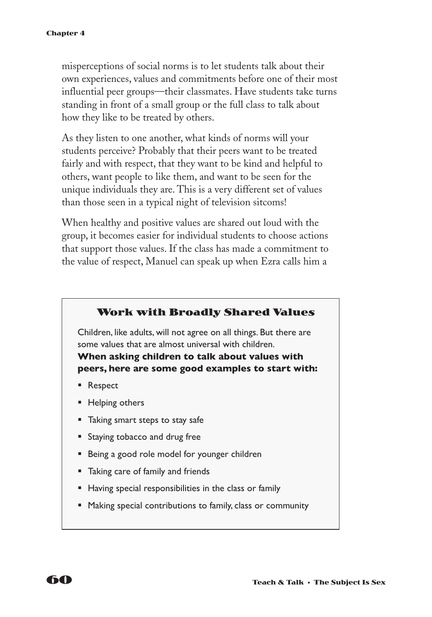misperceptions of social norms is to let students talk about their own experiences, values and commitments before one of their most influential peer groups—their classmates. Have students take turns standing in front of a small group or the full class to talk about how they like to be treated by others.

As they listen to one another, what kinds of norms will your students perceive? Probably that their peers want to be treated fairly and with respect, that they want to be kind and helpful to others, want people to like them, and want to be seen for the unique individuals they are. This is a very different set of values than those seen in a typical night of television sitcoms!

When healthy and positive values are shared out loud with the group, it becomes easier for individual students to choose actions that support those values. If the class has made a commitment to the value of respect, Manuel can speak up when Ezra calls him a

#### **Work with Broadly Shared Values**

Children, like adults, will not agree on all things. But there are some values that are almost universal with children. **When asking children to talk about values with peers, here are some good examples to start with:**

- Respect
- Helping others
- Taking smart steps to stay safe
- Staying tobacco and drug free
- Being a good role model for younger children
- Taking care of family and friends
- Having special responsibilities in the class or family
- Making special contributions to family, class or community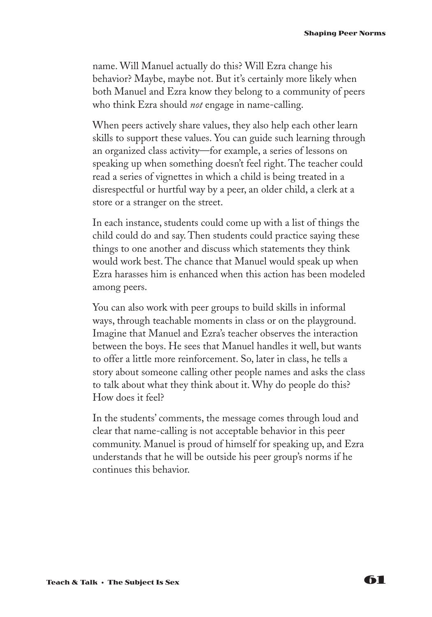name. Will Manuel actually do this? Will Ezra change his behavior? Maybe, maybe not. But it's certainly more likely when both Manuel and Ezra know they belong to a community of peers who think Ezra should *not* engage in name-calling.

When peers actively share values, they also help each other learn skills to support these values. You can guide such learning through an organized class activity—for example, a series of lessons on speaking up when something doesn't feel right. The teacher could read a series of vignettes in which a child is being treated in a disrespectful or hurtful way by a peer, an older child, a clerk at a store or a stranger on the street.

In each instance, students could come up with a list of things the child could do and say. Then students could practice saying these things to one another and discuss which statements they think would work best. The chance that Manuel would speak up when Ezra harasses him is enhanced when this action has been modeled among peers.

You can also work with peer groups to build skills in informal ways, through teachable moments in class or on the playground. Imagine that Manuel and Ezra's teacher observes the interaction between the boys. He sees that Manuel handles it well, but wants to offer a little more reinforcement. So, later in class, he tells a story about someone calling other people names and asks the class to talk about what they think about it. Why do people do this? How does it feel?

In the students' comments, the message comes through loud and clear that name-calling is not acceptable behavior in this peer community. Manuel is proud of himself for speaking up, and Ezra understands that he will be outside his peer group's norms if he continues this behavior.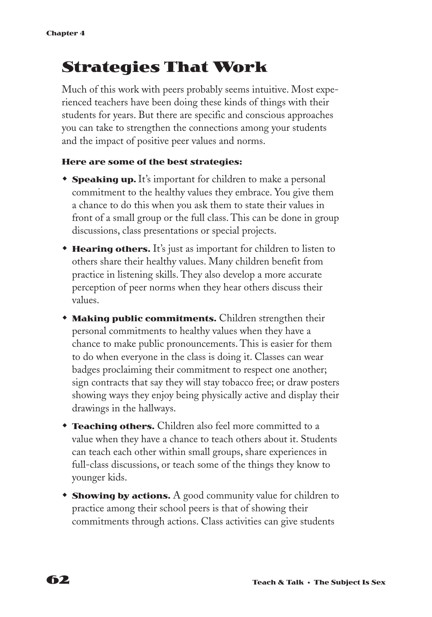# **Strategies That Work**

Much of this work with peers probably seems intuitive. Most experienced teachers have been doing these kinds of things with their students for years. But there are specific and conscious approaches you can take to strengthen the connections among your students and the impact of positive peer values and norms.

#### **Here are some of the best strategies:**

- **Speaking up.** It's important for children to make a personal commitment to the healthy values they embrace. You give them a chance to do this when you ask them to state their values in front of a small group or the full class. This can be done in group discussions, class presentations or special projects.
- **Hearing others.** It's just as important for children to listen to others share their healthy values. Many children benefit from practice in listening skills. They also develop a more accurate perception of peer norms when they hear others discuss their values.
- **Making public commitments.** Children strengthen their personal commitments to healthy values when they have a chance to make public pronouncements. This is easier for them to do when everyone in the class is doing it. Classes can wear badges proclaiming their commitment to respect one another; sign contracts that say they will stay tobacco free; or draw posters showing ways they enjoy being physically active and display their drawings in the hallways.
- **Teaching others.** Children also feel more committed to a value when they have a chance to teach others about it. Students can teach each other within small groups, share experiences in full-class discussions, or teach some of the things they know to younger kids.
- **Showing by actions.** A good community value for children to practice among their school peers is that of showing their commitments through actions. Class activities can give students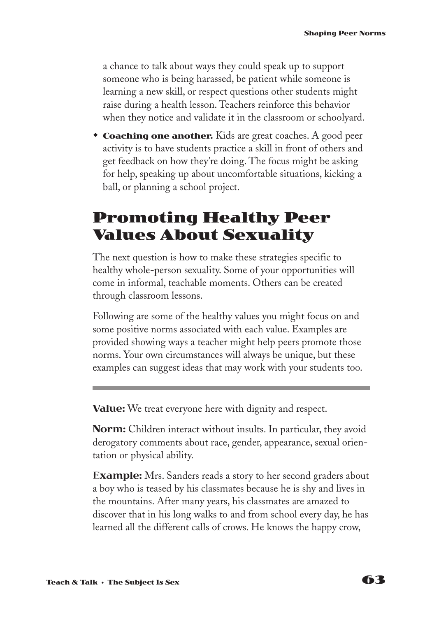a chance to talk about ways they could speak up to support someone who is being harassed, be patient while someone is learning a new skill, or respect questions other students might raise during a health lesson. Teachers reinforce this behavior when they notice and validate it in the classroom or schoolyard.

**Coaching one another.** Kids are great coaches. A good peer activity is to have students practice a skill in front of others and get feedback on how they're doing. The focus might be asking for help, speaking up about uncomfortable situations, kicking a ball, or planning a school project.

# **Promoting Healthy Peer Values About Sexuality**

The next question is how to make these strategies specific to healthy whole-person sexuality. Some of your opportunities will come in informal, teachable moments. Others can be created through classroom lessons.

Following are some of the healthy values you might focus on and some positive norms associated with each value. Examples are provided showing ways a teacher might help peers promote those norms. Your own circumstances will always be unique, but these examples can suggest ideas that may work with your students too.

**Value:** We treat everyone here with dignity and respect.

**Norm:** Children interact without insults. In particular, they avoid derogatory comments about race, gender, appearance, sexual orientation or physical ability.

**Example:** Mrs. Sanders reads a story to her second graders about a boy who is teased by his classmates because he is shy and lives in the mountains. After many years, his classmates are amazed to discover that in his long walks to and from school every day, he has learned all the different calls of crows. He knows the happy crow,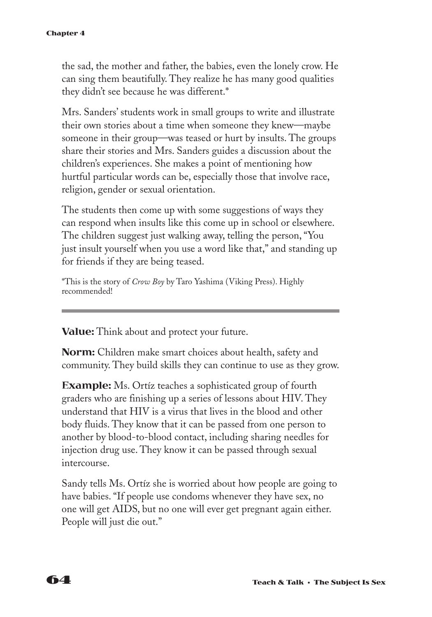the sad, the mother and father, the babies, even the lonely crow. He can sing them beautifully. They realize he has many good qualities they didn't see because he was different.\*

Mrs. Sanders' students work in small groups to write and illustrate their own stories about a time when someone they knew—maybe someone in their group—was teased or hurt by insults. The groups share their stories and Mrs. Sanders guides a discussion about the children's experiences. She makes a point of mentioning how hurtful particular words can be, especially those that involve race, religion, gender or sexual orientation.

The students then come up with some suggestions of ways they can respond when insults like this come up in school or elsewhere. The children suggest just walking away, telling the person, "You just insult yourself when you use a word like that," and standing up for friends if they are being teased.

\*This is the story of *Crow Boy* by Taro Yashima (Viking Press). Highly recommended!

**Value:** Think about and protect your future.

**Norm:** Children make smart choices about health, safety and community. They build skills they can continue to use as they grow.

**Example:** Ms. Ortíz teaches a sophisticated group of fourth graders who are finishing up a series of lessons about HIV. They understand that HIV is a virus that lives in the blood and other body fluids. They know that it can be passed from one person to another by blood-to-blood contact, including sharing needles for injection drug use. They know it can be passed through sexual intercourse.

Sandy tells Ms. Ortíz she is worried about how people are going to have babies. "If people use condoms whenever they have sex, no one will get AIDS, but no one will ever get pregnant again either. People will just die out."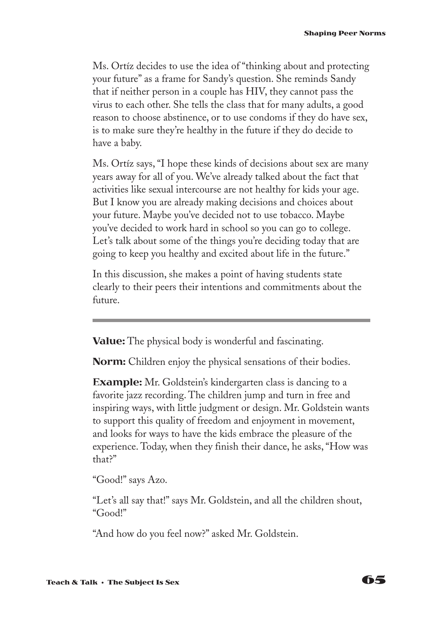Ms. Ortíz decides to use the idea of "thinking about and protecting your future" as a frame for Sandy's question. She reminds Sandy that if neither person in a couple has HIV, they cannot pass the virus to each other. She tells the class that for many adults, a good reason to choose abstinence, or to use condoms if they do have sex, is to make sure they're healthy in the future if they do decide to have a baby.

Ms. Ortíz says, "I hope these kinds of decisions about sex are many years away for all of you. We've already talked about the fact that activities like sexual intercourse are not healthy for kids your age. But I know you are already making decisions and choices about your future. Maybe you've decided not to use tobacco. Maybe you've decided to work hard in school so you can go to college. Let's talk about some of the things you're deciding today that are going to keep you healthy and excited about life in the future."

In this discussion, she makes a point of having students state clearly to their peers their intentions and commitments about the future.

**Value:** The physical body is wonderful and fascinating.

**Norm:** Children enjoy the physical sensations of their bodies.

**Example:** Mr. Goldstein's kindergarten class is dancing to a favorite jazz recording. The children jump and turn in free and inspiring ways, with little judgment or design. Mr. Goldstein wants to support this quality of freedom and enjoyment in movement, and looks for ways to have the kids embrace the pleasure of the experience. Today, when they finish their dance, he asks, "How was that?"

"Good!" says Azo.

"Let's all say that!" says Mr. Goldstein, and all the children shout, "Good!"

"And how do you feel now?" asked Mr. Goldstein.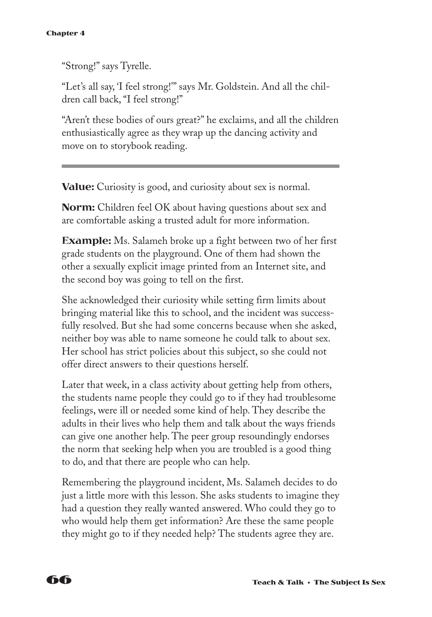"Strong!" says Tyrelle.

"Let's all say, 'I feel strong!'" says Mr. Goldstein. And all the children call back, "I feel strong!"

"Aren't these bodies of ours great?" he exclaims, and all the children enthusiastically agree as they wrap up the dancing activity and move on to storybook reading.

**Value:** Curiosity is good, and curiosity about sex is normal.

**Norm:** Children feel OK about having questions about sex and are comfortable asking a trusted adult for more information.

**Example:** Ms. Salameh broke up a fight between two of her first grade students on the playground. One of them had shown the other a sexually explicit image printed from an Internet site, and the second boy was going to tell on the first.

She acknowledged their curiosity while setting firm limits about bringing material like this to school, and the incident was successfully resolved. But she had some concerns because when she asked, neither boy was able to name someone he could talk to about sex. Her school has strict policies about this subject, so she could not offer direct answers to their questions herself.

Later that week, in a class activity about getting help from others, the students name people they could go to if they had troublesome feelings, were ill or needed some kind of help. They describe the adults in their lives who help them and talk about the ways friends can give one another help. The peer group resoundingly endorses the norm that seeking help when you are troubled is a good thing to do, and that there are people who can help.

Remembering the playground incident, Ms. Salameh decides to do just a little more with this lesson. She asks students to imagine they had a question they really wanted answered. Who could they go to who would help them get information? Are these the same people they might go to if they needed help? The students agree they are.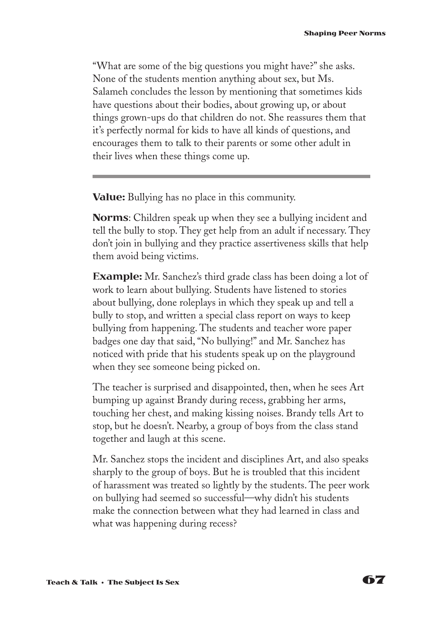"What are some of the big questions you might have?" she asks. None of the students mention anything about sex, but Ms. Salameh concludes the lesson by mentioning that sometimes kids have questions about their bodies, about growing up, or about things grown-ups do that children do not. She reassures them that it's perfectly normal for kids to have all kinds of questions, and encourages them to talk to their parents or some other adult in their lives when these things come up.

**Value:** Bullying has no place in this community.

**Norms**: Children speak up when they see a bullying incident and tell the bully to stop. They get help from an adult if necessary. They don't join in bullying and they practice assertiveness skills that help them avoid being victims.

**Example:** Mr. Sanchez's third grade class has been doing a lot of work to learn about bullying. Students have listened to stories about bullying, done roleplays in which they speak up and tell a bully to stop, and written a special class report on ways to keep bullying from happening. The students and teacher wore paper badges one day that said, "No bullying!" and Mr. Sanchez has noticed with pride that his students speak up on the playground when they see someone being picked on.

The teacher is surprised and disappointed, then, when he sees Art bumping up against Brandy during recess, grabbing her arms, touching her chest, and making kissing noises. Brandy tells Art to stop, but he doesn't. Nearby, a group of boys from the class stand together and laugh at this scene.

Mr. Sanchez stops the incident and disciplines Art, and also speaks sharply to the group of boys. But he is troubled that this incident of harassment was treated so lightly by the students. The peer work on bullying had seemed so successful—why didn't his students make the connection between what they had learned in class and what was happening during recess?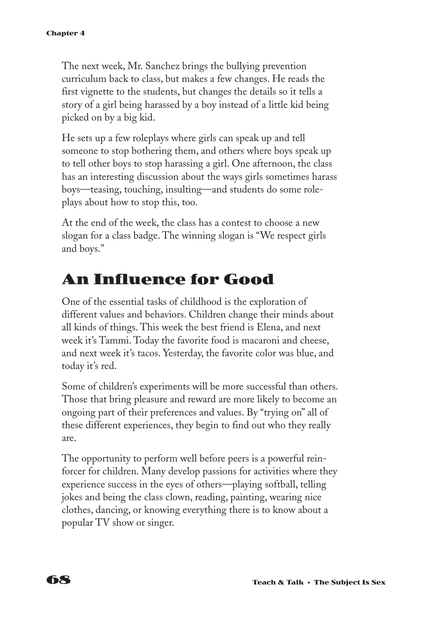The next week, Mr. Sanchez brings the bullying prevention curriculum back to class, but makes a few changes. He reads the first vignette to the students, but changes the details so it tells a story of a girl being harassed by a boy instead of a little kid being picked on by a big kid.

He sets up a few roleplays where girls can speak up and tell someone to stop bothering them, and others where boys speak up to tell other boys to stop harassing a girl. One afternoon, the class has an interesting discussion about the ways girls sometimes harass boys—teasing, touching, insulting—and students do some roleplays about how to stop this, too.

At the end of the week, the class has a contest to choose a new slogan for a class badge. The winning slogan is "We respect girls and boys."

# **An Influence for Good**

One of the essential tasks of childhood is the exploration of different values and behaviors. Children change their minds about all kinds of things. This week the best friend is Elena, and next week it's Tammi. Today the favorite food is macaroni and cheese, and next week it's tacos. Yesterday, the favorite color was blue, and today it's red.

Some of children's experiments will be more successful than others. Those that bring pleasure and reward are more likely to become an ongoing part of their preferences and values. By "trying on" all of these different experiences, they begin to find out who they really are.

The opportunity to perform well before peers is a powerful reinforcer for children. Many develop passions for activities where they experience success in the eyes of others—playing softball, telling jokes and being the class clown, reading, painting, wearing nice clothes, dancing, or knowing everything there is to know about a popular TV show or singer.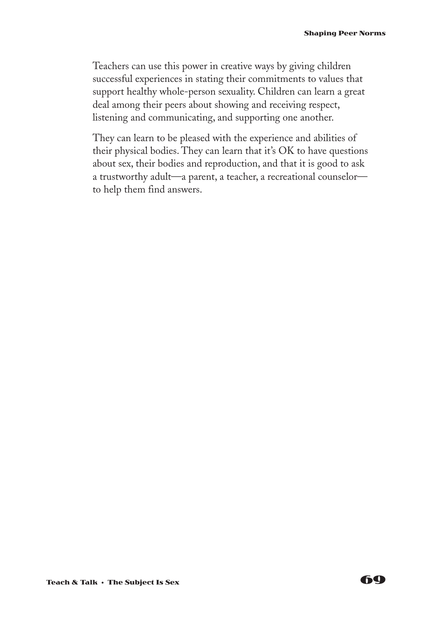Teachers can use this power in creative ways by giving children successful experiences in stating their commitments to values that support healthy whole-person sexuality. Children can learn a great deal among their peers about showing and receiving respect, listening and communicating, and supporting one another.

They can learn to be pleased with the experience and abilities of their physical bodies. They can learn that it's OK to have questions about sex, their bodies and reproduction, and that it is good to ask a trustworthy adult—a parent, a teacher, a recreational counselor to help them find answers.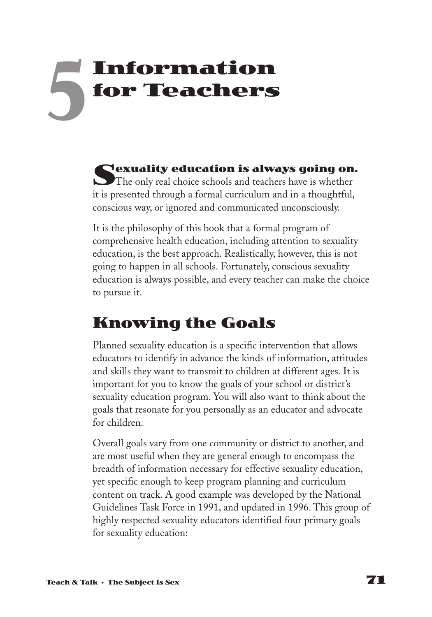# **Information for Teachers 5**

Sexuality education is always going on.<br>The only real choice schools and teachers have is whether it is presented through a formal curriculum and in a thoughtful, conscious way, or ignored and communicated unconsciously.

It is the philosophy of this book that a formal program of comprehensive health education, including attention to sexuality education, is the best approach. Realistically, however, this is not going to happen in all schools. Fortunately, conscious sexuality education is always possible, and every teacher can make the choice to pursue it.

# **Knowing the Goals**

Planned sexuality education is a specific intervention that allows educators to identify in advance the kinds of information, attitudes and skills they want to transmit to children at different ages. It is important for you to know the goals of your school or district's sexuality education program. You will also want to think about the goals that resonate for you personally as an educator and advocate for children.

Overall goals vary from one community or district to another, and are most useful when they are general enough to encompass the breadth of information necessary for effective sexuality education, yet specific enough to keep program planning and curriculum content on track. A good example was developed by the National Guidelines Task Force in 1991, and updated in 1996. This group of highly respected sexuality educators identified four primary goals for sexuality education: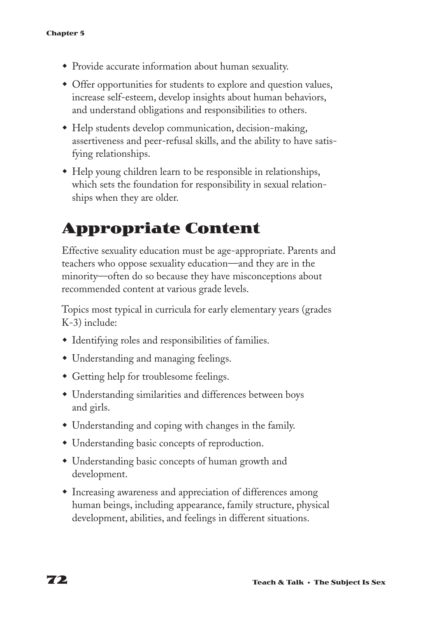- Provide accurate information about human sexuality.
- Offer opportunities for students to explore and question values, increase self-esteem, develop insights about human behaviors, and understand obligations and responsibilities to others.
- Help students develop communication, decision-making, assertiveness and peer-refusal skills, and the ability to have satisfying relationships.
- w Help young children learn to be responsible in relationships, which sets the foundation for responsibility in sexual relationships when they are older.

# **Appropriate Content**

Effective sexuality education must be age-appropriate. Parents and teachers who oppose sexuality education—and they are in the minority—often do so because they have misconceptions about recommended content at various grade levels.

Topics most typical in curricula for early elementary years (grades K-3) include:

- $\bullet$  Identifying roles and responsibilities of families.
- Understanding and managing feelings.
- Getting help for troublesome feelings.
- Understanding similarities and differences between boys and girls.
- Understanding and coping with changes in the family.
- Understanding basic concepts of reproduction.
- Understanding basic concepts of human growth and development.
- $\bullet$  Increasing awareness and appreciation of differences among human beings, including appearance, family structure, physical development, abilities, and feelings in different situations.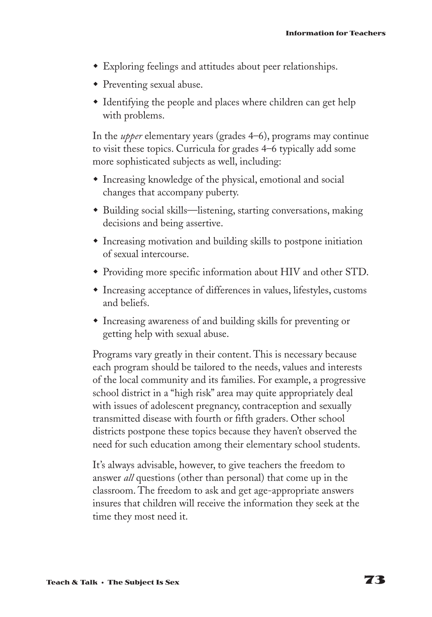- Exploring feelings and attitudes about peer relationships.
- $\bullet$  Preventing sexual abuse.
- Identifying the people and places where children can get help with problems.

In the *upper* elementary years (grades 4–6), programs may continue to visit these topics. Curricula for grades 4–6 typically add some more sophisticated subjects as well, including:

- $\bullet$  Increasing knowledge of the physical, emotional and social changes that accompany puberty.
- w Building social skills—listening, starting conversations, making decisions and being assertive.
- $\bullet$  Increasing motivation and building skills to postpone initiation of sexual intercourse.
- Providing more specific information about HIV and other STD.
- Increasing acceptance of differences in values, lifestyles, customs and beliefs.
- Increasing awareness of and building skills for preventing or getting help with sexual abuse.

Programs vary greatly in their content. This is necessary because each program should be tailored to the needs, values and interests of the local community and its families. For example, a progressive school district in a "high risk" area may quite appropriately deal with issues of adolescent pregnancy, contraception and sexually transmitted disease with fourth or fifth graders. Other school districts postpone these topics because they haven't observed the need for such education among their elementary school students.

It's always advisable, however, to give teachers the freedom to answer *all* questions (other than personal) that come up in the classroom. The freedom to ask and get age-appropriate answers insures that children will receive the information they seek at the time they most need it.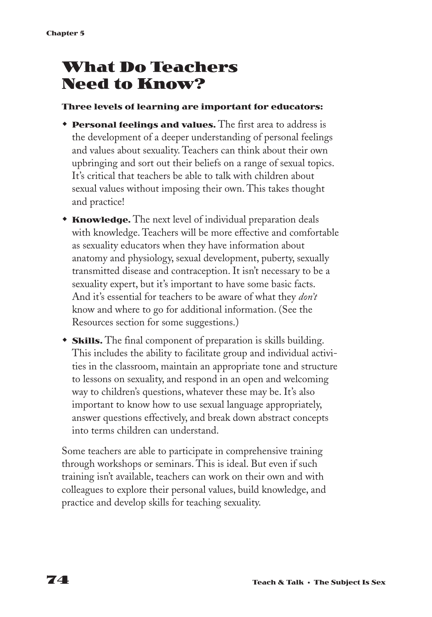# **What Do Teachers Need to Know?**

#### **Three levels of learning are important for educators:**

- **Personal feelings and values.** The first area to address is the development of a deeper understanding of personal feelings and values about sexuality. Teachers can think about their own upbringing and sort out their beliefs on a range of sexual topics. It's critical that teachers be able to talk with children about sexual values without imposing their own. This takes thought and practice!
- **Knowledge.** The next level of individual preparation deals with knowledge. Teachers will be more effective and comfortable as sexuality educators when they have information about anatomy and physiology, sexual development, puberty, sexually transmitted disease and contraception. It isn't necessary to be a sexuality expert, but it's important to have some basic facts. And it's essential for teachers to be aware of what they *don't* know and where to go for additional information. (See the Resources section for some suggestions.)
- **Skills.** The final component of preparation is skills building. This includes the ability to facilitate group and individual activities in the classroom, maintain an appropriate tone and structure to lessons on sexuality, and respond in an open and welcoming way to children's questions, whatever these may be. It's also important to know how to use sexual language appropriately, answer questions effectively, and break down abstract concepts into terms children can understand.

Some teachers are able to participate in comprehensive training through workshops or seminars. This is ideal. But even if such training isn't available, teachers can work on their own and with colleagues to explore their personal values, build knowledge, and practice and develop skills for teaching sexuality.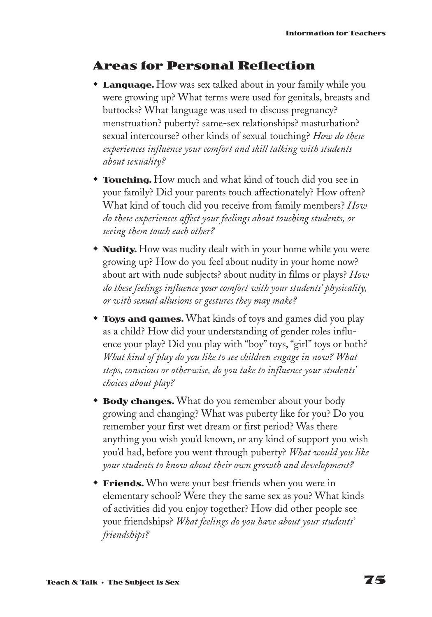#### **Areas for Personal Reflection**

- **Language.** How was sex talked about in your family while you were growing up? What terms were used for genitals, breasts and buttocks? What language was used to discuss pregnancy? menstruation? puberty? same-sex relationships? masturbation? sexual intercourse? other kinds of sexual touching? *How do these experiences influence your comfort and skill talking with students about sexuality?*
- **\* Touching.** How much and what kind of touch did you see in your family? Did your parents touch affectionately? How often? What kind of touch did you receive from family members? *How do these experiences affect your feelings about touching students, or seeing them touch each other?*
- **Nudity.** How was nudity dealt with in your home while you were growing up? How do you feel about nudity in your home now? about art with nude subjects? about nudity in films or plays? *How do these feelings influence your comfort with your students' physicality, or with sexual allusions or gestures they may make?*
- **Toys and games.** What kinds of toys and games did you play as a child? How did your understanding of gender roles influence your play? Did you play with "boy" toys, "girl" toys or both? *What kind of play do you like to see children engage in now? What steps, conscious or otherwise, do you take to influence your students' choices about play?*
- **Body changes.** What do you remember about your body growing and changing? What was puberty like for you? Do you remember your first wet dream or first period? Was there anything you wish you'd known, or any kind of support you wish you'd had, before you went through puberty? *What would you like your students to know about their own growth and development?*
- **Friends.** Who were your best friends when you were in elementary school? Were they the same sex as you? What kinds of activities did you enjoy together? How did other people see your friendships? *What feelings do you have about your students' friendships?*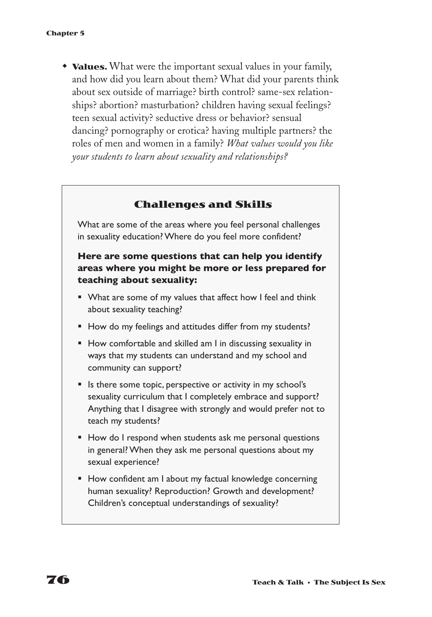• **Values.** What were the important sexual values in your family, and how did you learn about them? What did your parents think about sex outside of marriage? birth control? same-sex relationships? abortion? masturbation? children having sexual feelings? teen sexual activity? seductive dress or behavior? sensual dancing? pornography or erotica? having multiple partners? the roles of men and women in a family? *What values would you like your students to learn about sexuality and relationships?*

#### **Challenges and Skills**

What are some of the areas where you feel personal challenges in sexuality education? Where do you feel more confident?

#### **Here are some questions that can help you identify areas where you might be more or less prepared for teaching about sexuality:**

- What are some of my values that affect how I feel and think about sexuality teaching?
- How do my feelings and attitudes differ from my students?
- How comfortable and skilled am I in discussing sexuality in ways that my students can understand and my school and community can support?
- Is there some topic, perspective or activity in my school's sexuality curriculum that I completely embrace and support? Anything that I disagree with strongly and would prefer not to teach my students?
- How do I respond when students ask me personal questions in general? When they ask me personal questions about my sexual experience?
- How confident am I about my factual knowledge concerning human sexuality? Reproduction? Growth and development? Children's conceptual understandings of sexuality?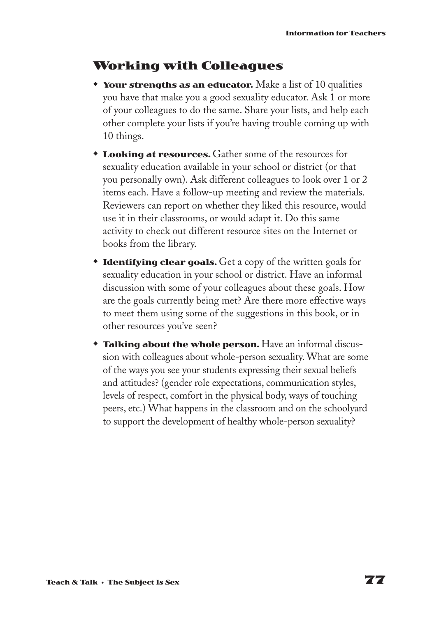### **Working with Colleagues**

- **\*** Your strengths as an educator. Make a list of 10 qualities you have that make you a good sexuality educator. Ask 1 or more of your colleagues to do the same. Share your lists, and help each other complete your lists if you're having trouble coming up with 10 things.
- **Looking at resources.** Gather some of the resources for sexuality education available in your school or district (or that you personally own). Ask different colleagues to look over 1 or 2 items each. Have a follow-up meeting and review the materials. Reviewers can report on whether they liked this resource, would use it in their classrooms, or would adapt it. Do this same activity to check out different resource sites on the Internet or books from the library.
- **Identifying clear goals.** Get a copy of the written goals for sexuality education in your school or district. Have an informal discussion with some of your colleagues about these goals. How are the goals currently being met? Are there more effective ways to meet them using some of the suggestions in this book, or in other resources you've seen?
- **Talking about the whole person.** Have an informal discussion with colleagues about whole-person sexuality. What are some of the ways you see your students expressing their sexual beliefs and attitudes? (gender role expectations, communication styles, levels of respect, comfort in the physical body, ways of touching peers, etc.) What happens in the classroom and on the schoolyard to support the development of healthy whole-person sexuality?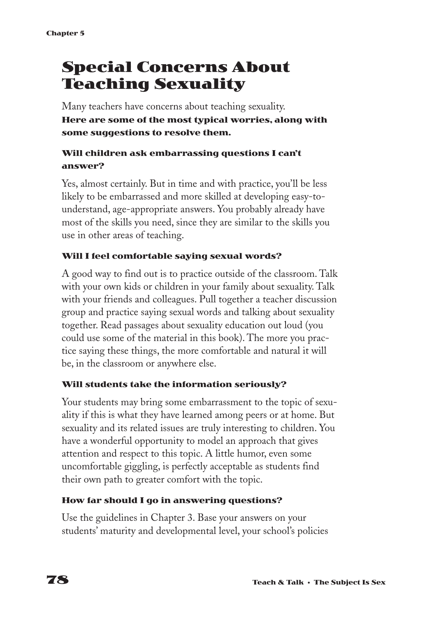# **Special Concerns About Teaching Sexuality**

Many teachers have concerns about teaching sexuality. **Here are some of the most typical worries, along with some suggestions to resolve them.**

#### **Will children ask embarrassing questions I can't answer?**

Yes, almost certainly. But in time and with practice, you'll be less likely to be embarrassed and more skilled at developing easy-tounderstand, age-appropriate answers. You probably already have most of the skills you need, since they are similar to the skills you use in other areas of teaching.

#### **Will I feel comfortable saying sexual words?**

A good way to find out is to practice outside of the classroom. Talk with your own kids or children in your family about sexuality. Talk with your friends and colleagues. Pull together a teacher discussion group and practice saying sexual words and talking about sexuality together. Read passages about sexuality education out loud (you could use some of the material in this book). The more you practice saying these things, the more comfortable and natural it will be, in the classroom or anywhere else.

#### **Will students take the information seriously?**

Your students may bring some embarrassment to the topic of sexuality if this is what they have learned among peers or at home. But sexuality and its related issues are truly interesting to children. You have a wonderful opportunity to model an approach that gives attention and respect to this topic. A little humor, even some uncomfortable giggling, is perfectly acceptable as students find their own path to greater comfort with the topic.

#### **How far should I go in answering questions?**

Use the guidelines in Chapter 3. Base your answers on your students' maturity and developmental level, your school's policies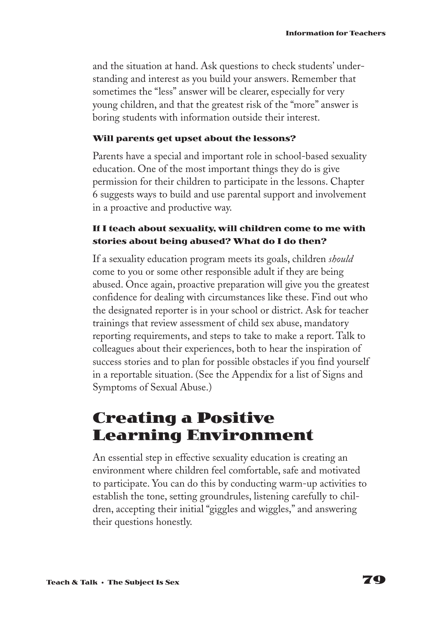and the situation at hand. Ask questions to check students' understanding and interest as you build your answers. Remember that sometimes the "less" answer will be clearer, especially for very young children, and that the greatest risk of the "more" answer is boring students with information outside their interest.

#### **Will parents get upset about the lessons?**

Parents have a special and important role in school-based sexuality education. One of the most important things they do is give permission for their children to participate in the lessons. Chapter 6 suggests ways to build and use parental support and involvement in a proactive and productive way.

#### **If I teach about sexuality, will children come to me with stories about being abused? What do I do then?**

If a sexuality education program meets its goals, children *should* come to you or some other responsible adult if they are being abused. Once again, proactive preparation will give you the greatest confidence for dealing with circumstances like these. Find out who the designated reporter is in your school or district. Ask for teacher trainings that review assessment of child sex abuse, mandatory reporting requirements, and steps to take to make a report. Talk to colleagues about their experiences, both to hear the inspiration of success stories and to plan for possible obstacles if you find yourself in a reportable situation. (See the Appendix for a list of Signs and Symptoms of Sexual Abuse.)

## **Creating a Positive Learning Environment**

An essential step in effective sexuality education is creating an environment where children feel comfortable, safe and motivated to participate. You can do this by conducting warm-up activities to establish the tone, setting groundrules, listening carefully to children, accepting their initial "giggles and wiggles," and answering their questions honestly.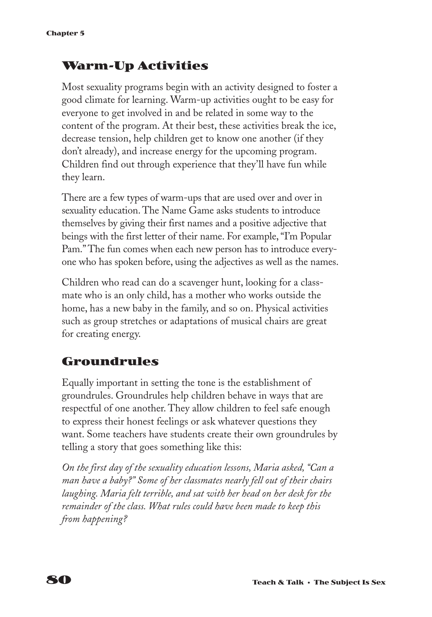### **Warm-Up Activities**

Most sexuality programs begin with an activity designed to foster a good climate for learning. Warm-up activities ought to be easy for everyone to get involved in and be related in some way to the content of the program. At their best, these activities break the ice, decrease tension, help children get to know one another (if they don't already), and increase energy for the upcoming program. Children find out through experience that they'll have fun while they learn.

There are a few types of warm-ups that are used over and over in sexuality education. The Name Game asks students to introduce themselves by giving their first names and a positive adjective that beings with the first letter of their name. For example, "I'm Popular Pam." The fun comes when each new person has to introduce everyone who has spoken before, using the adjectives as well as the names.

Children who read can do a scavenger hunt, looking for a classmate who is an only child, has a mother who works outside the home, has a new baby in the family, and so on. Physical activities such as group stretches or adaptations of musical chairs are great for creating energy.

### **Groundrules**

Equally important in setting the tone is the establishment of groundrules. Groundrules help children behave in ways that are respectful of one another. They allow children to feel safe enough to express their honest feelings or ask whatever questions they want. Some teachers have students create their own groundrules by telling a story that goes something like this:

*On the first day of the sexuality education lessons, Maria asked, "Can a man have a baby?" Some of her classmates nearly fell out of their chairs laughing. Maria felt terrible, and sat with her head on her desk for the remainder of the class. What rules could have been made to keep this from happening?*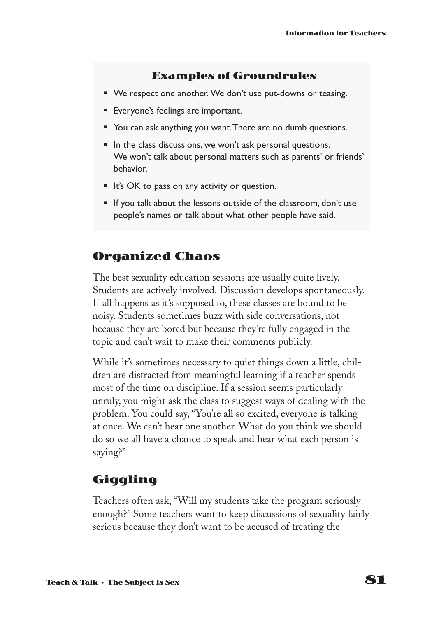#### **Examples of Groundrules**

- We respect one another. We don't use put-downs or teasing.
- Everyone's feelings are important.
- You can ask anything you want. There are no dumb questions.
- In the class discussions, we won't ask personal questions. We won't talk about personal matters such as parents' or friends' behavior.
- It's OK to pass on any activity or question.
- If you talk about the lessons outside of the classroom, don't use people's names or talk about what other people have said.

### **Organized Chaos**

The best sexuality education sessions are usually quite lively. Students are actively involved. Discussion develops spontaneously. If all happens as it's supposed to, these classes are bound to be noisy. Students sometimes buzz with side conversations, not because they are bored but because they're fully engaged in the topic and can't wait to make their comments publicly.

While it's sometimes necessary to quiet things down a little, children are distracted from meaningful learning if a teacher spends most of the time on discipline. If a session seems particularly unruly, you might ask the class to suggest ways of dealing with the problem. You could say, "You're all so excited, everyone is talking at once. We can't hear one another. What do you think we should do so we all have a chance to speak and hear what each person is saying?"

### **Giggling**

Teachers often ask, "Will my students take the program seriously enough?" Some teachers want to keep discussions of sexuality fairly serious because they don't want to be accused of treating the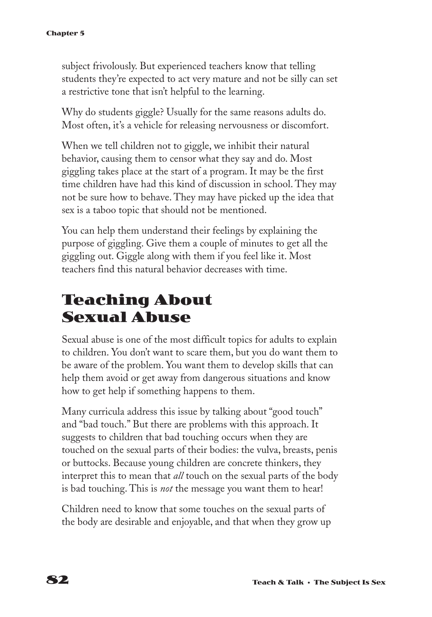subject frivolously. But experienced teachers know that telling students they're expected to act very mature and not be silly can set a restrictive tone that isn't helpful to the learning.

Why do students giggle? Usually for the same reasons adults do. Most often, it's a vehicle for releasing nervousness or discomfort.

When we tell children not to giggle, we inhibit their natural behavior, causing them to censor what they say and do. Most giggling takes place at the start of a program. It may be the first time children have had this kind of discussion in school. They may not be sure how to behave. They may have picked up the idea that sex is a taboo topic that should not be mentioned.

You can help them understand their feelings by explaining the purpose of giggling. Give them a couple of minutes to get all the giggling out. Giggle along with them if you feel like it. Most teachers find this natural behavior decreases with time.

# **Teaching About Sexual Abuse**

Sexual abuse is one of the most difficult topics for adults to explain to children. You don't want to scare them, but you do want them to be aware of the problem. You want them to develop skills that can help them avoid or get away from dangerous situations and know how to get help if something happens to them.

Many curricula address this issue by talking about "good touch" and "bad touch." But there are problems with this approach. It suggests to children that bad touching occurs when they are touched on the sexual parts of their bodies: the vulva, breasts, penis or buttocks. Because young children are concrete thinkers, they interpret this to mean that *all* touch on the sexual parts of the body is bad touching. This is *not* the message you want them to hear!

Children need to know that some touches on the sexual parts of the body are desirable and enjoyable, and that when they grow up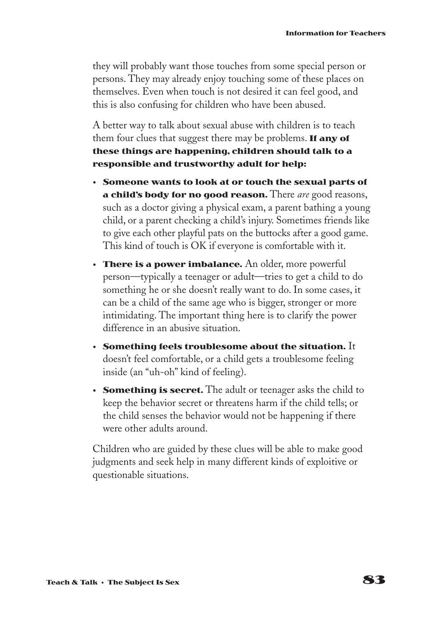they will probably want those touches from some special person or persons. They may already enjoy touching some of these places on themselves. Even when touch is not desired it can feel good, and this is also confusing for children who have been abused.

A better way to talk about sexual abuse with children is to teach them four clues that suggest there may be problems. **If any of these things are happening, children should talk to a responsible and trustworthy adult for help:**

- **Someone wants to look at or touch the sexual parts of a child's body for no good reason.** There *are* good reasons, such as a doctor giving a physical exam, a parent bathing a young child, or a parent checking a child's injury. Sometimes friends like to give each other playful pats on the buttocks after a good game. This kind of touch is OK if everyone is comfortable with it.
- **There is a power imbalance.** An older, more powerful person—typically a teenager or adult—tries to get a child to do something he or she doesn't really want to do. In some cases, it can be a child of the same age who is bigger, stronger or more intimidating. The important thing here is to clarify the power difference in an abusive situation.
- **• Something feels troublesome about the situation.** It doesn't feel comfortable, or a child gets a troublesome feeling inside (an "uh-oh" kind of feeling).
- **• Something is secret.** The adult or teenager asks the child to keep the behavior secret or threatens harm if the child tells; or the child senses the behavior would not be happening if there were other adults around.

Children who are guided by these clues will be able to make good judgments and seek help in many different kinds of exploitive or questionable situations.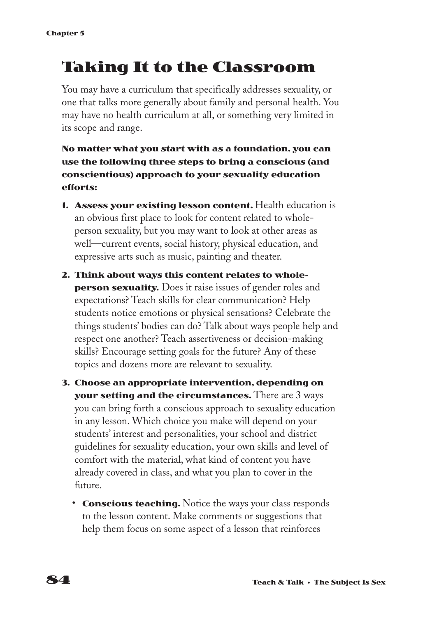# **Taking It to the Classroom**

You may have a curriculum that specifically addresses sexuality, or one that talks more generally about family and personal health. You may have no health curriculum at all, or something very limited in its scope and range.

#### **No matter what you start with as a foundation, you can use the following three steps to bring a conscious (and conscientious) approach to your sexuality education efforts:**

- **1. Assess your existing lesson content.** Health education is an obvious first place to look for content related to wholeperson sexuality, but you may want to look at other areas as well—current events, social history, physical education, and expressive arts such as music, painting and theater.
- **2. Think about ways this content relates to wholeperson sexuality.** Does it raise issues of gender roles and expectations? Teach skills for clear communication? Help students notice emotions or physical sensations? Celebrate the things students' bodies can do? Talk about ways people help and respect one another? Teach assertiveness or decision-making skills? Encourage setting goals for the future? Any of these topics and dozens more are relevant to sexuality.
- **3. Choose an appropriate intervention, depending on your setting and the circumstances.** There are 3 ways you can bring forth a conscious approach to sexuality education in any lesson. Which choice you make will depend on your students' interest and personalities, your school and district guidelines for sexuality education, your own skills and level of comfort with the material, what kind of content you have already covered in class, and what you plan to cover in the future.
	- **Conscious teaching.** Notice the ways your class responds to the lesson content. Make comments or suggestions that help them focus on some aspect of a lesson that reinforces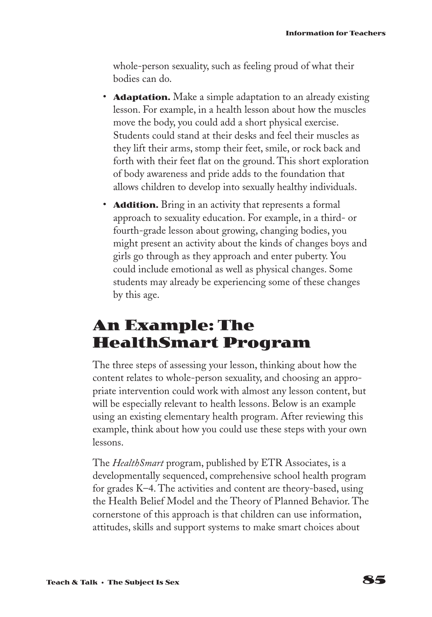whole-person sexuality, such as feeling proud of what their bodies can do.

- **Adaptation.** Make a simple adaptation to an already existing lesson. For example, in a health lesson about how the muscles move the body, you could add a short physical exercise. Students could stand at their desks and feel their muscles as they lift their arms, stomp their feet, smile, or rock back and forth with their feet flat on the ground. This short exploration of body awareness and pride adds to the foundation that allows children to develop into sexually healthy individuals.
- **Addition.** Bring in an activity that represents a formal approach to sexuality education. For example, in a third- or fourth-grade lesson about growing, changing bodies, you might present an activity about the kinds of changes boys and girls go through as they approach and enter puberty. You could include emotional as well as physical changes. Some students may already be experiencing some of these changes by this age.

# **An Example: The HealthSmart Program**

The three steps of assessing your lesson, thinking about how the content relates to whole-person sexuality, and choosing an appropriate intervention could work with almost any lesson content, but will be especially relevant to health lessons. Below is an example using an existing elementary health program. After reviewing this example, think about how you could use these steps with your own lessons.

The *HealthSmart* program, published by ETR Associates, is a developmentally sequenced, comprehensive school health program for grades K–4. The activities and content are theory-based, using the Health Belief Model and the Theory of Planned Behavior. The cornerstone of this approach is that children can use information, attitudes, skills and support systems to make smart choices about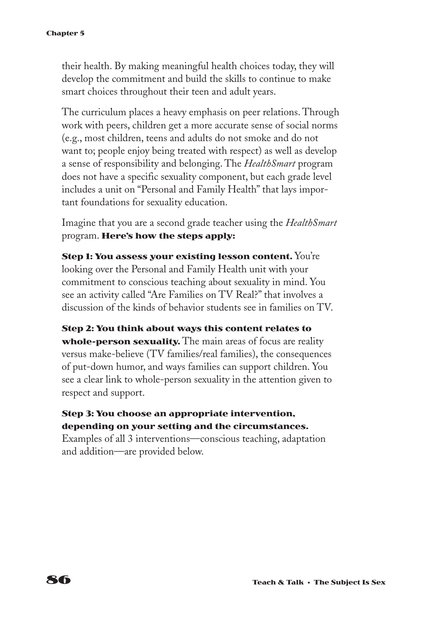#### **Chapter 5**

their health. By making meaningful health choices today, they will develop the commitment and build the skills to continue to make smart choices throughout their teen and adult years.

The curriculum places a heavy emphasis on peer relations. Through work with peers, children get a more accurate sense of social norms (e.g., most children, teens and adults do not smoke and do not want to; people enjoy being treated with respect) as well as develop a sense of responsibility and belonging. The *HealthSmart* program does not have a specific sexuality component, but each grade level includes a unit on "Personal and Family Health" that lays important foundations for sexuality education.

Imagine that you are a second grade teacher using the *HealthSmart* program. **Here's how the steps apply:**

**Step 1: You assess your existing lesson content.** You're looking over the Personal and Family Health unit with your commitment to conscious teaching about sexuality in mind. You see an activity called "Are Families on TV Real?" that involves a discussion of the kinds of behavior students see in families on TV.

**Step 2: You think about ways this content relates to whole-person sexuality.** The main areas of focus are reality versus make-believe (TV families/real families), the consequences of put-down humor, and ways families can support children. You see a clear link to whole-person sexuality in the attention given to respect and support.

#### **Step 3: You choose an appropriate intervention, depending on your setting and the circumstances.**

Examples of all 3 interventions—conscious teaching, adaptation and addition—are provided below.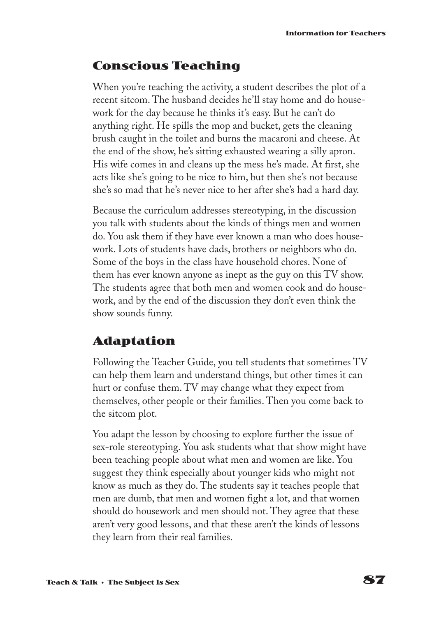### **Conscious Teaching**

When you're teaching the activity, a student describes the plot of a recent sitcom. The husband decides he'll stay home and do housework for the day because he thinks it's easy. But he can't do anything right. He spills the mop and bucket, gets the cleaning brush caught in the toilet and burns the macaroni and cheese. At the end of the show, he's sitting exhausted wearing a silly apron. His wife comes in and cleans up the mess he's made. At first, she acts like she's going to be nice to him, but then she's not because she's so mad that he's never nice to her after she's had a hard day.

Because the curriculum addresses stereotyping, in the discussion you talk with students about the kinds of things men and women do. You ask them if they have ever known a man who does housework. Lots of students have dads, brothers or neighbors who do. Some of the boys in the class have household chores. None of them has ever known anyone as inept as the guy on this TV show. The students agree that both men and women cook and do housework, and by the end of the discussion they don't even think the show sounds funny.

### **Adaptation**

Following the Teacher Guide, you tell students that sometimes TV can help them learn and understand things, but other times it can hurt or confuse them. TV may change what they expect from themselves, other people or their families. Then you come back to the sitcom plot.

You adapt the lesson by choosing to explore further the issue of sex-role stereotyping. You ask students what that show might have been teaching people about what men and women are like. You suggest they think especially about younger kids who might not know as much as they do. The students say it teaches people that men are dumb, that men and women fight a lot, and that women should do housework and men should not. They agree that these aren't very good lessons, and that these aren't the kinds of lessons they learn from their real families.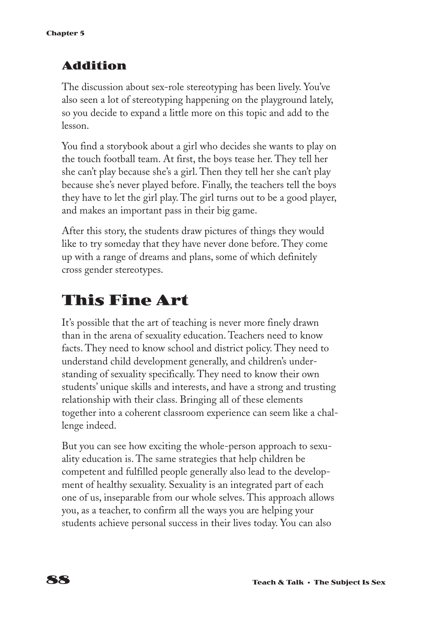### **Addition**

The discussion about sex-role stereotyping has been lively. You've also seen a lot of stereotyping happening on the playground lately, so you decide to expand a little more on this topic and add to the lesson.

You find a storybook about a girl who decides she wants to play on the touch football team. At first, the boys tease her. They tell her she can't play because she's a girl. Then they tell her she can't play because she's never played before. Finally, the teachers tell the boys they have to let the girl play. The girl turns out to be a good player, and makes an important pass in their big game.

After this story, the students draw pictures of things they would like to try someday that they have never done before. They come up with a range of dreams and plans, some of which definitely cross gender stereotypes.

# **This Fine Art**

It's possible that the art of teaching is never more finely drawn than in the arena of sexuality education. Teachers need to know facts. They need to know school and district policy. They need to understand child development generally, and children's understanding of sexuality specifically. They need to know their own students' unique skills and interests, and have a strong and trusting relationship with their class. Bringing all of these elements together into a coherent classroom experience can seem like a challenge indeed.

But you can see how exciting the whole-person approach to sexuality education is. The same strategies that help children be competent and fulfilled people generally also lead to the development of healthy sexuality. Sexuality is an integrated part of each one of us, inseparable from our whole selves. This approach allows you, as a teacher, to confirm all the ways you are helping your students achieve personal success in their lives today. You can also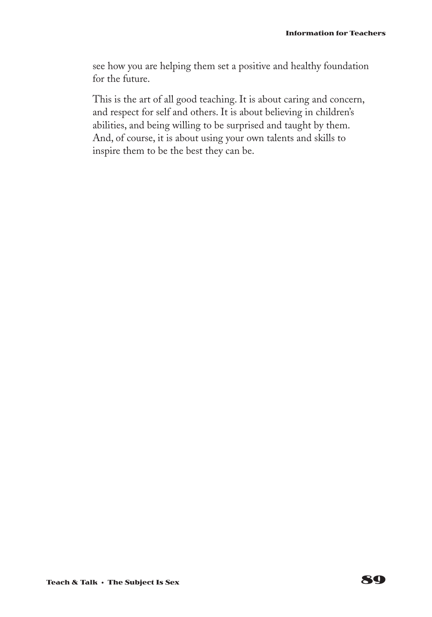see how you are helping them set a positive and healthy foundation for the future.

This is the art of all good teaching. It is about caring and concern, and respect for self and others. It is about believing in children's abilities, and being willing to be surprised and taught by them. And, of course, it is about using your own talents and skills to inspire them to be the best they can be.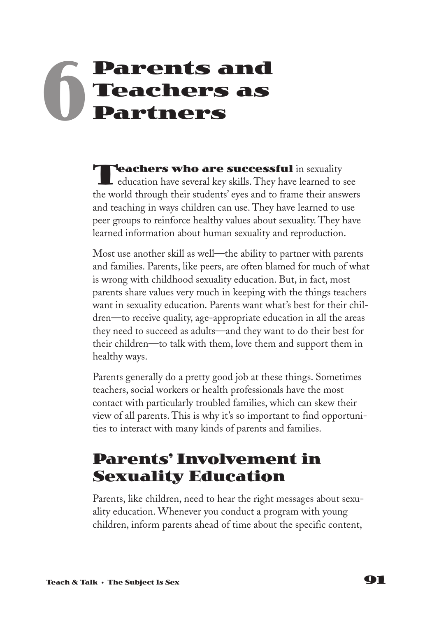# **Parents and Teachers as Partners 6**

**Teachers who are successful** in sexuality  $\blacksquare$  education have several key skills. They have learned to see the world through their students' eyes and to frame their answers and teaching in ways children can use. They have learned to use peer groups to reinforce healthy values about sexuality. They have learned information about human sexuality and reproduction.

Most use another skill as well—the ability to partner with parents and families. Parents, like peers, are often blamed for much of what is wrong with childhood sexuality education. But, in fact, most parents share values very much in keeping with the things teachers want in sexuality education. Parents want what's best for their children—to receive quality, age-appropriate education in all the areas they need to succeed as adults—and they want to do their best for their children—to talk with them, love them and support them in healthy ways.

Parents generally do a pretty good job at these things. Sometimes teachers, social workers or health professionals have the most contact with particularly troubled families, which can skew their view of all parents. This is why it's so important to find opportunities to interact with many kinds of parents and families.

# **Parents' Involvement in Sexuality Education**

Parents, like children, need to hear the right messages about sexuality education. Whenever you conduct a program with young children, inform parents ahead of time about the specific content,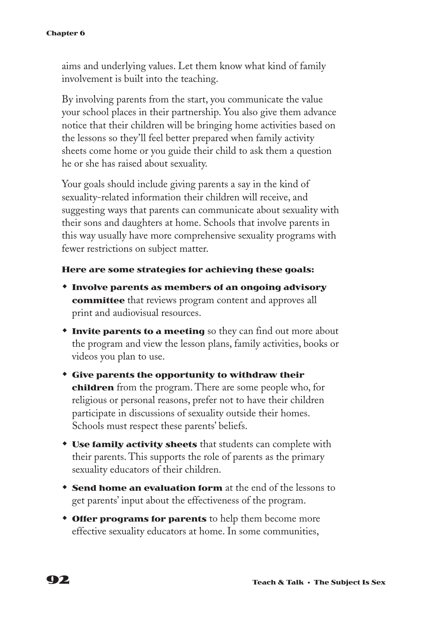#### **Chapter 6**

aims and underlying values. Let them know what kind of family involvement is built into the teaching.

By involving parents from the start, you communicate the value your school places in their partnership. You also give them advance notice that their children will be bringing home activities based on the lessons so they'll feel better prepared when family activity sheets come home or you guide their child to ask them a question he or she has raised about sexuality.

Your goals should include giving parents a say in the kind of sexuality-related information their children will receive, and suggesting ways that parents can communicate about sexuality with their sons and daughters at home. Schools that involve parents in this way usually have more comprehensive sexuality programs with fewer restrictions on subject matter.

#### **Here are some strategies for achieving these goals:**

- w **Involve parents as members of an ongoing advisory committee** that reviews program content and approves all print and audiovisual resources.
- **Invite parents to a meeting** so they can find out more about the program and view the lesson plans, family activities, books or videos you plan to use.
- $\bullet$  **Give parents the opportunity to withdraw their children** from the program. There are some people who, for religious or personal reasons, prefer not to have their children participate in discussions of sexuality outside their homes. Schools must respect these parents' beliefs.
- **\* Use family activity sheets** that students can complete with their parents. This supports the role of parents as the primary sexuality educators of their children.
- **Send home an evaluation form** at the end of the lessons to get parents' input about the effectiveness of the program.
- **Offer programs for parents** to help them become more effective sexuality educators at home. In some communities,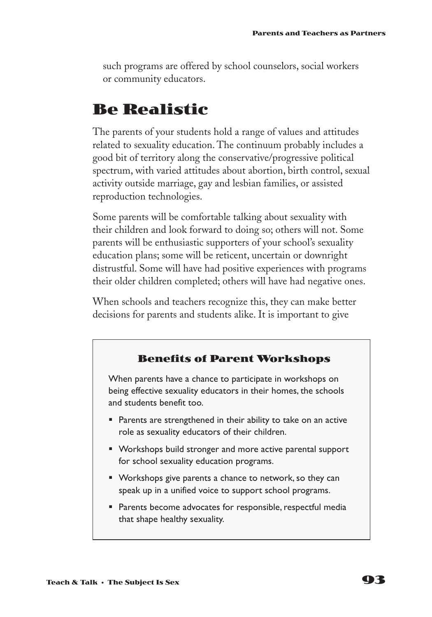such programs are offered by school counselors, social workers or community educators.

### **Be Realistic**

The parents of your students hold a range of values and attitudes related to sexuality education. The continuum probably includes a good bit of territory along the conservative/progressive political spectrum, with varied attitudes about abortion, birth control, sexual activity outside marriage, gay and lesbian families, or assisted reproduction technologies.

Some parents will be comfortable talking about sexuality with their children and look forward to doing so; others will not. Some parents will be enthusiastic supporters of your school's sexuality education plans; some will be reticent, uncertain or downright distrustful. Some will have had positive experiences with programs their older children completed; others will have had negative ones.

When schools and teachers recognize this, they can make better decisions for parents and students alike. It is important to give

#### **Benefits of Parent Workshops**

When parents have a chance to participate in workshops on being effective sexuality educators in their homes, the schools and students benefit too.

- Parents are strengthened in their ability to take on an active role as sexuality educators of their children.
- Workshops build stronger and more active parental support for school sexuality education programs.
- Workshops give parents a chance to network, so they can speak up in a unified voice to support school programs.
- Parents become advocates for responsible, respectful media that shape healthy sexuality.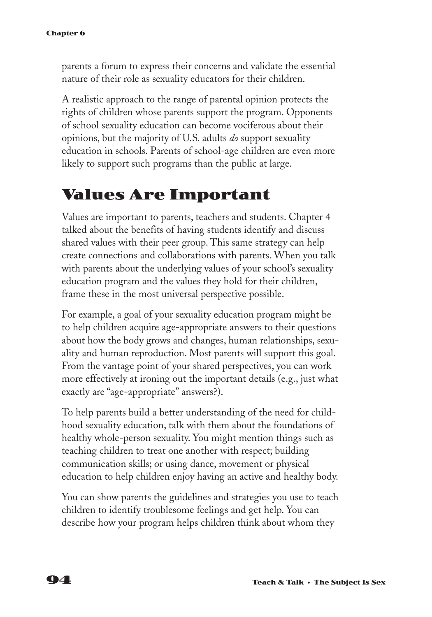parents a forum to express their concerns and validate the essential nature of their role as sexuality educators for their children.

A realistic approach to the range of parental opinion protects the rights of children whose parents support the program. Opponents of school sexuality education can become vociferous about their opinions, but the majority of U.S. adults *do* support sexuality education in schools. Parents of school-age children are even more likely to support such programs than the public at large.

## **Values Are Important**

Values are important to parents, teachers and students. Chapter 4 talked about the benefits of having students identify and discuss shared values with their peer group. This same strategy can help create connections and collaborations with parents. When you talk with parents about the underlying values of your school's sexuality education program and the values they hold for their children, frame these in the most universal perspective possible.

For example, a goal of your sexuality education program might be to help children acquire age-appropriate answers to their questions about how the body grows and changes, human relationships, sexuality and human reproduction. Most parents will support this goal. From the vantage point of your shared perspectives, you can work more effectively at ironing out the important details (e.g., just what exactly are "age-appropriate" answers?).

To help parents build a better understanding of the need for childhood sexuality education, talk with them about the foundations of healthy whole-person sexuality. You might mention things such as teaching children to treat one another with respect; building communication skills; or using dance, movement or physical education to help children enjoy having an active and healthy body.

You can show parents the guidelines and strategies you use to teach children to identify troublesome feelings and get help. You can describe how your program helps children think about whom they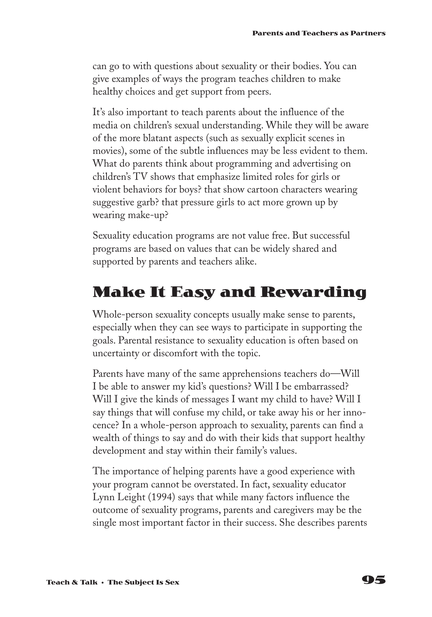can go to with questions about sexuality or their bodies. You can give examples of ways the program teaches children to make healthy choices and get support from peers.

It's also important to teach parents about the influence of the media on children's sexual understanding. While they will be aware of the more blatant aspects (such as sexually explicit scenes in movies), some of the subtle influences may be less evident to them. What do parents think about programming and advertising on children's TV shows that emphasize limited roles for girls or violent behaviors for boys? that show cartoon characters wearing suggestive garb? that pressure girls to act more grown up by wearing make-up?

Sexuality education programs are not value free. But successful programs are based on values that can be widely shared and supported by parents and teachers alike.

# **Make It Easy and Rewarding**

Whole-person sexuality concepts usually make sense to parents, especially when they can see ways to participate in supporting the goals. Parental resistance to sexuality education is often based on uncertainty or discomfort with the topic.

Parents have many of the same apprehensions teachers do—Will I be able to answer my kid's questions? Will I be embarrassed? Will I give the kinds of messages I want my child to have? Will I say things that will confuse my child, or take away his or her innocence? In a whole-person approach to sexuality, parents can find a wealth of things to say and do with their kids that support healthy development and stay within their family's values.

The importance of helping parents have a good experience with your program cannot be overstated. In fact, sexuality educator Lynn Leight (1994) says that while many factors influence the outcome of sexuality programs, parents and caregivers may be the single most important factor in their success. She describes parents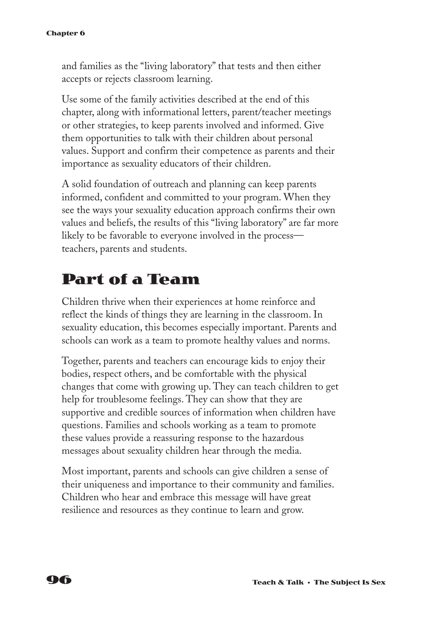and families as the "living laboratory" that tests and then either accepts or rejects classroom learning.

Use some of the family activities described at the end of this chapter, along with informational letters, parent/teacher meetings or other strategies, to keep parents involved and informed. Give them opportunities to talk with their children about personal values. Support and confirm their competence as parents and their importance as sexuality educators of their children.

A solid foundation of outreach and planning can keep parents informed, confident and committed to your program. When they see the ways your sexuality education approach confirms their own values and beliefs, the results of this "living laboratory" are far more likely to be favorable to everyone involved in the process teachers, parents and students.

## **Part of a Team**

Children thrive when their experiences at home reinforce and reflect the kinds of things they are learning in the classroom. In sexuality education, this becomes especially important. Parents and schools can work as a team to promote healthy values and norms.

Together, parents and teachers can encourage kids to enjoy their bodies, respect others, and be comfortable with the physical changes that come with growing up. They can teach children to get help for troublesome feelings. They can show that they are supportive and credible sources of information when children have questions. Families and schools working as a team to promote these values provide a reassuring response to the hazardous messages about sexuality children hear through the media.

Most important, parents and schools can give children a sense of their uniqueness and importance to their community and families. Children who hear and embrace this message will have great resilience and resources as they continue to learn and grow.

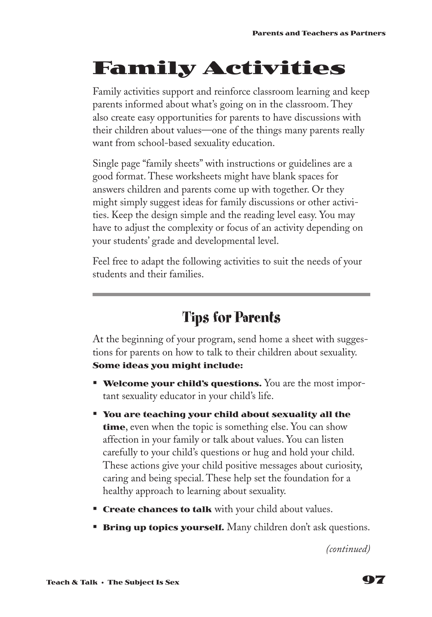# **Family Activities**

Family activities support and reinforce classroom learning and keep parents informed about what's going on in the classroom. They also create easy opportunities for parents to have discussions with their children about values—one of the things many parents really want from school-based sexuality education.

Single page "family sheets" with instructions or guidelines are a good format. These worksheets might have blank spaces for answers children and parents come up with together. Or they might simply suggest ideas for family discussions or other activities. Keep the design simple and the reading level easy. You may have to adjust the complexity or focus of an activity depending on your students' grade and developmental level.

Feel free to adapt the following activities to suit the needs of your students and their families.

# **Tips for Parents**

At the beginning of your program, send home a sheet with suggestions for parents on how to talk to their children about sexuality. **Some ideas you might include:**

- **Welcome your child's questions.** You are the most important sexuality educator in your child's life.
- § **You are teaching your child about sexuality all the time**, even when the topic is something else. You can show affection in your family or talk about values. You can listen carefully to your child's questions or hug and hold your child. These actions give your child positive messages about curiosity, caring and being special. These help set the foundation for a healthy approach to learning about sexuality.
- **Create chances to talk** with your child about values.
- **Bring up topics yourself.** Many children don't ask questions.

*(continued)*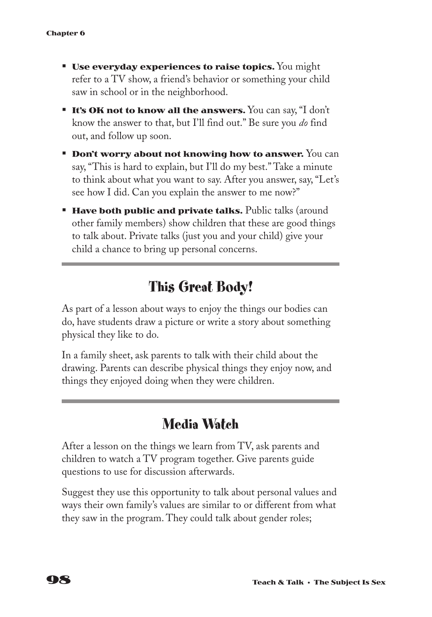- **Use everyday experiences to raise topics.** You might refer to a TV show, a friend's behavior or something your child saw in school or in the neighborhood.
- **It's OK not to know all the answers.** You can say, "I don't know the answer to that, but I'll find out." Be sure you *do* find out, and follow up soon.
- **Don't worry about not knowing how to answer.** You can say, "This is hard to explain, but I'll do my best." Take a minute to think about what you want to say. After you answer, say, "Let's see how I did. Can you explain the answer to me now?"
- **Have both public and private talks.** Public talks (around other family members) show children that these are good things to talk about. Private talks (just you and your child) give your child a chance to bring up personal concerns.

### **This Great Body!**

As part of a lesson about ways to enjoy the things our bodies can do, have students draw a picture or write a story about something physical they like to do.

In a family sheet, ask parents to talk with their child about the drawing. Parents can describe physical things they enjoy now, and things they enjoyed doing when they were children.

### **Media Watch**

After a lesson on the things we learn from TV, ask parents and children to watch a TV program together. Give parents guide questions to use for discussion afterwards.

Suggest they use this opportunity to talk about personal values and ways their own family's values are similar to or different from what they saw in the program. They could talk about gender roles;

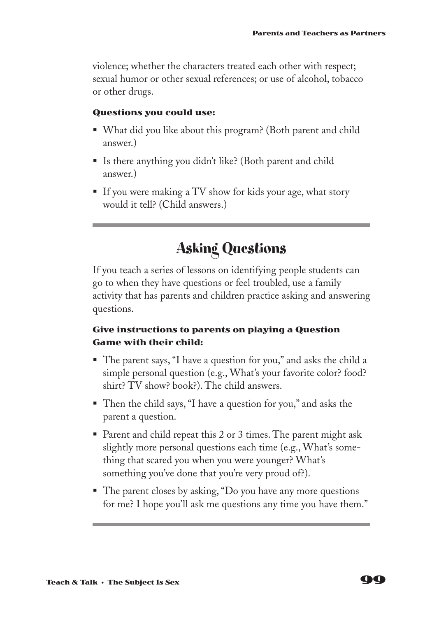violence; whether the characters treated each other with respect; sexual humor or other sexual references; or use of alcohol, tobacco or other drugs.

#### **Questions you could use:**

- § What did you like about this program? (Both parent and child answer.)
- Is there anything you didn't like? (Both parent and child answer.)
- If you were making a TV show for kids your age, what story would it tell? (Child answers.)

## **Asking Questions**

If you teach a series of lessons on identifying people students can go to when they have questions or feel troubled, use a family activity that has parents and children practice asking and answering questions.

#### **Give instructions to parents on playing a Question Game with their child:**

- The parent says, "I have a question for you," and asks the child a simple personal question (e.g., What's your favorite color? food? shirt? TV show? book?). The child answers.
- Then the child says, "I have a question for you," and asks the parent a question.
- Parent and child repeat this 2 or 3 times. The parent might ask slightly more personal questions each time (e.g., What's something that scared you when you were younger? What's something you've done that you're very proud of?).
- The parent closes by asking, "Do you have any more questions for me? I hope you'll ask me questions any time you have them."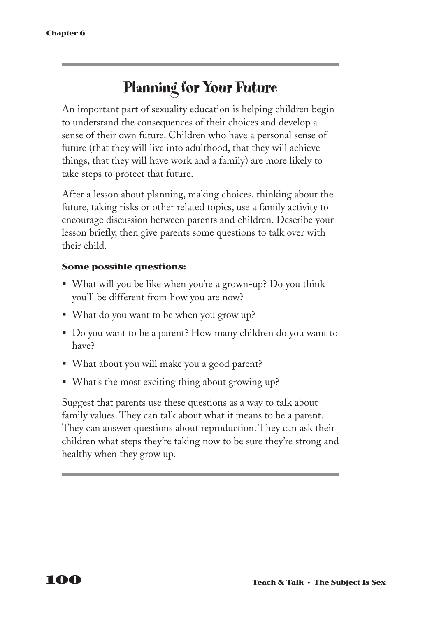## **Planning for Your Future**

An important part of sexuality education is helping children begin to understand the consequences of their choices and develop a sense of their own future. Children who have a personal sense of future (that they will live into adulthood, that they will achieve things, that they will have work and a family) are more likely to take steps to protect that future.

After a lesson about planning, making choices, thinking about the future, taking risks or other related topics, use a family activity to encourage discussion between parents and children. Describe your lesson briefly, then give parents some questions to talk over with their child.

#### **Some possible questions:**

- What will you be like when you're a grown-up? Do you think you'll be different from how you are now?
- What do you want to be when you grow up?
- Do you want to be a parent? How many children do you want to have?
- What about you will make you a good parent?
- What's the most exciting thing about growing up?

Suggest that parents use these questions as a way to talk about family values. They can talk about what it means to be a parent. They can answer questions about reproduction. They can ask their children what steps they're taking now to be sure they're strong and healthy when they grow up.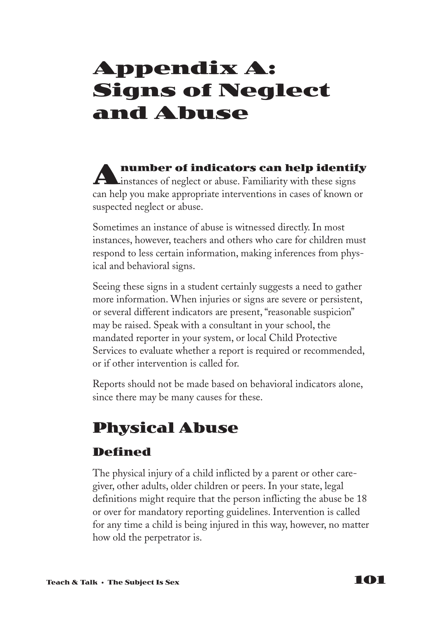# **Appendix A: Signs of Neglect and Abuse**

**Anumber of indicators can help identify L**instances of neglect or abuse. Familiarity with these signs can help you make appropriate interventions in cases of known or suspected neglect or abuse.

Sometimes an instance of abuse is witnessed directly. In most instances, however, teachers and others who care for children must respond to less certain information, making inferences from physical and behavioral signs.

Seeing these signs in a student certainly suggests a need to gather more information. When injuries or signs are severe or persistent, or several different indicators are present, "reasonable suspicion" may be raised. Speak with a consultant in your school, the mandated reporter in your system, or local Child Protective Services to evaluate whether a report is required or recommended, or if other intervention is called for.

Reports should not be made based on behavioral indicators alone, since there may be many causes for these.

# **Physical Abuse**

### **Defined**

The physical injury of a child inflicted by a parent or other caregiver, other adults, older children or peers. In your state, legal definitions might require that the person inflicting the abuse be 18 or over for mandatory reporting guidelines. Intervention is called for any time a child is being injured in this way, however, no matter how old the perpetrator is.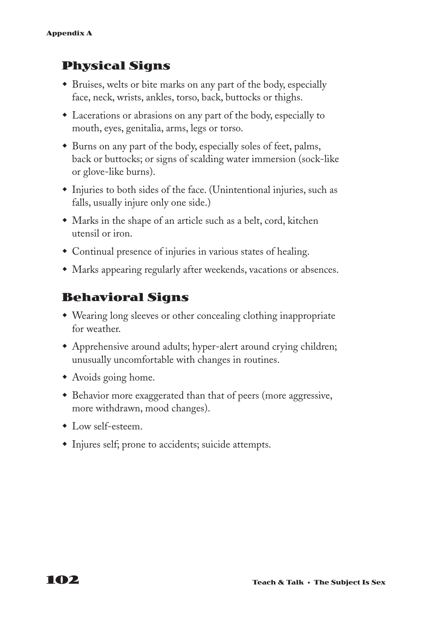### **Physical Signs**

- w Bruises, welts or bite marks on any part of the body, especially face, neck, wrists, ankles, torso, back, buttocks or thighs.
- Lacerations or abrasions on any part of the body, especially to mouth, eyes, genitalia, arms, legs or torso.
- Burns on any part of the body, especially soles of feet, palms, back or buttocks; or signs of scalding water immersion (sock-like or glove-like burns).
- $\bullet$  Injuries to both sides of the face. (Unintentional injuries, such as falls, usually injure only one side.)
- Marks in the shape of an article such as a belt, cord, kitchen utensil or iron.
- Continual presence of injuries in various states of healing.
- Marks appearing regularly after weekends, vacations or absences.

### **Behavioral Signs**

- Wearing long sleeves or other concealing clothing inappropriate for weather.
- Apprehensive around adults; hyper-alert around crying children; unusually uncomfortable with changes in routines.
- Avoids going home.
- Behavior more exaggerated than that of peers (more aggressive, more withdrawn, mood changes).
- $\bullet$  Low self-esteem.
- Injures self; prone to accidents; suicide attempts.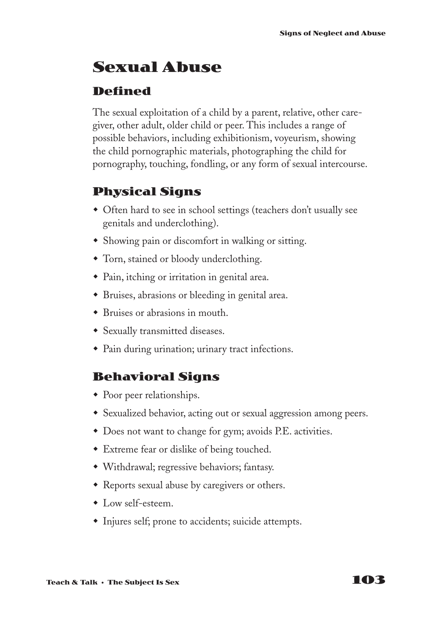## **Sexual Abuse**

### **Defined**

The sexual exploitation of a child by a parent, relative, other caregiver, other adult, older child or peer. This includes a range of possible behaviors, including exhibitionism, voyeurism, showing the child pornographic materials, photographing the child for pornography, touching, fondling, or any form of sexual intercourse.

### **Physical Signs**

- Often hard to see in school settings (teachers don't usually see genitals and underclothing).
- Showing pain or discomfort in walking or sitting.
- Torn, stained or bloody underclothing.
- Pain, itching or irritation in genital area.
- w Bruises, abrasions or bleeding in genital area.
- $\bullet$  Bruises or abrasions in mouth.
- Sexually transmitted diseases.
- Pain during urination; urinary tract infections.

### **Behavioral Signs**

- $\bullet$  Poor peer relationships.
- Sexualized behavior, acting out or sexual aggression among peers.
- $\bullet$  Does not want to change for gym; avoids P.E. activities.
- Extreme fear or dislike of being touched.
- w Withdrawal; regressive behaviors; fantasy.
- Reports sexual abuse by caregivers or others.
- $\bullet$  Low self-esteem.
- $\bullet$  Injures self; prone to accidents; suicide attempts.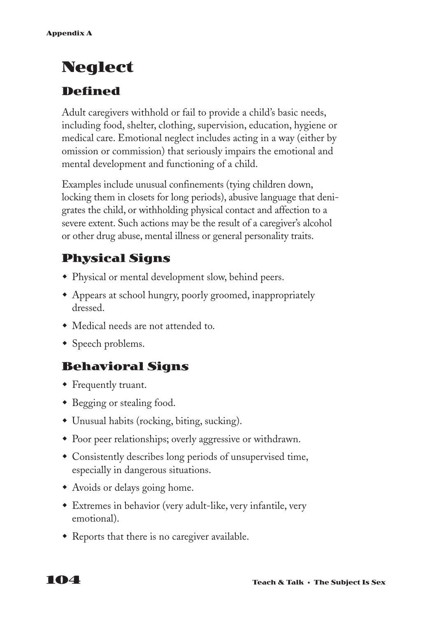# **Neglect**

### **Defined**

Adult caregivers withhold or fail to provide a child's basic needs, including food, shelter, clothing, supervision, education, hygiene or medical care. Emotional neglect includes acting in a way (either by omission or commission) that seriously impairs the emotional and mental development and functioning of a child.

Examples include unusual confinements (tying children down, locking them in closets for long periods), abusive language that denigrates the child, or withholding physical contact and affection to a severe extent. Such actions may be the result of a caregiver's alcohol or other drug abuse, mental illness or general personality traits.

### **Physical Signs**

- Physical or mental development slow, behind peers.
- w Appears at school hungry, poorly groomed, inappropriately dressed.
- Medical needs are not attended to.
- $\bullet$  Speech problems.

### **Behavioral Signs**

- Frequently truant.
- Begging or stealing food.
- $\bullet$  Unusual habits (rocking, biting, sucking).
- Poor peer relationships; overly aggressive or withdrawn.
- Consistently describes long periods of unsupervised time, especially in dangerous situations.
- Avoids or delays going home.
- \* Extremes in behavior (very adult-like, very infantile, very emotional).
- Reports that there is no caregiver available.

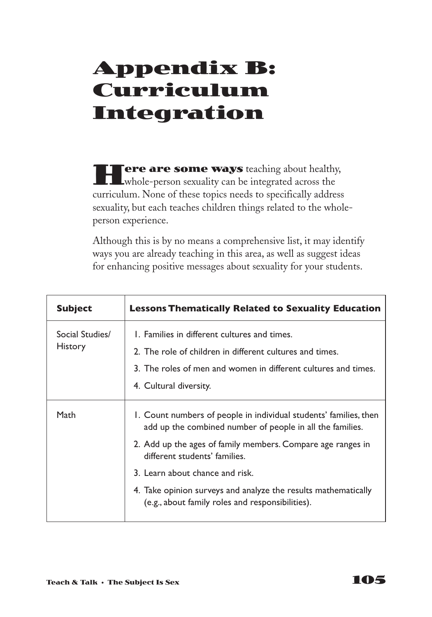# **Appendix B: Curriculum Integration**

**Fere are some ways** teaching about healthy, whole-person sexuality can be integrated across the curriculum. None of these topics needs to specifically address sexuality, but each teaches children things related to the wholeperson experience.

Although this is by no means a comprehensive list, it may identify ways you are already teaching in this area, as well as suggest ideas for enhancing positive messages about sexuality for your students.

| <b>Subject</b>                    | <b>Lessons Thematically Related to Sexuality Education</b>                                                                                                                                                                                                                                                                                                                              |
|-----------------------------------|-----------------------------------------------------------------------------------------------------------------------------------------------------------------------------------------------------------------------------------------------------------------------------------------------------------------------------------------------------------------------------------------|
| Social Studies/<br><b>History</b> | L. Families in different cultures and times.<br>2. The role of children in different cultures and times.<br>3. The roles of men and women in different cultures and times.<br>4. Cultural diversity.                                                                                                                                                                                    |
| Math                              | 1. Count numbers of people in individual students' families, then<br>add up the combined number of people in all the families.<br>2. Add up the ages of family members. Compare age ranges in<br>different students' families.<br>3. Learn about chance and risk.<br>4. Take opinion surveys and analyze the results mathematically<br>(e.g., about family roles and responsibilities). |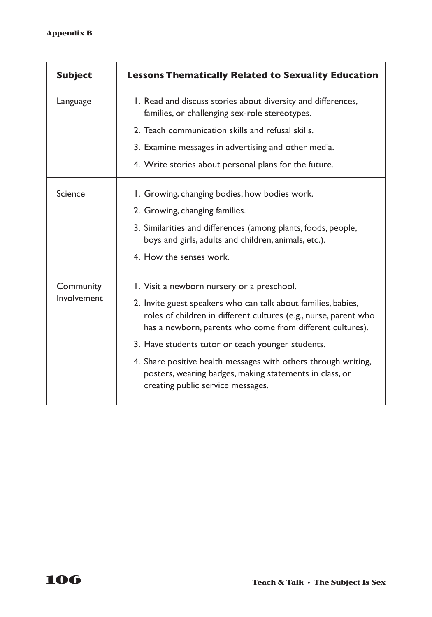| <b>Subject</b>           | <b>Lessons Thematically Related to Sexuality Education</b>                                                                                                                                     |
|--------------------------|------------------------------------------------------------------------------------------------------------------------------------------------------------------------------------------------|
| Language                 | 1. Read and discuss stories about diversity and differences,<br>families, or challenging sex-role stereotypes.                                                                                 |
|                          | 2. Teach communication skills and refusal skills.                                                                                                                                              |
|                          | 3. Examine messages in advertising and other media.                                                                                                                                            |
|                          | 4. Write stories about personal plans for the future.                                                                                                                                          |
| Science                  | 1. Growing, changing bodies; how bodies work.                                                                                                                                                  |
|                          | 2. Growing, changing families.                                                                                                                                                                 |
|                          | 3. Similarities and differences (among plants, foods, people,<br>boys and girls, adults and children, animals, etc.).                                                                          |
|                          | 4. How the senses work.                                                                                                                                                                        |
| Community<br>Involvement | I. Visit a newborn nursery or a preschool.                                                                                                                                                     |
|                          | 2. Invite guest speakers who can talk about families, babies,<br>roles of children in different cultures (e.g., nurse, parent who<br>has a newborn, parents who come from different cultures). |
|                          | 3. Have students tutor or teach younger students.                                                                                                                                              |
|                          | 4. Share positive health messages with others through writing,<br>posters, wearing badges, making statements in class, or<br>creating public service messages.                                 |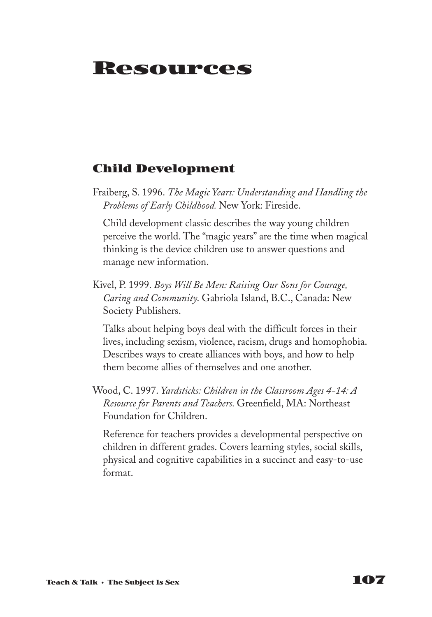# **Resources**

#### **Child Development**

Fraiberg, S. 1996. *The Magic Years: Understanding and Handling the Problems of Early Childhood.* New York: Fireside.

Child development classic describes the way young children perceive the world. The "magic years" are the time when magical thinking is the device children use to answer questions and manage new information.

Kivel, P. 1999. *Boys Will Be Men: Raising Our Sons for Courage, Caring and Community.* Gabriola Island, B.C., Canada: New Society Publishers.

Talks about helping boys deal with the difficult forces in their lives, including sexism, violence, racism, drugs and homophobia. Describes ways to create alliances with boys, and how to help them become allies of themselves and one another.

Wood, C. 1997. *Yardsticks: Children in the Classroom Ages 4-14: A Resource for Parents and Teachers.* Greenfield, MA: Northeast Foundation for Children.

Reference for teachers provides a developmental perspective on children in different grades. Covers learning styles, social skills, physical and cognitive capabilities in a succinct and easy-to-use format.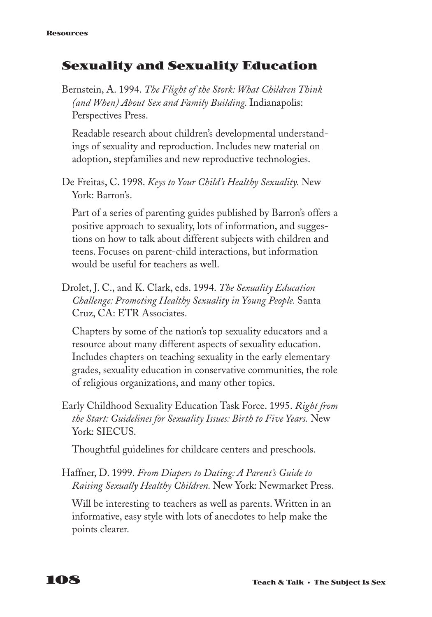## **Sexuality and Sexuality Education**

Bernstein, A. 1994. *The Flight of the Stork: What Children Think (and When) About Sex and Family Building.* Indianapolis: Perspectives Press.

Readable research about children's developmental understandings of sexuality and reproduction. Includes new material on adoption, stepfamilies and new reproductive technologies.

De Freitas, C. 1998. *Keys to Your Child's Healthy Sexuality.* New York: Barron's.

Part of a series of parenting guides published by Barron's offers a positive approach to sexuality, lots of information, and suggestions on how to talk about different subjects with children and teens. Focuses on parent-child interactions, but information would be useful for teachers as well.

Drolet, J. C., and K. Clark, eds. 1994. *The Sexuality Education Challenge: Promoting Healthy Sexuality in Young People.* Santa Cruz, CA: ETR Associates.

Chapters by some of the nation's top sexuality educators and a resource about many different aspects of sexuality education. Includes chapters on teaching sexuality in the early elementary grades, sexuality education in conservative communities, the role of religious organizations, and many other topics.

Early Childhood Sexuality Education Task Force. 1995. *Right from the Start: Guidelines for Sexuality Issues: Birth to Five Years.* New York: SIECUS.

Thoughtful guidelines for childcare centers and preschools.

Haffner, D. 1999. *From Diapers to Dating: A Parent's Guide to Raising Sexually Healthy Children.* New York: Newmarket Press.

Will be interesting to teachers as well as parents. Written in an informative, easy style with lots of anecdotes to help make the points clearer.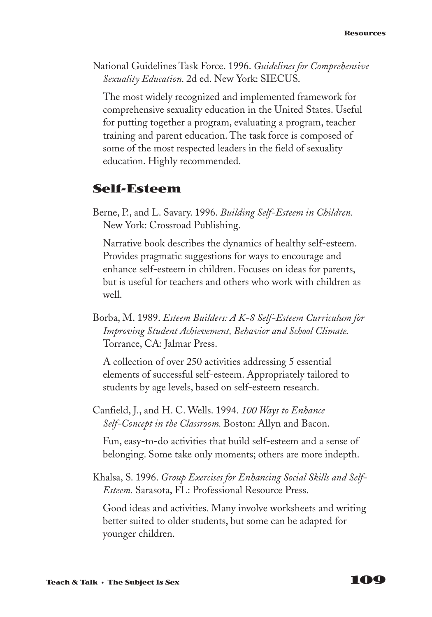National Guidelines Task Force. 1996. *Guidelines for Comprehensive Sexuality Education.* 2d ed. New York: SIECUS.

The most widely recognized and implemented framework for comprehensive sexuality education in the United States. Useful for putting together a program, evaluating a program, teacher training and parent education. The task force is composed of some of the most respected leaders in the field of sexuality education. Highly recommended.

## **Self-Esteem**

Berne, P., and L. Savary. 1996. *Building Self-Esteem in Children.* New York: Crossroad Publishing.

Narrative book describes the dynamics of healthy self-esteem. Provides pragmatic suggestions for ways to encourage and enhance self-esteem in children. Focuses on ideas for parents, but is useful for teachers and others who work with children as well.

Borba, M. 1989. *Esteem Builders: A K-8 Self-Esteem Curriculum for Improving Student Achievement, Behavior and School Climate.* Torrance, CA: Jalmar Press.

A collection of over 250 activities addressing 5 essential elements of successful self-esteem. Appropriately tailored to students by age levels, based on self-esteem research.

Canfield, J., and H. C. Wells. 1994. *100 Ways to Enhance Self-Concept in the Classroom.* Boston: Allyn and Bacon.

Fun, easy-to-do activities that build self-esteem and a sense of belonging. Some take only moments; others are more indepth.

Khalsa, S. 1996. *Group Exercises for Enhancing Social Skills and Self-Esteem.* Sarasota, FL: Professional Resource Press.

Good ideas and activities. Many involve worksheets and writing better suited to older students, but some can be adapted for younger children.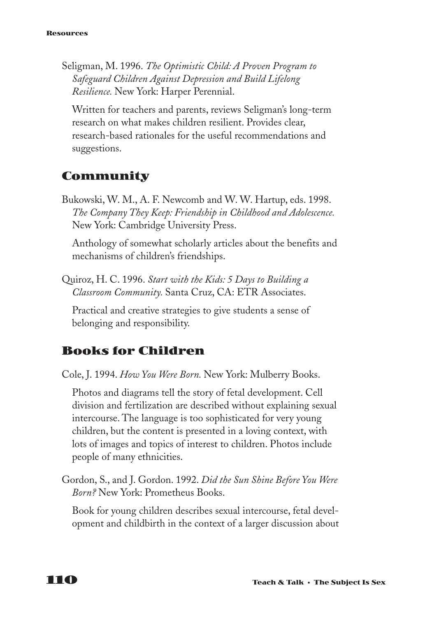Seligman, M. 1996. *The Optimistic Child: A Proven Program to Safeguard Children Against Depression and Build Lifelong Resilience.* New York: Harper Perennial.

Written for teachers and parents, reviews Seligman's long-term research on what makes children resilient. Provides clear, research-based rationales for the useful recommendations and suggestions.

## **Community**

Bukowski, W. M., A. F. Newcomb and W. W. Hartup, eds. 1998. *The Company They Keep: Friendship in Childhood and Adolescence.* New York: Cambridge University Press.

Anthology of somewhat scholarly articles about the benefits and mechanisms of children's friendships.

Quiroz, H. C. 1996. *Start with the Kids: 5 Days to Building a Classroom Community.* Santa Cruz, CA: ETR Associates.

Practical and creative strategies to give students a sense of belonging and responsibility.

## **Books for Children**

Cole, J. 1994. *How You Were Born.* New York: Mulberry Books.

Photos and diagrams tell the story of fetal development. Cell division and fertilization are described without explaining sexual intercourse. The language is too sophisticated for very young children, but the content is presented in a loving context, with lots of images and topics of interest to children. Photos include people of many ethnicities.

Gordon, S., and J. Gordon. 1992. *Did the Sun Shine Before You Were Born?* New York: Prometheus Books.

Book for young children describes sexual intercourse, fetal development and childbirth in the context of a larger discussion about

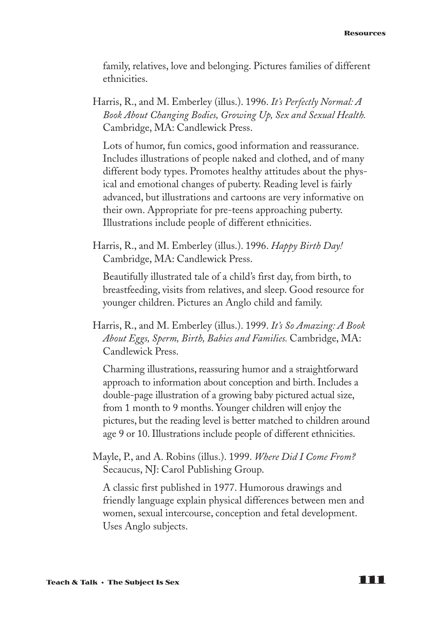family, relatives, love and belonging. Pictures families of different ethnicities.

Harris, R., and M. Emberley (illus.). 1996. *It's Perfectly Normal: A Book About Changing Bodies, Growing Up, Sex and Sexual Health.* Cambridge, MA: Candlewick Press.

Lots of humor, fun comics, good information and reassurance. Includes illustrations of people naked and clothed, and of many different body types. Promotes healthy attitudes about the physical and emotional changes of puberty. Reading level is fairly advanced, but illustrations and cartoons are very informative on their own. Appropriate for pre-teens approaching puberty. Illustrations include people of different ethnicities.

Harris, R., and M. Emberley (illus.). 1996. *Happy Birth Day!* Cambridge, MA: Candlewick Press.

Beautifully illustrated tale of a child's first day, from birth, to breastfeeding, visits from relatives, and sleep. Good resource for younger children. Pictures an Anglo child and family.

Harris, R., and M. Emberley (illus.). 1999. *It's So Amazing: A Book About Eggs, Sperm, Birth, Babies and Families.* Cambridge, MA: Candlewick Press.

Charming illustrations, reassuring humor and a straightforward approach to information about conception and birth. Includes a double-page illustration of a growing baby pictured actual size, from 1 month to 9 months. Younger children will enjoy the pictures, but the reading level is better matched to children around age 9 or 10. Illustrations include people of different ethnicities.

Mayle, P., and A. Robins (illus.). 1999. *Where Did I Come From?* Secaucus, NJ: Carol Publishing Group.

A classic first published in 1977. Humorous drawings and friendly language explain physical differences between men and women, sexual intercourse, conception and fetal development. Uses Anglo subjects.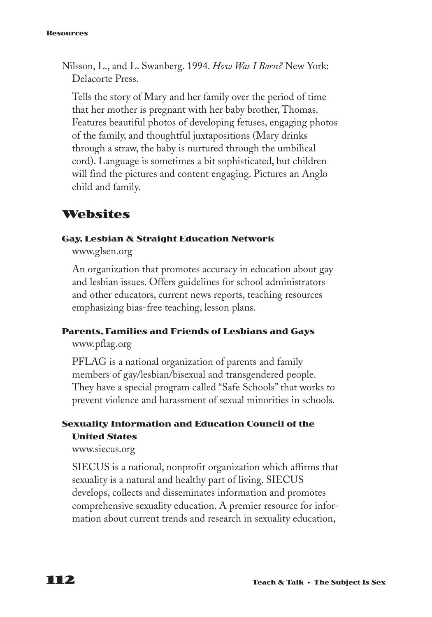#### **Resources**

Nilsson, L., and L. Swanberg. 1994. *How Was I Born?* New York: Delacorte Press.

Tells the story of Mary and her family over the period of time that her mother is pregnant with her baby brother, Thomas. Features beautiful photos of developing fetuses, engaging photos of the family, and thoughtful juxtapositions (Mary drinks through a straw, the baby is nurtured through the umbilical cord). Language is sometimes a bit sophisticated, but children will find the pictures and content engaging. Pictures an Anglo child and family.

## **Websites**

#### **Gay, Lesbian & Straight Education Network**

www.glsen.org

An organization that promotes accuracy in education about gay and lesbian issues. Offers guidelines for school administrators and other educators, current news reports, teaching resources emphasizing bias-free teaching, lesson plans.

#### **Parents, Families and Friends of Lesbians and Gays**

www.pflag.org

PFLAG is a national organization of parents and family members of gay/lesbian/bisexual and transgendered people. They have a special program called "Safe Schools" that works to prevent violence and harassment of sexual minorities in schools.

## **Sexuality Information and Education Council of the United States**

www.siecus.org

SIECUS is a national, nonprofit organization which affirms that sexuality is a natural and healthy part of living. SIECUS develops, collects and disseminates information and promotes comprehensive sexuality education. A premier resource for information about current trends and research in sexuality education,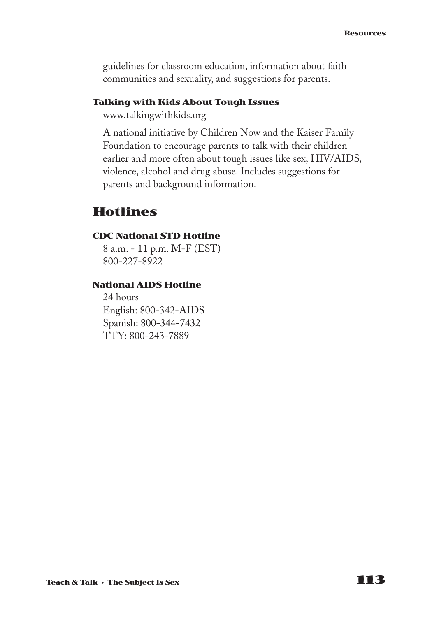guidelines for classroom education, information about faith communities and sexuality, and suggestions for parents.

#### **Talking with Kids About Tough Issues**

www.talkingwithkids.org

A national initiative by Children Now and the Kaiser Family Foundation to encourage parents to talk with their children earlier and more often about tough issues like sex, HIV/AIDS, violence, alcohol and drug abuse. Includes suggestions for parents and background information.

### **Hotlines**

#### **CDC National STD Hotline**

8 a.m. - 11 p.m. M-F (EST) 800-227-8922

#### **National AIDS Hotline**

24 hours English: 800-342-AIDS Spanish: 800-344-7432 TTY: 800-243-7889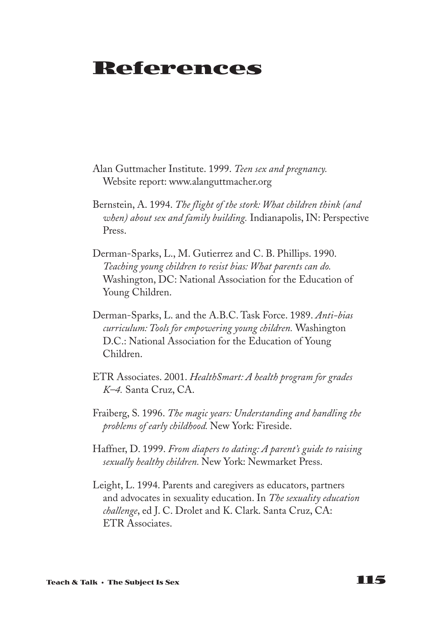## **References**

- Alan Guttmacher Institute. 1999. *Teen sex and pregnancy.* Website report: www.alanguttmacher.org
- Bernstein, A. 1994. *The flight of the stork: What children think (and when) about sex and family building.* Indianapolis, IN: Perspective Press.
- Derman-Sparks, L., M. Gutierrez and C. B. Phillips. 1990. *Teaching young children to resist bias: What parents can do.* Washington, DC: National Association for the Education of Young Children.
- Derman-Sparks, L. and the A.B.C. Task Force. 1989. *Anti-bias curriculum: Tools for empowering young children.* Washington D.C.: National Association for the Education of Young Children.
- ETR Associates. 2001. *HealthSmart: A health program for grades K–4.* Santa Cruz, CA.
- Fraiberg, S. 1996. *The magic years: Understanding and handling the problems of early childhood.* New York: Fireside.
- Haffner, D. 1999. *From diapers to dating: A parent's guide to raising sexually healthy children.* New York: Newmarket Press.
- Leight, L. 1994. Parents and caregivers as educators, partners and advocates in sexuality education. In *The sexuality education challenge*, ed J. C. Drolet and K. Clark. Santa Cruz, CA: ETR Associates.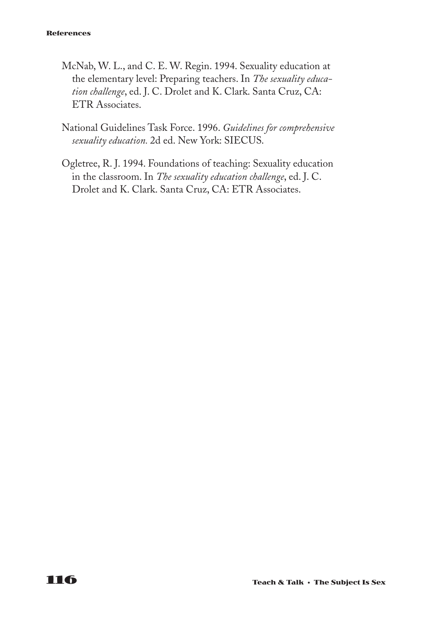#### **References**

- McNab, W. L., and C. E. W. Regin. 1994. Sexuality education at the elementary level: Preparing teachers. In *The sexuality education challenge*, ed. J. C. Drolet and K. Clark. Santa Cruz, CA: ETR Associates.
- National Guidelines Task Force. 1996. *Guidelines for comprehensive sexuality education.* 2d ed. New York: SIECUS.
- Ogletree, R. J. 1994. Foundations of teaching: Sexuality education in the classroom. In *The sexuality education challenge*, ed. J. C. Drolet and K. Clark. Santa Cruz, CA: ETR Associates.